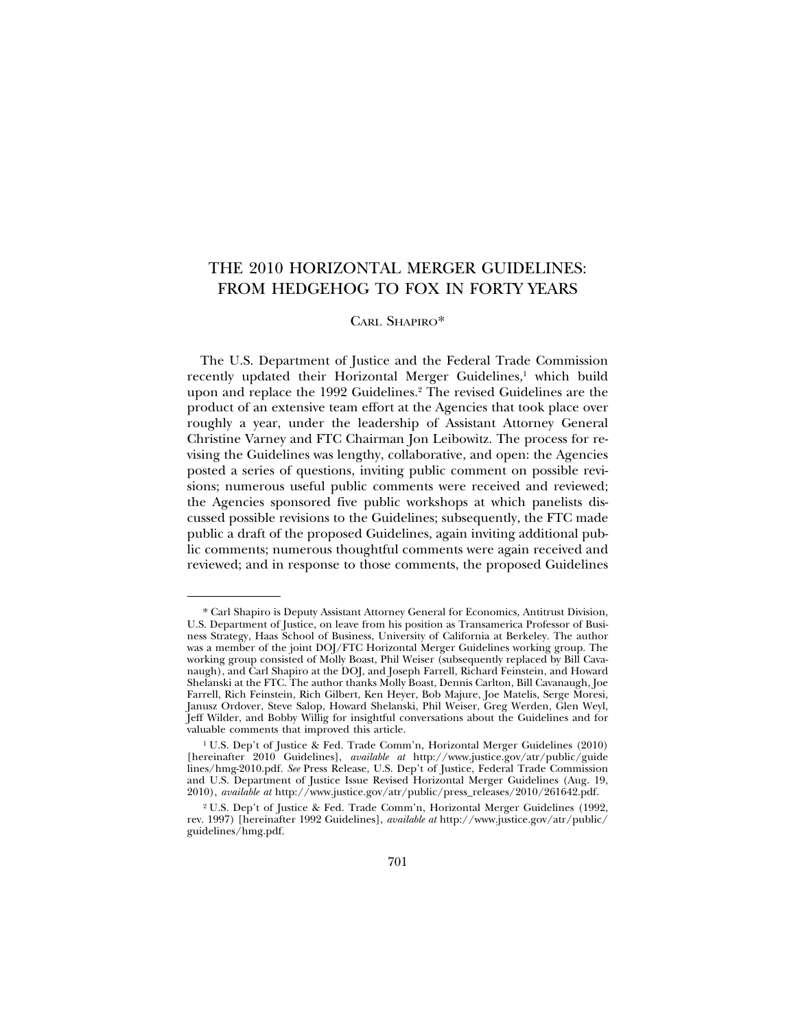# THE 2010 HORIZONTAL MERGER GUIDELINES: FROM HEDGEHOG TO FOX IN FORTY YEARS

# CARL SHAPIRO\*

The U.S. Department of Justice and the Federal Trade Commission recently updated their Horizontal Merger Guidelines,<sup>1</sup> which build upon and replace the 1992 Guidelines.<sup>2</sup> The revised Guidelines are the product of an extensive team effort at the Agencies that took place over roughly a year, under the leadership of Assistant Attorney General Christine Varney and FTC Chairman Jon Leibowitz. The process for revising the Guidelines was lengthy, collaborative, and open: the Agencies posted a series of questions, inviting public comment on possible revisions; numerous useful public comments were received and reviewed; the Agencies sponsored five public workshops at which panelists discussed possible revisions to the Guidelines; subsequently, the FTC made public a draft of the proposed Guidelines, again inviting additional public comments; numerous thoughtful comments were again received and reviewed; and in response to those comments, the proposed Guidelines

<sup>\*</sup> Carl Shapiro is Deputy Assistant Attorney General for Economics, Antitrust Division, U.S. Department of Justice, on leave from his position as Transamerica Professor of Business Strategy, Haas School of Business, University of California at Berkeley. The author was a member of the joint DOJ/FTC Horizontal Merger Guidelines working group. The working group consisted of Molly Boast, Phil Weiser (subsequently replaced by Bill Cavanaugh), and Carl Shapiro at the DOJ, and Joseph Farrell, Richard Feinstein, and Howard Shelanski at the FTC. The author thanks Molly Boast, Dennis Carlton, Bill Cavanaugh, Joe Farrell, Rich Feinstein, Rich Gilbert, Ken Heyer, Bob Majure, Joe Matelis, Serge Moresi, Janusz Ordover, Steve Salop, Howard Shelanski, Phil Weiser, Greg Werden, Glen Weyl, Jeff Wilder, and Bobby Willig for insightful conversations about the Guidelines and for valuable comments that improved this article.

<sup>&</sup>lt;sup>1</sup> U.S. Dep't of Justice & Fed. Trade Comm'n, Horizontal Merger Guidelines (2010) [hereinafter 2010 Guidelines], *available at* http://www.justice.gov/atr/public/guide lines/hmg-2010.pdf. *See* Press Release, U.S. Dep't of Justice, Federal Trade Commission and U.S. Department of Justice Issue Revised Horizontal Merger Guidelines (Aug. 19, 2010), *available at* http://www.justice.gov/atr/public/press\_releases/2010/261642.pdf.

<sup>2</sup> U.S. Dep't of Justice & Fed. Trade Comm'n, Horizontal Merger Guidelines (1992, rev. 1997) [hereinafter 1992 Guidelines], *available at* http://www.justice.gov/atr/public/ guidelines/hmg.pdf.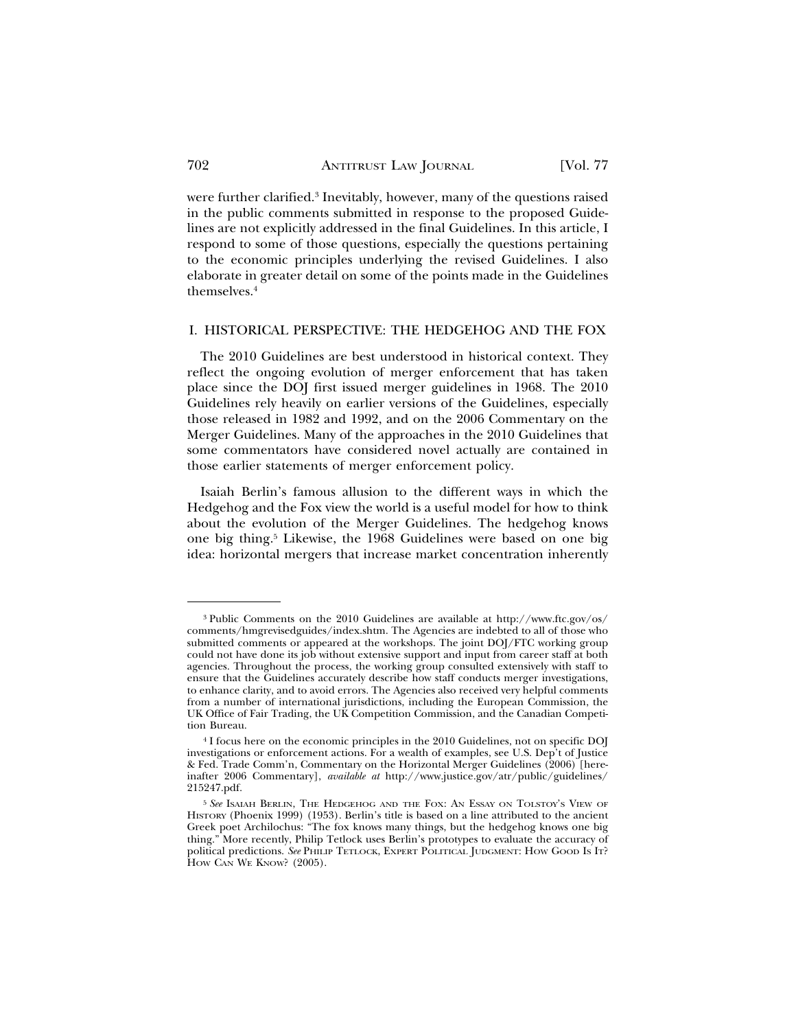were further clarified.<sup>3</sup> Inevitably, however, many of the questions raised in the public comments submitted in response to the proposed Guidelines are not explicitly addressed in the final Guidelines. In this article, I respond to some of those questions, especially the questions pertaining to the economic principles underlying the revised Guidelines. I also elaborate in greater detail on some of the points made in the Guidelines themselves.4

# I. HISTORICAL PERSPECTIVE: THE HEDGEHOG AND THE FOX

The 2010 Guidelines are best understood in historical context. They reflect the ongoing evolution of merger enforcement that has taken place since the DOJ first issued merger guidelines in 1968. The 2010 Guidelines rely heavily on earlier versions of the Guidelines, especially those released in 1982 and 1992, and on the 2006 Commentary on the Merger Guidelines. Many of the approaches in the 2010 Guidelines that some commentators have considered novel actually are contained in those earlier statements of merger enforcement policy.

Isaiah Berlin's famous allusion to the different ways in which the Hedgehog and the Fox view the world is a useful model for how to think about the evolution of the Merger Guidelines. The hedgehog knows one big thing.5 Likewise, the 1968 Guidelines were based on one big idea: horizontal mergers that increase market concentration inherently

<sup>3</sup> Public Comments on the 2010 Guidelines are available at http://www.ftc.gov/os/ comments/hmgrevisedguides/index.shtm. The Agencies are indebted to all of those who submitted comments or appeared at the workshops. The joint DOJ/FTC working group could not have done its job without extensive support and input from career staff at both agencies. Throughout the process, the working group consulted extensively with staff to ensure that the Guidelines accurately describe how staff conducts merger investigations, to enhance clarity, and to avoid errors. The Agencies also received very helpful comments from a number of international jurisdictions, including the European Commission, the UK Office of Fair Trading, the UK Competition Commission, and the Canadian Competition Bureau.

<sup>4</sup> I focus here on the economic principles in the 2010 Guidelines, not on specific DOJ investigations or enforcement actions. For a wealth of examples, see U.S. Dep't of Justice & Fed. Trade Comm'n, Commentary on the Horizontal Merger Guidelines (2006) [hereinafter 2006 Commentary], *available at* http://www.justice.gov/atr/public/guidelines/ 215247.pdf.

<sup>5</sup> *See* ISAIAH BERLIN, THE HEDGEHOG AND THE FOX: AN ESSAY ON TOLSTOY'S VIEW OF HISTORY (Phoenix 1999) (1953). Berlin's title is based on a line attributed to the ancient Greek poet Archilochus: "The fox knows many things, but the hedgehog knows one big thing." More recently, Philip Tetlock uses Berlin's prototypes to evaluate the accuracy of political predictions. *See* PHILIP TETLOCK, EXPERT POLITICAL JUDGMENT: HOW GOOD IS IT? How CAN WE KNOW? (2005).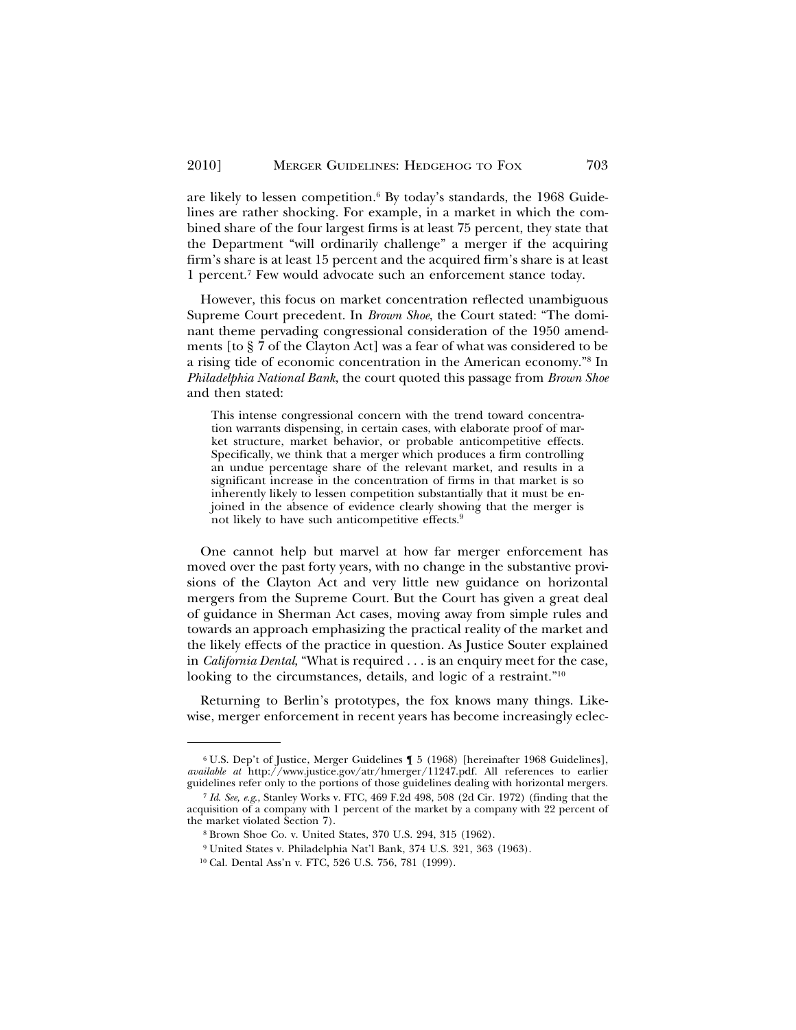are likely to lessen competition.6 By today's standards, the 1968 Guidelines are rather shocking. For example, in a market in which the combined share of the four largest firms is at least 75 percent, they state that the Department "will ordinarily challenge" a merger if the acquiring firm's share is at least 15 percent and the acquired firm's share is at least 1 percent.7 Few would advocate such an enforcement stance today.

However, this focus on market concentration reflected unambiguous Supreme Court precedent. In *Brown Shoe*, the Court stated: "The dominant theme pervading congressional consideration of the 1950 amendments [to § 7 of the Clayton Act] was a fear of what was considered to be a rising tide of economic concentration in the American economy."8 In *Philadelphia National Bank*, the court quoted this passage from *Brown Shoe* and then stated:

This intense congressional concern with the trend toward concentration warrants dispensing, in certain cases, with elaborate proof of market structure, market behavior, or probable anticompetitive effects. Specifically, we think that a merger which produces a firm controlling an undue percentage share of the relevant market, and results in a significant increase in the concentration of firms in that market is so inherently likely to lessen competition substantially that it must be enjoined in the absence of evidence clearly showing that the merger is not likely to have such anticompetitive effects.9

One cannot help but marvel at how far merger enforcement has moved over the past forty years, with no change in the substantive provisions of the Clayton Act and very little new guidance on horizontal mergers from the Supreme Court. But the Court has given a great deal of guidance in Sherman Act cases, moving away from simple rules and towards an approach emphasizing the practical reality of the market and the likely effects of the practice in question. As Justice Souter explained in *California Dental*, "What is required . . . is an enquiry meet for the case, looking to the circumstances, details, and logic of a restraint."<sup>10</sup>

Returning to Berlin's prototypes, the fox knows many things. Likewise, merger enforcement in recent years has become increasingly eclec-

<sup>6</sup> U.S. Dep't of Justice, Merger Guidelines ¶ 5 (1968) [hereinafter 1968 Guidelines], *available at* http://www.justice.gov/atr/hmerger/11247.pdf. All references to earlier guidelines refer only to the portions of those guidelines dealing with horizontal mergers.

<sup>7</sup> *Id*. *See, e.g*., Stanley Works v. FTC, 469 F.2d 498, 508 (2d Cir. 1972) (finding that the acquisition of a company with 1 percent of the market by a company with 22 percent of the market violated Section 7).

<sup>8</sup> Brown Shoe Co. v. United States, 370 U.S. 294, 315 (1962).

<sup>9</sup> United States v. Philadelphia Nat'l Bank, 374 U.S. 321, 363 (1963).

<sup>10</sup> Cal. Dental Ass'n v. FTC*,* 526 U.S. 756, 781 (1999).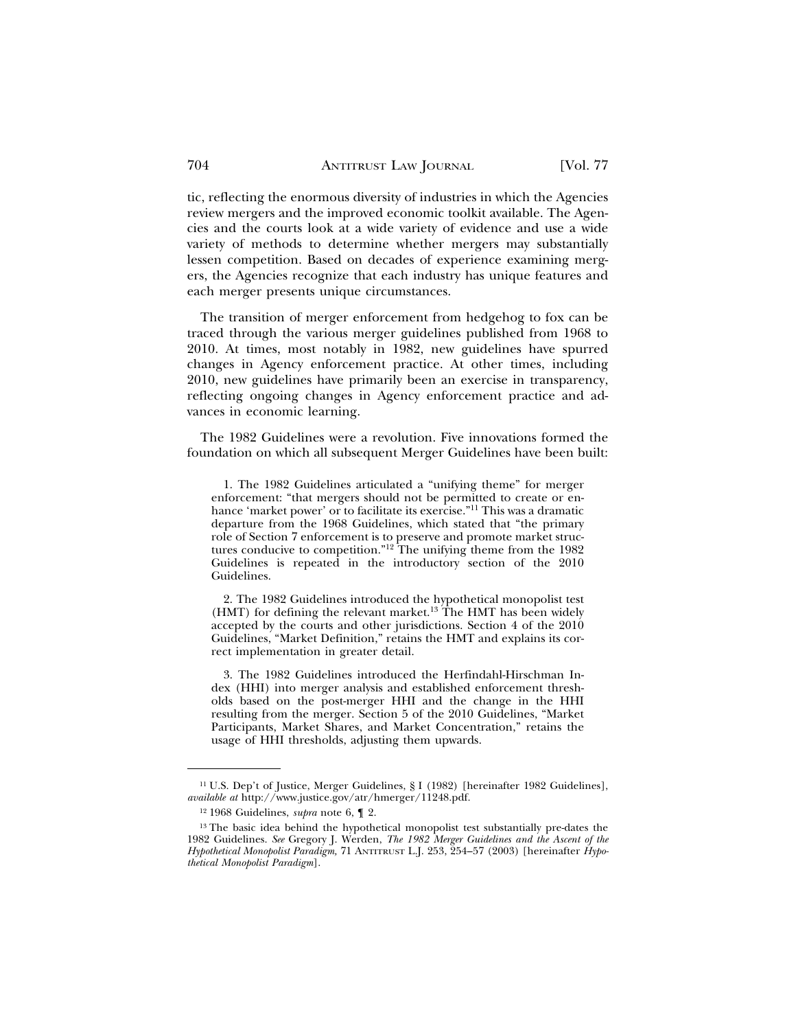tic, reflecting the enormous diversity of industries in which the Agencies review mergers and the improved economic toolkit available. The Agencies and the courts look at a wide variety of evidence and use a wide variety of methods to determine whether mergers may substantially lessen competition. Based on decades of experience examining mergers, the Agencies recognize that each industry has unique features and each merger presents unique circumstances.

The transition of merger enforcement from hedgehog to fox can be traced through the various merger guidelines published from 1968 to 2010. At times, most notably in 1982, new guidelines have spurred changes in Agency enforcement practice. At other times, including 2010, new guidelines have primarily been an exercise in transparency, reflecting ongoing changes in Agency enforcement practice and advances in economic learning.

The 1982 Guidelines were a revolution. Five innovations formed the foundation on which all subsequent Merger Guidelines have been built:

1. The 1982 Guidelines articulated a "unifying theme" for merger enforcement: "that mergers should not be permitted to create or enhance 'market power' or to facilitate its exercise."<sup>11</sup> This was a dramatic departure from the 1968 Guidelines, which stated that "the primary role of Section 7 enforcement is to preserve and promote market structures conducive to competition."<sup>12</sup> The unifying theme from the 1982 Guidelines is repeated in the introductory section of the 2010 Guidelines.

2. The 1982 Guidelines introduced the hypothetical monopolist test (HMT) for defining the relevant market.<sup>13</sup> The HMT has been widely accepted by the courts and other jurisdictions. Section 4 of the 2010 Guidelines, "Market Definition," retains the HMT and explains its correct implementation in greater detail.

3. The 1982 Guidelines introduced the Herfindahl-Hirschman Index (HHI) into merger analysis and established enforcement thresholds based on the post-merger HHI and the change in the HHI resulting from the merger. Section 5 of the 2010 Guidelines, "Market Participants, Market Shares, and Market Concentration," retains the usage of HHI thresholds, adjusting them upwards.

<sup>11</sup> U.S. Dep't of Justice, Merger Guidelines, § I (1982) [hereinafter 1982 Guidelines], *available at* http://www.justice.gov/atr/hmerger/11248.pdf.

<sup>12</sup> 1968 Guidelines, *supra* note 6, ¶ 2.

<sup>&</sup>lt;sup>13</sup> The basic idea behind the hypothetical monopolist test substantially pre-dates the 1982 Guidelines. *See* Gregory J. Werden, *The 1982 Merger Guidelines and the Ascent of the Hypothetical Monopolist Paradigm,* 71 ANTITRUST L.J. 253, 254–57 (2003) [hereinafter *Hypothetical Monopolist Paradigm*].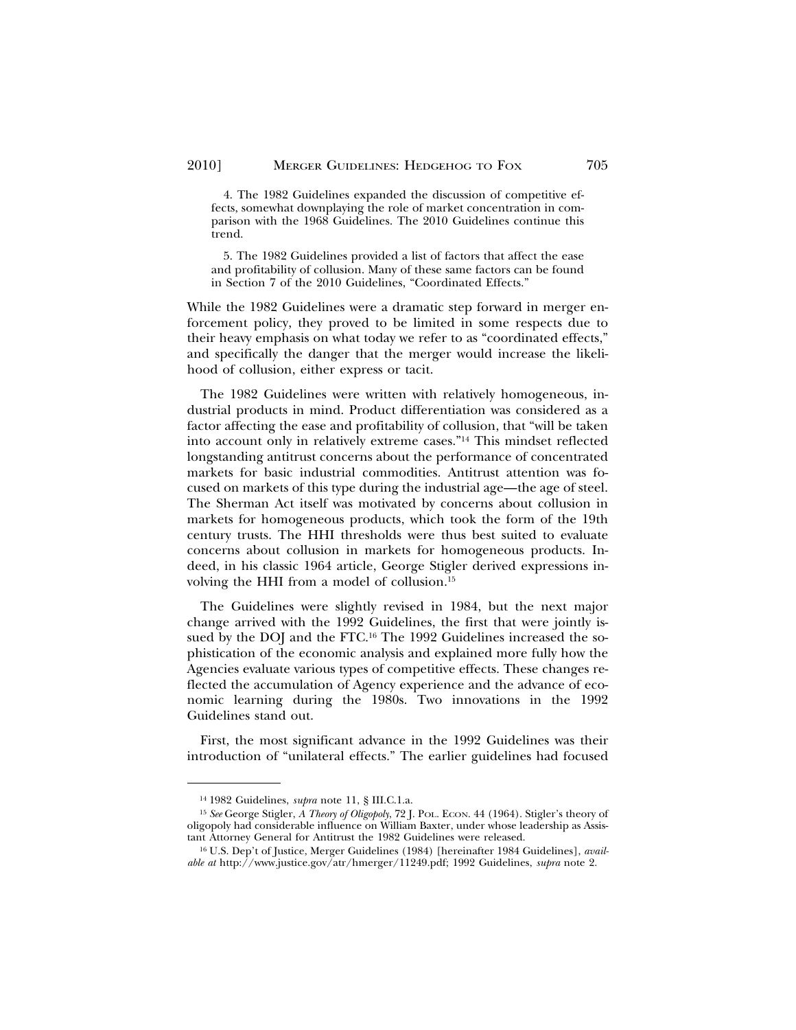4. The 1982 Guidelines expanded the discussion of competitive effects, somewhat downplaying the role of market concentration in comparison with the 1968 Guidelines. The 2010 Guidelines continue this trend.

5. The 1982 Guidelines provided a list of factors that affect the ease and profitability of collusion. Many of these same factors can be found in Section 7 of the 2010 Guidelines, "Coordinated Effects."

While the 1982 Guidelines were a dramatic step forward in merger enforcement policy, they proved to be limited in some respects due to their heavy emphasis on what today we refer to as "coordinated effects," and specifically the danger that the merger would increase the likelihood of collusion, either express or tacit.

The 1982 Guidelines were written with relatively homogeneous, industrial products in mind. Product differentiation was considered as a factor affecting the ease and profitability of collusion, that "will be taken into account only in relatively extreme cases."14 This mindset reflected longstanding antitrust concerns about the performance of concentrated markets for basic industrial commodities. Antitrust attention was focused on markets of this type during the industrial age—the age of steel. The Sherman Act itself was motivated by concerns about collusion in markets for homogeneous products, which took the form of the 19th century trusts. The HHI thresholds were thus best suited to evaluate concerns about collusion in markets for homogeneous products. Indeed, in his classic 1964 article, George Stigler derived expressions involving the HHI from a model of collusion.15

The Guidelines were slightly revised in 1984, but the next major change arrived with the 1992 Guidelines, the first that were jointly issued by the DOJ and the FTC.16 The 1992 Guidelines increased the sophistication of the economic analysis and explained more fully how the Agencies evaluate various types of competitive effects. These changes reflected the accumulation of Agency experience and the advance of economic learning during the 1980s. Two innovations in the 1992 Guidelines stand out.

First, the most significant advance in the 1992 Guidelines was their introduction of "unilateral effects." The earlier guidelines had focused

<sup>14</sup> 1982 Guidelines, *supra* note 11, § III.C.1.a.

<sup>15</sup> *See* George Stigler, *A Theory of Oligopoly*, 72 J. POL. ECON. 44 (1964). Stigler's theory of oligopoly had considerable influence on William Baxter, under whose leadership as Assistant Attorney General for Antitrust the 1982 Guidelines were released.

<sup>16</sup> U.S. Dep't of Justice, Merger Guidelines (1984) [hereinafter 1984 Guidelines], *available at* http://www.justice.gov/atr/hmerger/11249.pdf; 1992 Guidelines, *supra* note 2.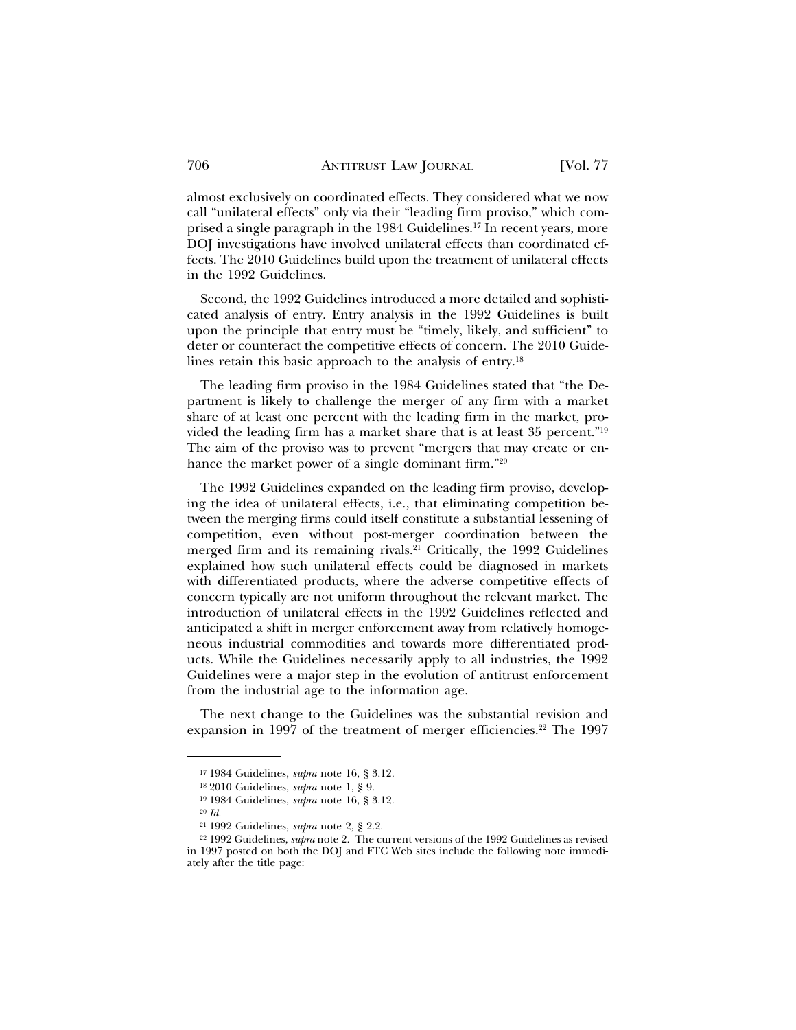almost exclusively on coordinated effects. They considered what we now call "unilateral effects" only via their "leading firm proviso," which comprised a single paragraph in the 1984 Guidelines.<sup>17</sup> In recent years, more DOJ investigations have involved unilateral effects than coordinated effects. The 2010 Guidelines build upon the treatment of unilateral effects in the 1992 Guidelines.

Second, the 1992 Guidelines introduced a more detailed and sophisticated analysis of entry. Entry analysis in the 1992 Guidelines is built upon the principle that entry must be "timely, likely, and sufficient" to deter or counteract the competitive effects of concern. The 2010 Guidelines retain this basic approach to the analysis of entry.18

The leading firm proviso in the 1984 Guidelines stated that "the Department is likely to challenge the merger of any firm with a market share of at least one percent with the leading firm in the market, provided the leading firm has a market share that is at least 35 percent."19 The aim of the proviso was to prevent "mergers that may create or enhance the market power of a single dominant firm."20

The 1992 Guidelines expanded on the leading firm proviso, developing the idea of unilateral effects, i.e., that eliminating competition between the merging firms could itself constitute a substantial lessening of competition, even without post-merger coordination between the merged firm and its remaining rivals.<sup>21</sup> Critically, the 1992 Guidelines explained how such unilateral effects could be diagnosed in markets with differentiated products, where the adverse competitive effects of concern typically are not uniform throughout the relevant market. The introduction of unilateral effects in the 1992 Guidelines reflected and anticipated a shift in merger enforcement away from relatively homogeneous industrial commodities and towards more differentiated products. While the Guidelines necessarily apply to all industries, the 1992 Guidelines were a major step in the evolution of antitrust enforcement from the industrial age to the information age.

The next change to the Guidelines was the substantial revision and expansion in 1997 of the treatment of merger efficiencies.<sup>22</sup> The 1997

<sup>17</sup> 1984 Guidelines, *supra* note 16, § 3.12.

<sup>18</sup> 2010 Guidelines, *supra* note 1, § 9.

<sup>19</sup> 1984 Guidelines, *supra* note 16, § 3.12.

<sup>20</sup> *Id.*

<sup>21</sup> 1992 Guidelines, *supra* note 2, § 2.2.

<sup>22</sup> 1992 Guidelines, *supra* note 2. The current versions of the 1992 Guidelines as revised in 1997 posted on both the DOJ and FTC Web sites include the following note immediately after the title page: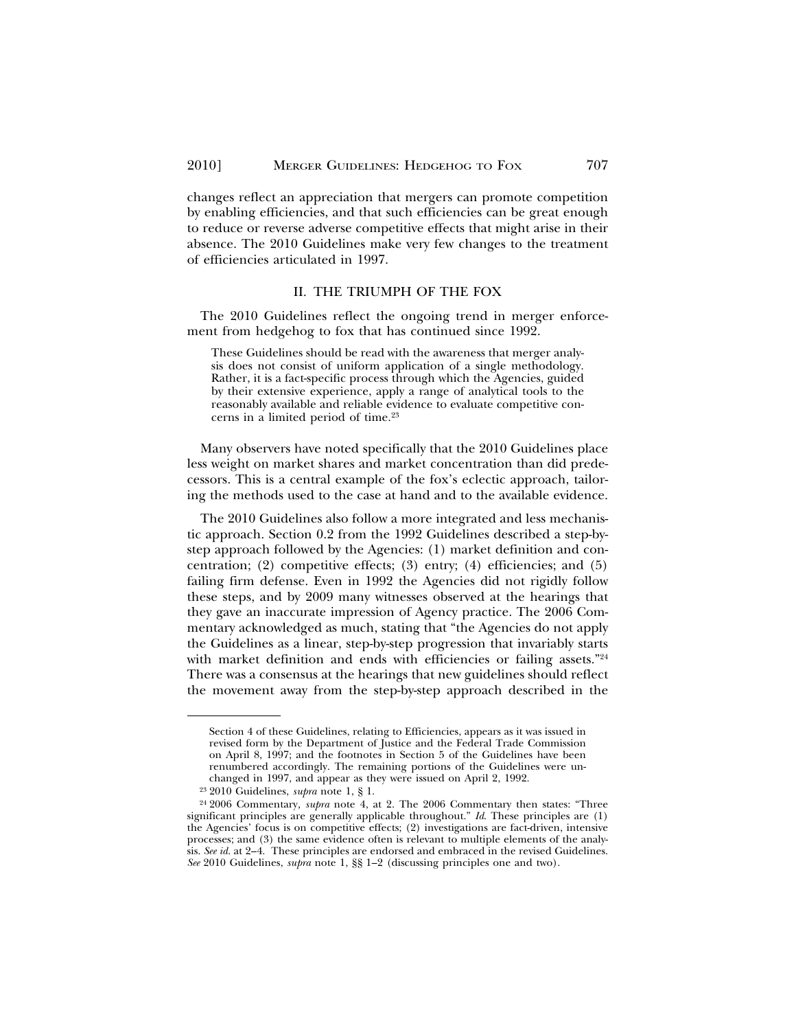changes reflect an appreciation that mergers can promote competition by enabling efficiencies, and that such efficiencies can be great enough to reduce or reverse adverse competitive effects that might arise in their absence. The 2010 Guidelines make very few changes to the treatment of efficiencies articulated in 1997.

# II. THE TRIUMPH OF THE FOX

The 2010 Guidelines reflect the ongoing trend in merger enforcement from hedgehog to fox that has continued since 1992.

These Guidelines should be read with the awareness that merger analysis does not consist of uniform application of a single methodology. Rather, it is a fact-specific process through which the Agencies, guided by their extensive experience, apply a range of analytical tools to the reasonably available and reliable evidence to evaluate competitive concerns in a limited period of time.23

Many observers have noted specifically that the 2010 Guidelines place less weight on market shares and market concentration than did predecessors. This is a central example of the fox's eclectic approach, tailoring the methods used to the case at hand and to the available evidence.

The 2010 Guidelines also follow a more integrated and less mechanistic approach. Section 0.2 from the 1992 Guidelines described a step-bystep approach followed by the Agencies: (1) market definition and concentration; (2) competitive effects; (3) entry; (4) efficiencies; and (5) failing firm defense. Even in 1992 the Agencies did not rigidly follow these steps, and by 2009 many witnesses observed at the hearings that they gave an inaccurate impression of Agency practice. The 2006 Commentary acknowledged as much, stating that "the Agencies do not apply the Guidelines as a linear, step-by-step progression that invariably starts with market definition and ends with efficiencies or failing assets."<sup>24</sup> There was a consensus at the hearings that new guidelines should reflect the movement away from the step-by-step approach described in the

Section 4 of these Guidelines, relating to Efficiencies, appears as it was issued in revised form by the Department of Justice and the Federal Trade Commission on April 8, 1997; and the footnotes in Section 5 of the Guidelines have been renumbered accordingly. The remaining portions of the Guidelines were unchanged in 1997, and appear as they were issued on April 2, 1992.

<sup>23</sup> 2010 Guidelines, *supra* note 1, § 1.

<sup>24</sup> 2006 Commentary*, supra* note 4, at 2. The 2006 Commentary then states: "Three significant principles are generally applicable throughout." *Id*. These principles are (1) the Agencies' focus is on competitive effects; (2) investigations are fact-driven, intensive processes; and (3) the same evidence often is relevant to multiple elements of the analysis. *See id.* at 2–4. These principles are endorsed and embraced in the revised Guidelines. *See* 2010 Guidelines, *supra* note 1, §§ 1–2 (discussing principles one and two).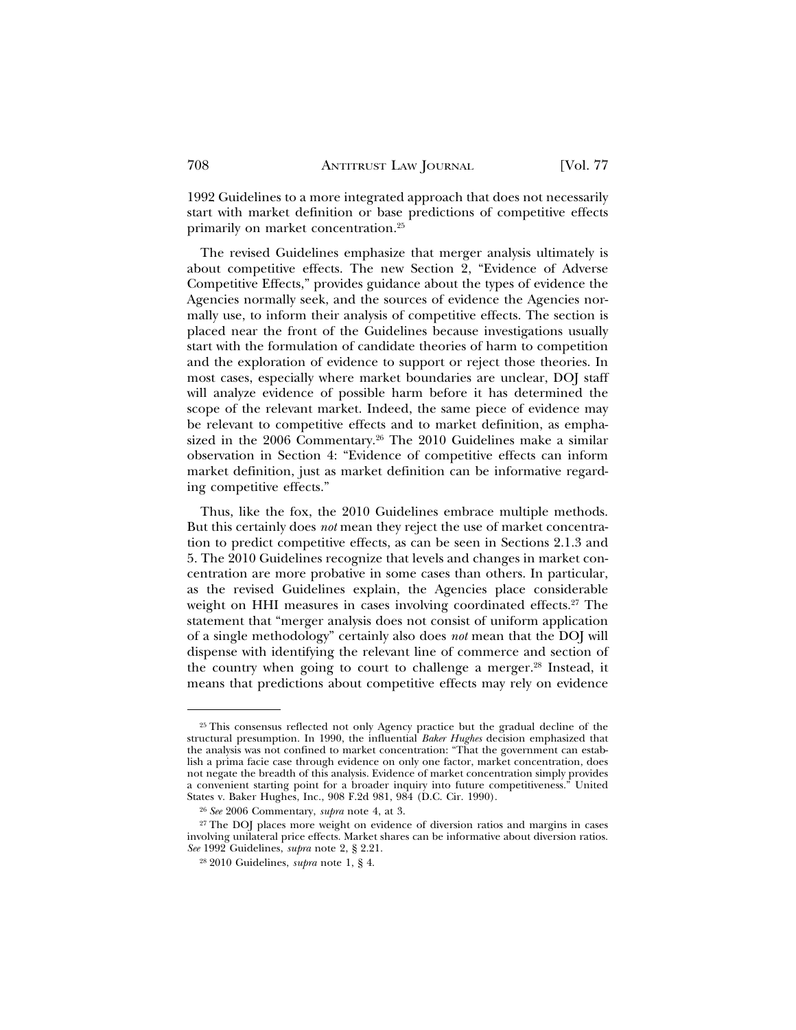1992 Guidelines to a more integrated approach that does not necessarily start with market definition or base predictions of competitive effects primarily on market concentration.25

The revised Guidelines emphasize that merger analysis ultimately is about competitive effects. The new Section 2, "Evidence of Adverse Competitive Effects," provides guidance about the types of evidence the Agencies normally seek, and the sources of evidence the Agencies normally use, to inform their analysis of competitive effects. The section is placed near the front of the Guidelines because investigations usually start with the formulation of candidate theories of harm to competition and the exploration of evidence to support or reject those theories. In most cases, especially where market boundaries are unclear, DOJ staff will analyze evidence of possible harm before it has determined the scope of the relevant market. Indeed, the same piece of evidence may be relevant to competitive effects and to market definition, as emphasized in the 2006 Commentary.26 The 2010 Guidelines make a similar observation in Section 4: "Evidence of competitive effects can inform market definition, just as market definition can be informative regarding competitive effects."

Thus, like the fox, the 2010 Guidelines embrace multiple methods. But this certainly does *not* mean they reject the use of market concentration to predict competitive effects, as can be seen in Sections 2.1.3 and 5. The 2010 Guidelines recognize that levels and changes in market concentration are more probative in some cases than others. In particular, as the revised Guidelines explain, the Agencies place considerable weight on HHI measures in cases involving coordinated effects.<sup>27</sup> The statement that "merger analysis does not consist of uniform application of a single methodology" certainly also does *not* mean that the DOJ will dispense with identifying the relevant line of commerce and section of the country when going to court to challenge a merger.28 Instead, it means that predictions about competitive effects may rely on evidence

<sup>&</sup>lt;sup>25</sup> This consensus reflected not only Agency practice but the gradual decline of the structural presumption. In 1990, the influential *Baker Hughes* decision emphasized that the analysis was not confined to market concentration: "That the government can establish a prima facie case through evidence on only one factor, market concentration, does not negate the breadth of this analysis. Evidence of market concentration simply provides a convenient starting point for a broader inquiry into future competitiveness." United States v. Baker Hughes, Inc., 908 F.2d 981, 984 (D.C. Cir. 1990).

<sup>26</sup> *See* 2006 Commentary, *supra* note 4, at 3.

<sup>27</sup> The DOJ places more weight on evidence of diversion ratios and margins in cases involving unilateral price effects. Market shares can be informative about diversion ratios. *See* 1992 Guidelines, *supra* note 2, § 2.21.

<sup>28</sup> 2010 Guidelines, *supra* note 1, § 4.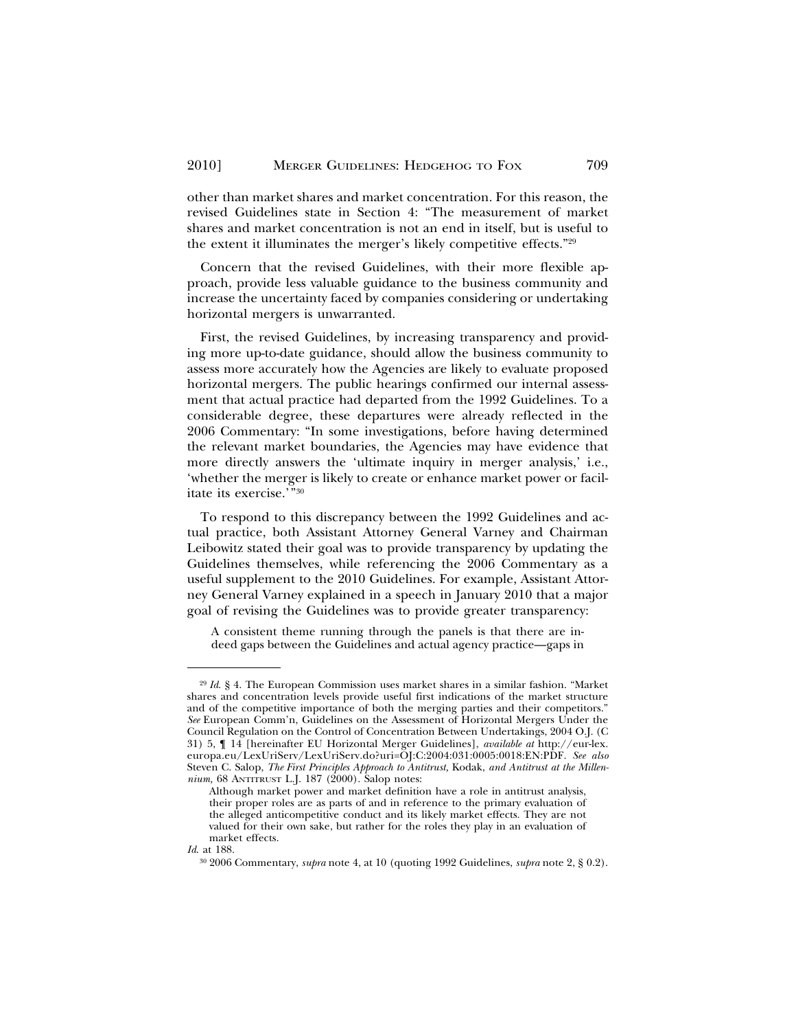other than market shares and market concentration. For this reason, the revised Guidelines state in Section 4: "The measurement of market shares and market concentration is not an end in itself, but is useful to the extent it illuminates the merger's likely competitive effects."29

Concern that the revised Guidelines, with their more flexible approach, provide less valuable guidance to the business community and increase the uncertainty faced by companies considering or undertaking horizontal mergers is unwarranted.

First, the revised Guidelines, by increasing transparency and providing more up-to-date guidance, should allow the business community to assess more accurately how the Agencies are likely to evaluate proposed horizontal mergers. The public hearings confirmed our internal assessment that actual practice had departed from the 1992 Guidelines. To a considerable degree, these departures were already reflected in the 2006 Commentary: "In some investigations, before having determined the relevant market boundaries, the Agencies may have evidence that more directly answers the 'ultimate inquiry in merger analysis,' i.e., 'whether the merger is likely to create or enhance market power or facilitate its exercise.'"30

To respond to this discrepancy between the 1992 Guidelines and actual practice, both Assistant Attorney General Varney and Chairman Leibowitz stated their goal was to provide transparency by updating the Guidelines themselves, while referencing the 2006 Commentary as a useful supplement to the 2010 Guidelines. For example, Assistant Attorney General Varney explained in a speech in January 2010 that a major goal of revising the Guidelines was to provide greater transparency:

A consistent theme running through the panels is that there are indeed gaps between the Guidelines and actual agency practice—gaps in

<sup>29</sup> *Id*. § 4. The European Commission uses market shares in a similar fashion. "Market shares and concentration levels provide useful first indications of the market structure and of the competitive importance of both the merging parties and their competitors." *See* European Comm'n, Guidelines on the Assessment of Horizontal Mergers Under the Council Regulation on the Control of Concentration Between Undertakings, 2004 O.J. (C 31) 5, ¶ 14 [hereinafter EU Horizontal Merger Guidelines], *available at* http://eur-lex. europa.eu/LexUriServ/LexUriServ.do?uri=OJ:C:2004:031:0005:0018:EN:PDF. *See also* Steven C. Salop, *The First Principles Approach to Antitrust,* Kodak, *and Antitrust at the Millennium,* 68 ANTITRUST L.J. 187 (2000). Salop notes:

Although market power and market definition have a role in antitrust analysis, their proper roles are as parts of and in reference to the primary evaluation of the alleged anticompetitive conduct and its likely market effects. They are not valued for their own sake, but rather for the roles they play in an evaluation of market effects.

*Id*. at 188.

<sup>30</sup> 2006 Commentary, *supra* note 4, at 10 (quoting 1992 Guidelines, *supra* note 2, § 0.2).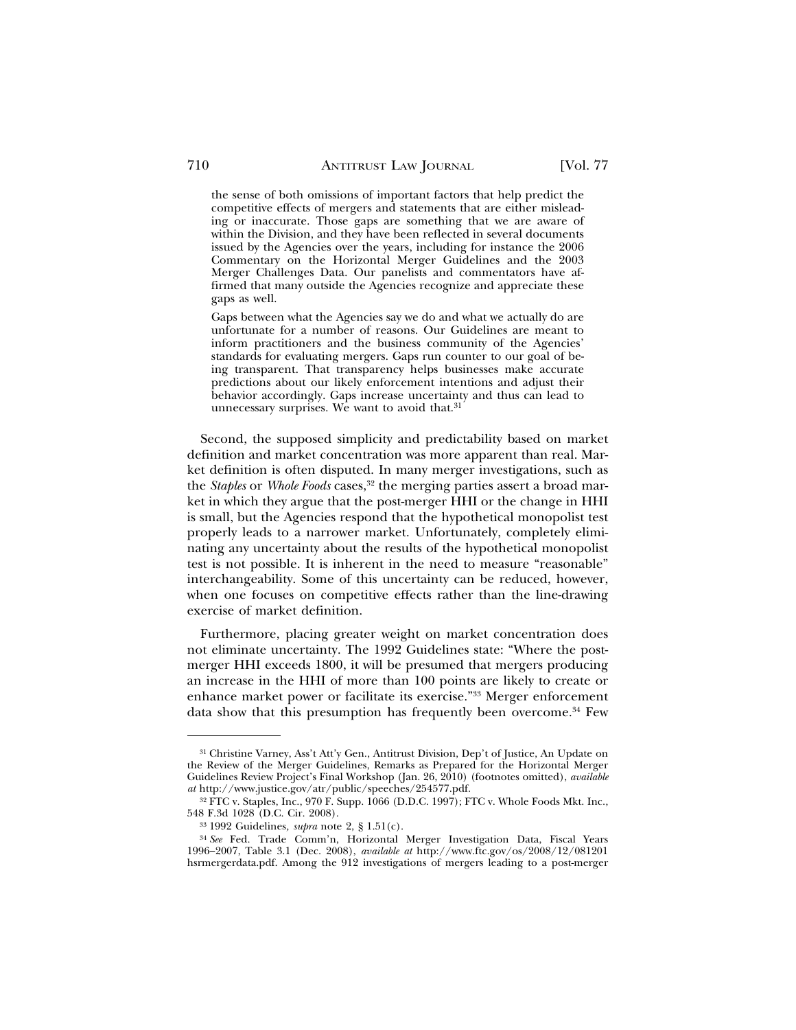the sense of both omissions of important factors that help predict the competitive effects of mergers and statements that are either misleading or inaccurate. Those gaps are something that we are aware of within the Division, and they have been reflected in several documents issued by the Agencies over the years, including for instance the 2006 Commentary on the Horizontal Merger Guidelines and the 2003 Merger Challenges Data. Our panelists and commentators have affirmed that many outside the Agencies recognize and appreciate these gaps as well.

Gaps between what the Agencies say we do and what we actually do are unfortunate for a number of reasons. Our Guidelines are meant to inform practitioners and the business community of the Agencies' standards for evaluating mergers. Gaps run counter to our goal of being transparent. That transparency helps businesses make accurate predictions about our likely enforcement intentions and adjust their behavior accordingly. Gaps increase uncertainty and thus can lead to unnecessary surprises. We want to avoid that.<sup>31</sup>

Second, the supposed simplicity and predictability based on market definition and market concentration was more apparent than real. Market definition is often disputed. In many merger investigations, such as the *Staples* or *Whole Foods* cases,<sup>32</sup> the merging parties assert a broad market in which they argue that the post-merger HHI or the change in HHI is small, but the Agencies respond that the hypothetical monopolist test properly leads to a narrower market. Unfortunately, completely eliminating any uncertainty about the results of the hypothetical monopolist test is not possible. It is inherent in the need to measure "reasonable" interchangeability. Some of this uncertainty can be reduced, however, when one focuses on competitive effects rather than the line-drawing exercise of market definition.

Furthermore, placing greater weight on market concentration does not eliminate uncertainty. The 1992 Guidelines state: "Where the postmerger HHI exceeds 1800, it will be presumed that mergers producing an increase in the HHI of more than 100 points are likely to create or enhance market power or facilitate its exercise."33 Merger enforcement data show that this presumption has frequently been overcome.<sup>34</sup> Few

<sup>31</sup> Christine Varney, Ass't Att'y Gen., Antitrust Division, Dep't of Justice, An Update on the Review of the Merger Guidelines, Remarks as Prepared for the Horizontal Merger Guidelines Review Project's Final Workshop (Jan. 26, 2010) (footnotes omitted), *available at* http://www.justice.gov/atr/public/speeches/254577.pdf.

<sup>&</sup>lt;sup>32</sup> FTC v. Staples, Inc., 970 F. Supp. 1066 (D.D.C. 1997); FTC v. Whole Foods Mkt. Inc., 548 F.3d 1028 (D.C. Cir. 2008).

<sup>33</sup> 1992 Guidelines*, supra* note 2, § 1.51(c).

<sup>34</sup> *See* Fed. Trade Comm'n, Horizontal Merger Investigation Data, Fiscal Years 1996–2007, Table 3.1 (Dec. 2008), *available at* http://www.ftc.gov/os/2008/12/081201 hsrmergerdata.pdf. Among the 912 investigations of mergers leading to a post-merger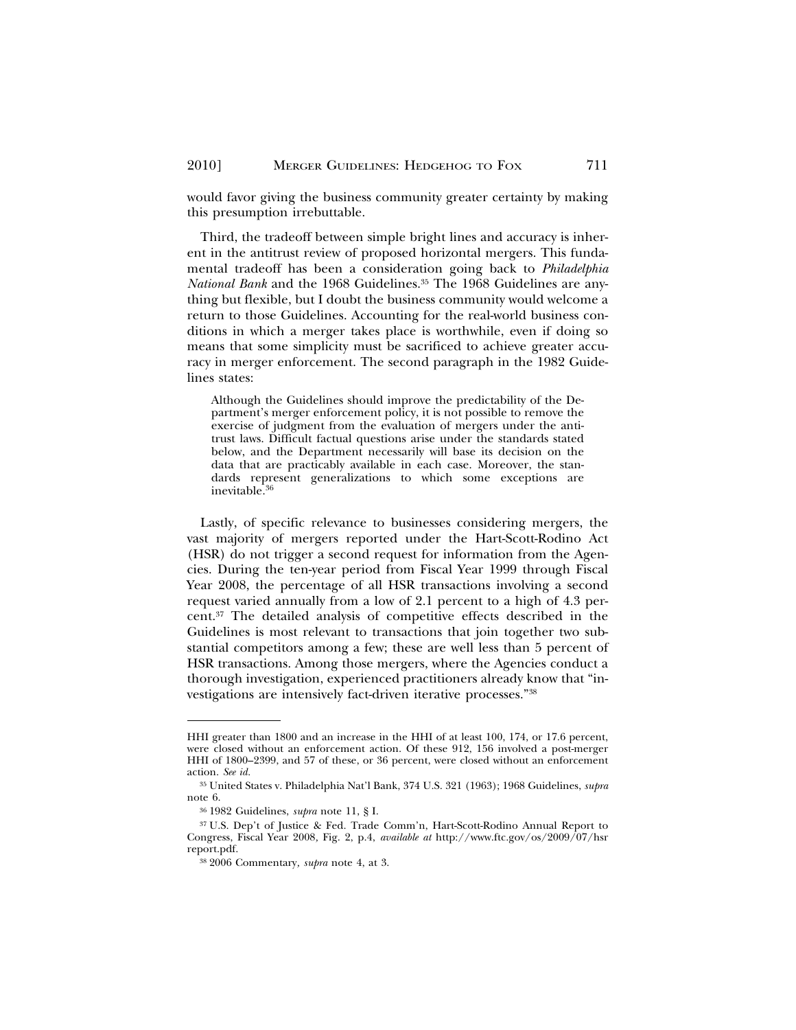would favor giving the business community greater certainty by making this presumption irrebuttable.

Third, the tradeoff between simple bright lines and accuracy is inherent in the antitrust review of proposed horizontal mergers. This fundamental tradeoff has been a consideration going back to *Philadelphia National Bank* and the 1968 Guidelines.35 The 1968 Guidelines are anything but flexible, but I doubt the business community would welcome a return to those Guidelines. Accounting for the real-world business conditions in which a merger takes place is worthwhile, even if doing so means that some simplicity must be sacrificed to achieve greater accuracy in merger enforcement. The second paragraph in the 1982 Guidelines states:

Although the Guidelines should improve the predictability of the Department's merger enforcement policy, it is not possible to remove the exercise of judgment from the evaluation of mergers under the antitrust laws. Difficult factual questions arise under the standards stated below, and the Department necessarily will base its decision on the data that are practicably available in each case. Moreover, the standards represent generalizations to which some exceptions are inevitable.36

Lastly, of specific relevance to businesses considering mergers, the vast majority of mergers reported under the Hart-Scott-Rodino Act (HSR) do not trigger a second request for information from the Agencies. During the ten-year period from Fiscal Year 1999 through Fiscal Year 2008, the percentage of all HSR transactions involving a second request varied annually from a low of 2.1 percent to a high of 4.3 percent.37 The detailed analysis of competitive effects described in the Guidelines is most relevant to transactions that join together two substantial competitors among a few; these are well less than 5 percent of HSR transactions. Among those mergers, where the Agencies conduct a thorough investigation, experienced practitioners already know that "investigations are intensively fact-driven iterative processes."38

HHI greater than 1800 and an increase in the HHI of at least 100, 174, or 17.6 percent, were closed without an enforcement action. Of these 912, 156 involved a post-merger HHI of 1800–2399, and 57 of these, or 36 percent, were closed without an enforcement action. *See id.*

<sup>35</sup> United States v. Philadelphia Nat'l Bank, 374 U.S. 321 (1963); 1968 Guidelines, *supra* note 6.

<sup>36</sup> 1982 Guidelines, *supra* note 11, § I.

<sup>37</sup> U.S. Dep't of Justice & Fed. Trade Comm'n, Hart-Scott-Rodino Annual Report to Congress, Fiscal Year 2008*,* Fig. 2, p.4, *available at* http://www.ftc.gov/os/2009/07/hsr report.pdf.

<sup>38</sup> 2006 Commentary*, supra* note 4, at 3.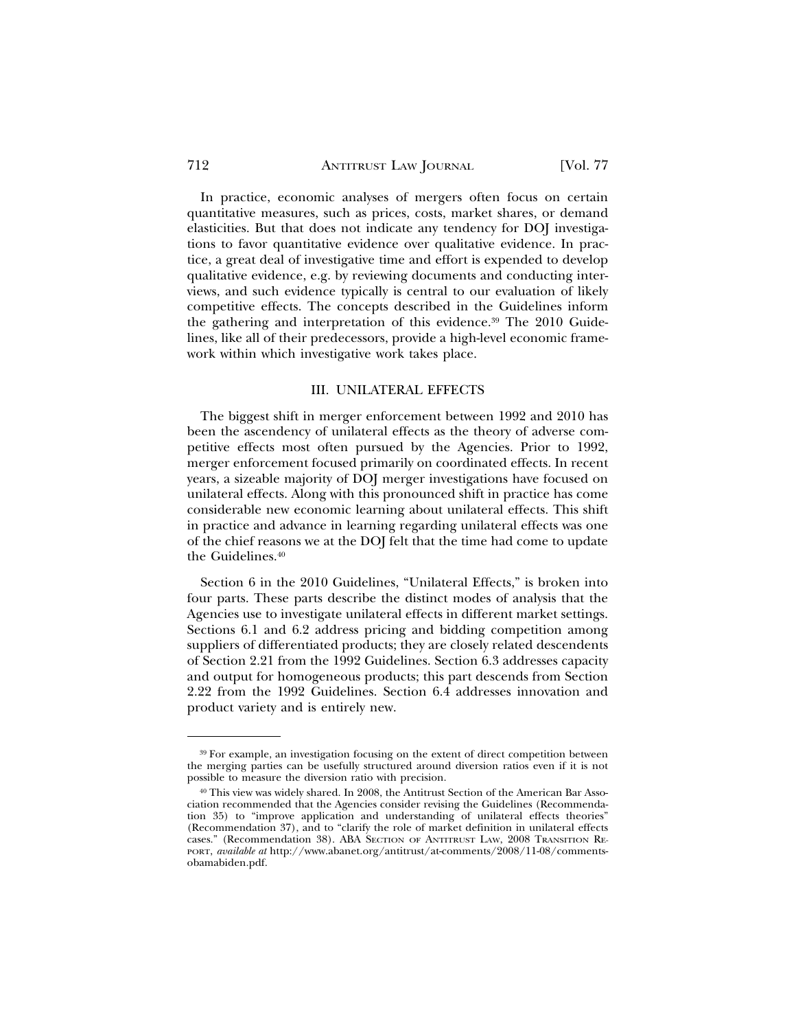In practice, economic analyses of mergers often focus on certain quantitative measures, such as prices, costs, market shares, or demand elasticities. But that does not indicate any tendency for DOJ investigations to favor quantitative evidence over qualitative evidence. In practice, a great deal of investigative time and effort is expended to develop qualitative evidence, e.g. by reviewing documents and conducting interviews, and such evidence typically is central to our evaluation of likely competitive effects. The concepts described in the Guidelines inform the gathering and interpretation of this evidence.<sup>39</sup> The 2010 Guidelines, like all of their predecessors, provide a high-level economic framework within which investigative work takes place.

## III. UNILATERAL EFFECTS

The biggest shift in merger enforcement between 1992 and 2010 has been the ascendency of unilateral effects as the theory of adverse competitive effects most often pursued by the Agencies. Prior to 1992, merger enforcement focused primarily on coordinated effects. In recent years, a sizeable majority of DOJ merger investigations have focused on unilateral effects. Along with this pronounced shift in practice has come considerable new economic learning about unilateral effects. This shift in practice and advance in learning regarding unilateral effects was one of the chief reasons we at the DOJ felt that the time had come to update the Guidelines.40

Section 6 in the 2010 Guidelines, "Unilateral Effects," is broken into four parts. These parts describe the distinct modes of analysis that the Agencies use to investigate unilateral effects in different market settings. Sections 6.1 and 6.2 address pricing and bidding competition among suppliers of differentiated products; they are closely related descendents of Section 2.21 from the 1992 Guidelines. Section 6.3 addresses capacity and output for homogeneous products; this part descends from Section 2.22 from the 1992 Guidelines. Section 6.4 addresses innovation and product variety and is entirely new.

<sup>39</sup> For example, an investigation focusing on the extent of direct competition between the merging parties can be usefully structured around diversion ratios even if it is not possible to measure the diversion ratio with precision.

<sup>40</sup> This view was widely shared. In 2008, the Antitrust Section of the American Bar Association recommended that the Agencies consider revising the Guidelines (Recommendation 35) to "improve application and understanding of unilateral effects theories" (Recommendation 37), and to "clarify the role of market definition in unilateral effects cases." (Recommendation 38). ABA SECTION OF ANTITRUST LAW, 2008 TRANSITION RE-PORT, *available at* http://www.abanet.org/antitrust/at-comments/2008/11-08/commentsobamabiden.pdf.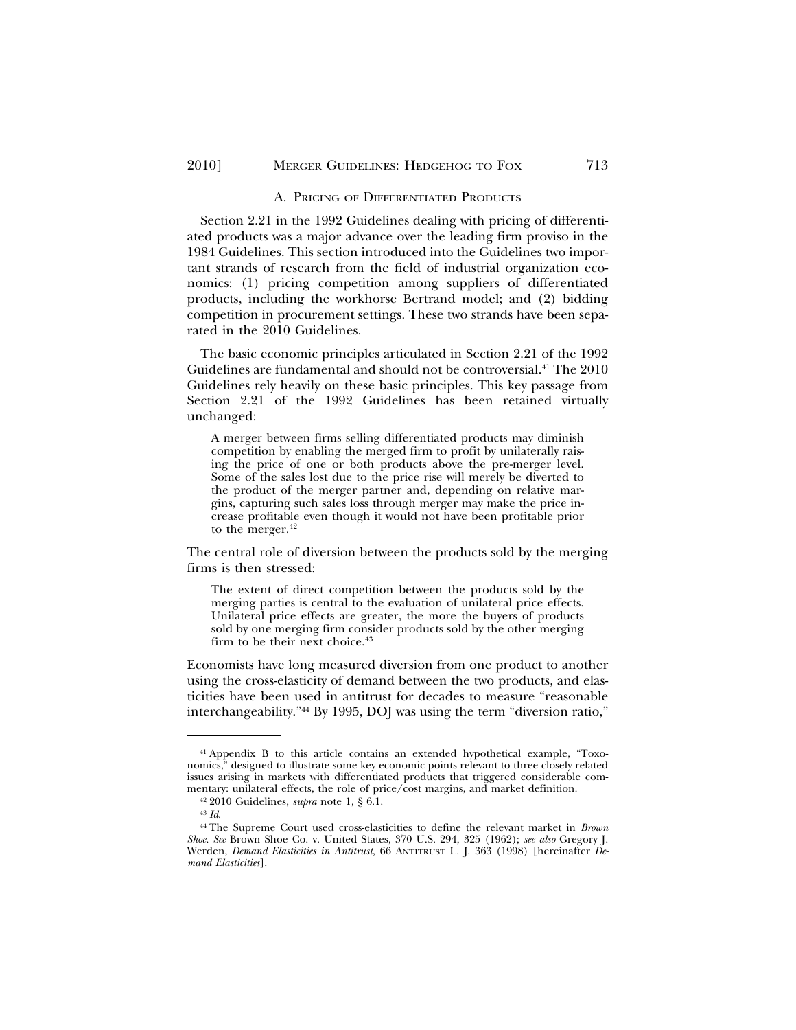# 2010] MERGER GUIDELINES: HEDGEHOG TO FOX 713

## A. PRICING OF DIFFERENTIATED PRODUCTS.

Section 2.21 in the 1992 Guidelines dealing with pricing of differentiated products was a major advance over the leading firm proviso in the 1984 Guidelines. This section introduced into the Guidelines two important strands of research from the field of industrial organization economics: (1) pricing competition among suppliers of differentiated products, including the workhorse Bertrand model; and (2) bidding competition in procurement settings. These two strands have been separated in the 2010 Guidelines.

The basic economic principles articulated in Section 2.21 of the 1992 Guidelines are fundamental and should not be controversial.41 The 2010 Guidelines rely heavily on these basic principles. This key passage from Section 2.21 of the 1992 Guidelines has been retained virtually unchanged:

A merger between firms selling differentiated products may diminish competition by enabling the merged firm to profit by unilaterally raising the price of one or both products above the pre-merger level. Some of the sales lost due to the price rise will merely be diverted to the product of the merger partner and, depending on relative margins, capturing such sales loss through merger may make the price increase profitable even though it would not have been profitable prior to the merger.<sup>42</sup>

The central role of diversion between the products sold by the merging firms is then stressed:

The extent of direct competition between the products sold by the merging parties is central to the evaluation of unilateral price effects. Unilateral price effects are greater, the more the buyers of products sold by one merging firm consider products sold by the other merging firm to be their next choice.<sup>43</sup>

Economists have long measured diversion from one product to another using the cross-elasticity of demand between the two products, and elasticities have been used in antitrust for decades to measure "reasonable interchangeability."44 By 1995, DOJ was using the term "diversion ratio,"

<sup>43</sup> *Id*.

<sup>41</sup> Appendix B to this article contains an extended hypothetical example, "Toxonomics," designed to illustrate some key economic points relevant to three closely related issues arising in markets with differentiated products that triggered considerable commentary: unilateral effects, the role of price/cost margins, and market definition.

<sup>42</sup> 2010 Guidelines, *supra* note 1, § 6.1.

<sup>44</sup> The Supreme Court used cross-elasticities to define the relevant market in *Brown Shoe. See* Brown Shoe Co. v. United States, 370 U.S. 294, 325 (1962); *see also* Gregory J. Werden, *Demand Elasticities in Antitrust*, 66 ANTITRUST L. J. 363 (1998) [hereinafter *Demand Elasticities*].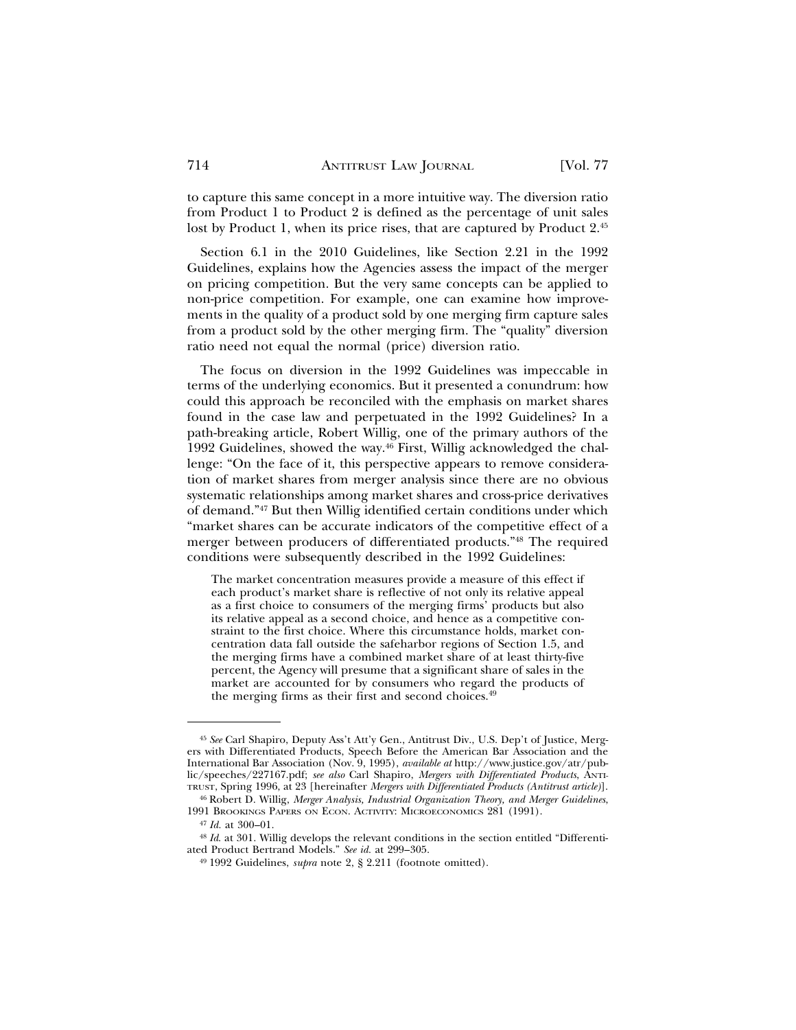to capture this same concept in a more intuitive way. The diversion ratio from Product 1 to Product 2 is defined as the percentage of unit sales lost by Product 1, when its price rises, that are captured by Product 2.<sup>45</sup>

Section 6.1 in the 2010 Guidelines, like Section 2.21 in the 1992 Guidelines, explains how the Agencies assess the impact of the merger on pricing competition. But the very same concepts can be applied to non-price competition. For example, one can examine how improvements in the quality of a product sold by one merging firm capture sales from a product sold by the other merging firm. The "quality" diversion ratio need not equal the normal (price) diversion ratio.

The focus on diversion in the 1992 Guidelines was impeccable in terms of the underlying economics. But it presented a conundrum: how could this approach be reconciled with the emphasis on market shares found in the case law and perpetuated in the 1992 Guidelines? In a path-breaking article, Robert Willig, one of the primary authors of the 1992 Guidelines, showed the way.46 First, Willig acknowledged the challenge: "On the face of it, this perspective appears to remove consideration of market shares from merger analysis since there are no obvious systematic relationships among market shares and cross-price derivatives of demand."47 But then Willig identified certain conditions under which "market shares can be accurate indicators of the competitive effect of a merger between producers of differentiated products."48 The required conditions were subsequently described in the 1992 Guidelines:

The market concentration measures provide a measure of this effect if each product's market share is reflective of not only its relative appeal as a first choice to consumers of the merging firms' products but also its relative appeal as a second choice, and hence as a competitive constraint to the first choice. Where this circumstance holds, market concentration data fall outside the safeharbor regions of Section 1.5, and the merging firms have a combined market share of at least thirty-five percent, the Agency will presume that a significant share of sales in the market are accounted for by consumers who regard the products of the merging firms as their first and second choices.49

<sup>45</sup> *See* Carl Shapiro, Deputy Ass't Att'y Gen., Antitrust Div., U.S. Dep't of Justice, Mergers with Differentiated Products, Speech Before the American Bar Association and the International Bar Association (Nov. 9, 1995), *available at* http://www.justice.gov/atr/public/speeches/227167.pdf; *see also* Carl Shapiro, *Mergers with Differentiated Products*, ANTI-TRUST, Spring 1996, at 23 [hereinafter *Mergers with Differentiated Products (Antitrust article)*].

<sup>46</sup> Robert D. Willig, *Merger Analysis, Industrial Organization Theory, and Merger Guidelines*, 1991 BROOKINGS PAPERS ON ECON. ACTIVITY: MICROECONOMICS 281 (1991).

<sup>47</sup> *Id.* at 300–01.

<sup>48</sup> *Id*. at 301. Willig develops the relevant conditions in the section entitled "Differentiated Product Bertrand Models." *See id.* at 299–305.

<sup>49</sup> 1992 Guidelines, *supra* note 2, § 2.211 (footnote omitted).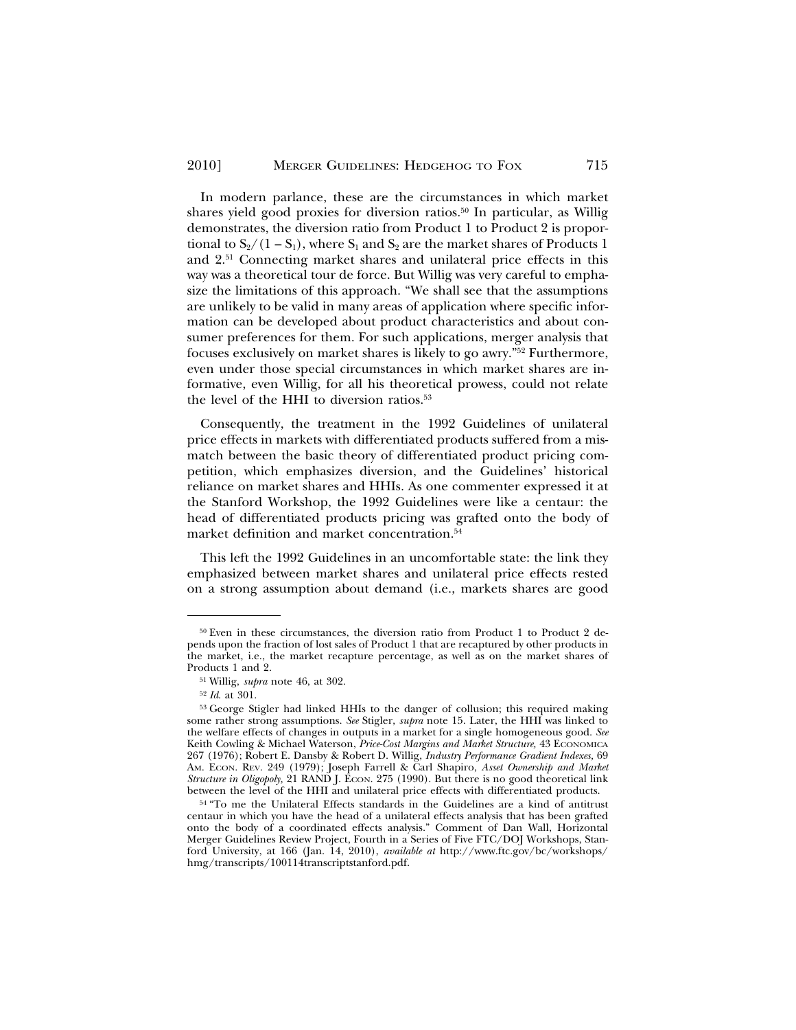In modern parlance, these are the circumstances in which market shares yield good proxies for diversion ratios.<sup>50</sup> In particular, as Willig demonstrates, the diversion ratio from Product 1 to Product 2 is proportional to  $S_2/(1 - S_1)$ , where  $S_1$  and  $S_2$  are the market shares of Products 1 and 2.51 Connecting market shares and unilateral price effects in this way was a theoretical tour de force. But Willig was very careful to emphasize the limitations of this approach. "We shall see that the assumptions are unlikely to be valid in many areas of application where specific information can be developed about product characteristics and about consumer preferences for them. For such applications, merger analysis that focuses exclusively on market shares is likely to go awry."52 Furthermore, even under those special circumstances in which market shares are informative, even Willig, for all his theoretical prowess, could not relate the level of the HHI to diversion ratios.<sup>53</sup>

Consequently, the treatment in the 1992 Guidelines of unilateral price effects in markets with differentiated products suffered from a mismatch between the basic theory of differentiated product pricing competition, which emphasizes diversion, and the Guidelines' historical reliance on market shares and HHIs. As one commenter expressed it at the Stanford Workshop, the 1992 Guidelines were like a centaur: the head of differentiated products pricing was grafted onto the body of market definition and market concentration.<sup>54</sup>

This left the 1992 Guidelines in an uncomfortable state: the link they emphasized between market shares and unilateral price effects rested on a strong assumption about demand (i.e., markets shares are good

 $50$  Even in these circumstances, the diversion ratio from Product 1 to Product 2 depends upon the fraction of lost sales of Product 1 that are recaptured by other products in the market, i.e., the market recapture percentage, as well as on the market shares of Products 1 and 2.

<sup>51</sup> Willig, *supra* note 46, at 302.

<sup>52</sup> *Id*. at 301.

<sup>53</sup> George Stigler had linked HHIs to the danger of collusion; this required making some rather strong assumptions. *See* Stigler, *supra* note 15. Later, the HHI was linked to the welfare effects of changes in outputs in a market for a single homogeneous good. *See* Keith Cowling & Michael Waterson, *Price-Cost Margins and Market Structure*, 43 ECONOMICA 267 (1976); Robert E. Dansby & Robert D. Willig, *Industry Performance Gradient Indexes,* 69 AM. ECON. REV. 249 (1979); Joseph Farrell & Carl Shapiro, *Asset Ownership and Market Structure in Oligopoly*, 21 RAND J. ECON. 275 (1990). But there is no good theoretical link between the level of the HHI and unilateral price effects with differentiated products.

<sup>54</sup> "To me the Unilateral Effects standards in the Guidelines are a kind of antitrust centaur in which you have the head of a unilateral effects analysis that has been grafted onto the body of a coordinated effects analysis." Comment of Dan Wall, Horizontal Merger Guidelines Review Project, Fourth in a Series of Five FTC/DOJ Workshops, Stanford University, at 166 (Jan. 14, 2010), *available at* http://www.ftc.gov/bc/workshops/ hmg/transcripts/100114transcriptstanford.pdf.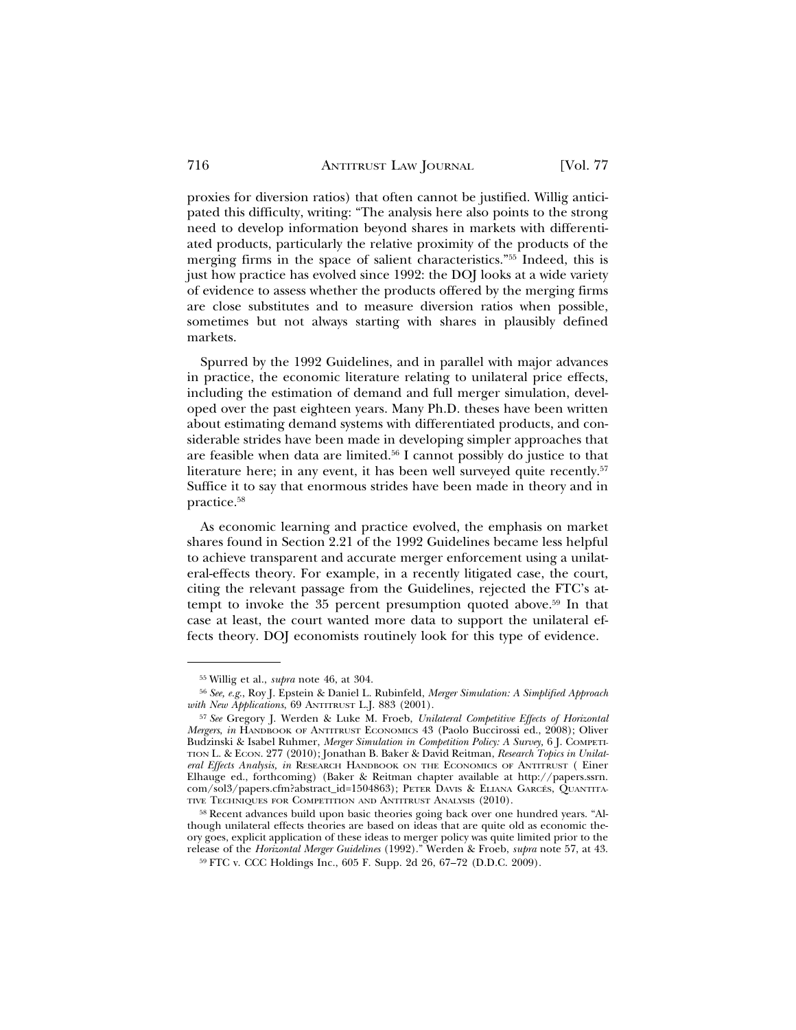proxies for diversion ratios) that often cannot be justified. Willig anticipated this difficulty, writing: "The analysis here also points to the strong need to develop information beyond shares in markets with differentiated products, particularly the relative proximity of the products of the merging firms in the space of salient characteristics."55 Indeed, this is just how practice has evolved since 1992: the DOJ looks at a wide variety of evidence to assess whether the products offered by the merging firms are close substitutes and to measure diversion ratios when possible, sometimes but not always starting with shares in plausibly defined markets.

Spurred by the 1992 Guidelines, and in parallel with major advances in practice, the economic literature relating to unilateral price effects, including the estimation of demand and full merger simulation, developed over the past eighteen years. Many Ph.D. theses have been written about estimating demand systems with differentiated products, and considerable strides have been made in developing simpler approaches that are feasible when data are limited.56 I cannot possibly do justice to that literature here; in any event, it has been well surveyed quite recently.<sup>57</sup> Suffice it to say that enormous strides have been made in theory and in practice.58

As economic learning and practice evolved, the emphasis on market shares found in Section 2.21 of the 1992 Guidelines became less helpful to achieve transparent and accurate merger enforcement using a unilateral-effects theory. For example, in a recently litigated case, the court, citing the relevant passage from the Guidelines, rejected the FTC's attempt to invoke the 35 percent presumption quoted above.<sup>59</sup> In that case at least, the court wanted more data to support the unilateral effects theory. DOJ economists routinely look for this type of evidence.

<sup>55</sup> Willig et al., *supra* note 46, at 304.

<sup>56</sup> *See, e.g*., Roy J. Epstein & Daniel L. Rubinfeld, *Merger Simulation: A Simplified Approach with New Applications*, 69 ANTITRUST L.J. 883 (2001).

<sup>57</sup> *See* Gregory J. Werden & Luke M. Froeb, *Unilateral Competitive Effects of Horizontal Mergers*, *in* HANDBOOK OF ANTITRUST ECONOMICS 43 (Paolo Buccirossi ed., 2008); Oliver Budzinski & Isabel Ruhmer, *Merger Simulation in Competition Policy: A Survey,* 6 J. COMPETI-TION L. & ECON. 277 (2010); Jonathan B. Baker & David Reitman, *Research Topics in Unilateral Effects Analysis, in* RESEARCH HANDBOOK ON THE ECONOMICS OF ANTITRUST ( Einer Elhauge ed., forthcoming) (Baker & Reitman chapter available at http://papers.ssrn. com/sol3/papers.cfm?abstract\_id=1504863); PETER DAVIS & ELIANA GARCES, QUANTITA-TIVE TECHNIQUES FOR COMPETITION AND ANTITRUST ANALYSIS (2010).

<sup>58</sup> Recent advances build upon basic theories going back over one hundred years. "Although unilateral effects theories are based on ideas that are quite old as economic theory goes, explicit application of these ideas to merger policy was quite limited prior to the release of the *Horizontal Merger Guidelines* (1992)." Werden & Froeb, *supra* note 57, at 43.

<sup>59</sup> FTC v. CCC Holdings Inc., 605 F. Supp. 2d 26, 67–72 (D.D.C. 2009).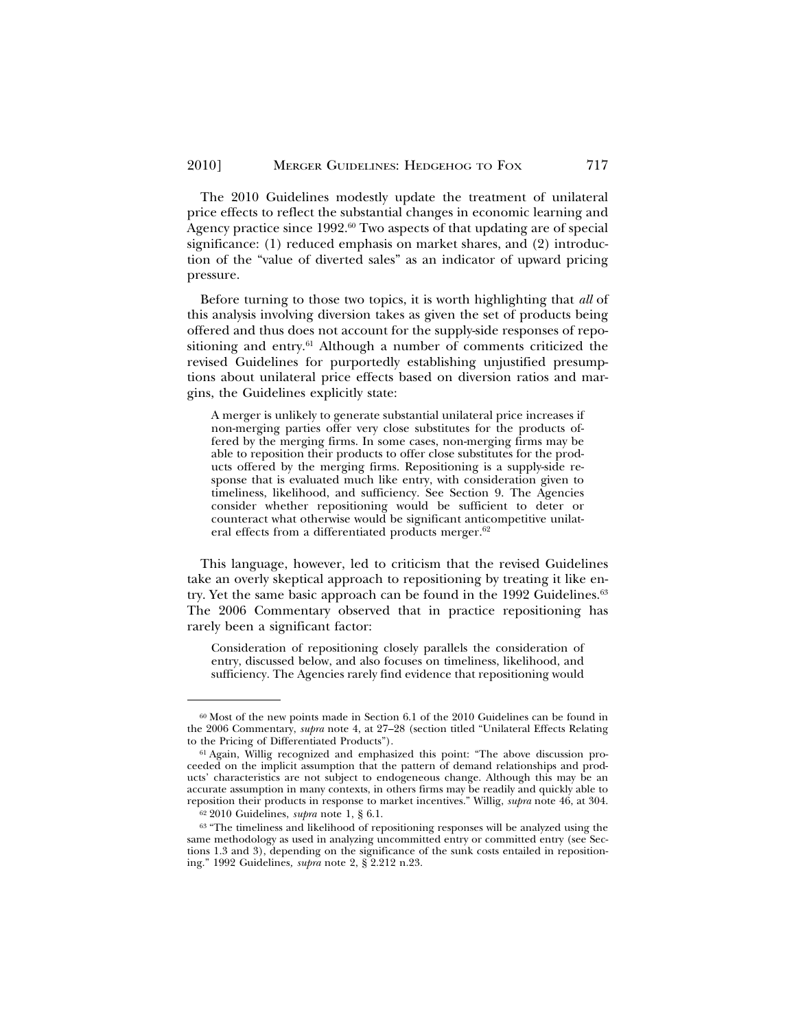The 2010 Guidelines modestly update the treatment of unilateral price effects to reflect the substantial changes in economic learning and Agency practice since 1992.<sup>60</sup> Two aspects of that updating are of special significance: (1) reduced emphasis on market shares, and (2) introduction of the "value of diverted sales" as an indicator of upward pricing pressure.

Before turning to those two topics, it is worth highlighting that *all* of this analysis involving diversion takes as given the set of products being offered and thus does not account for the supply-side responses of repositioning and entry. $61$  Although a number of comments criticized the revised Guidelines for purportedly establishing unjustified presumptions about unilateral price effects based on diversion ratios and margins, the Guidelines explicitly state:

A merger is unlikely to generate substantial unilateral price increases if non-merging parties offer very close substitutes for the products offered by the merging firms. In some cases, non-merging firms may be able to reposition their products to offer close substitutes for the products offered by the merging firms. Repositioning is a supply-side response that is evaluated much like entry, with consideration given to timeliness, likelihood, and sufficiency. See Section 9. The Agencies consider whether repositioning would be sufficient to deter or counteract what otherwise would be significant anticompetitive unilateral effects from a differentiated products merger.<sup>62</sup>

This language, however, led to criticism that the revised Guidelines take an overly skeptical approach to repositioning by treating it like entry. Yet the same basic approach can be found in the 1992 Guidelines.<sup>63</sup> The 2006 Commentary observed that in practice repositioning has rarely been a significant factor:

Consideration of repositioning closely parallels the consideration of entry, discussed below, and also focuses on timeliness, likelihood, and sufficiency. The Agencies rarely find evidence that repositioning would

<sup>60</sup> Most of the new points made in Section 6.1 of the 2010 Guidelines can be found in the 2006 Commentary, *supra* note 4, at 27–28 (section titled "Unilateral Effects Relating to the Pricing of Differentiated Products").

<sup>61</sup> Again, Willig recognized and emphasized this point: "The above discussion proceeded on the implicit assumption that the pattern of demand relationships and products' characteristics are not subject to endogeneous change. Although this may be an accurate assumption in many contexts, in others firms may be readily and quickly able to reposition their products in response to market incentives." Willig, *supra* note 46, at 304.

<sup>62</sup> 2010 Guidelines, *supra* note 1, § 6.1.

<sup>63</sup> "The timeliness and likelihood of repositioning responses will be analyzed using the same methodology as used in analyzing uncommitted entry or committed entry (see Sections 1.3 and 3), depending on the significance of the sunk costs entailed in repositioning." 1992 Guidelines*, supra* note 2, § 2.212 n.23.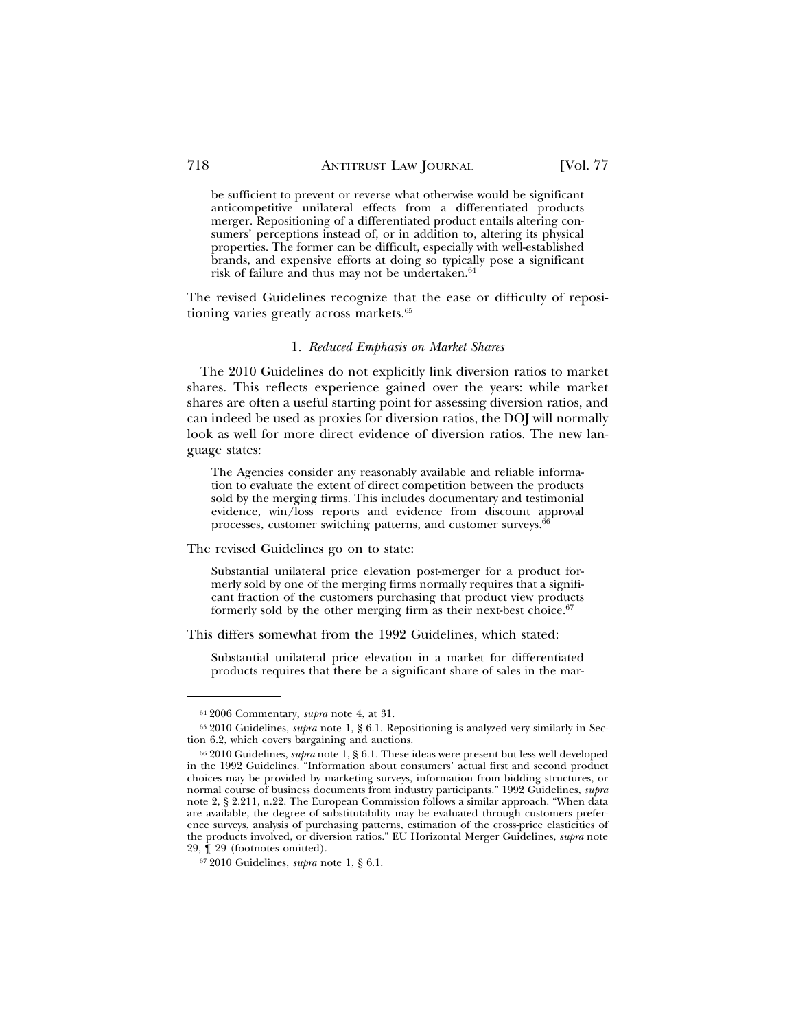be sufficient to prevent or reverse what otherwise would be significant anticompetitive unilateral effects from a differentiated products merger. Repositioning of a differentiated product entails altering consumers' perceptions instead of, or in addition to, altering its physical properties. The former can be difficult, especially with well-established brands, and expensive efforts at doing so typically pose a significant risk of failure and thus may not be undertaken.<sup>64</sup>

The revised Guidelines recognize that the ease or difficulty of repositioning varies greatly across markets.65

#### 1. *Reduced Emphasis on Market Shares*

The 2010 Guidelines do not explicitly link diversion ratios to market shares. This reflects experience gained over the years: while market shares are often a useful starting point for assessing diversion ratios, and can indeed be used as proxies for diversion ratios, the DOJ will normally look as well for more direct evidence of diversion ratios. The new language states:

The Agencies consider any reasonably available and reliable information to evaluate the extent of direct competition between the products sold by the merging firms. This includes documentary and testimonial evidence, win/loss reports and evidence from discount approval processes, customer switching patterns, and customer surveys.<sup>66</sup>

The revised Guidelines go on to state:

Substantial unilateral price elevation post-merger for a product formerly sold by one of the merging firms normally requires that a significant fraction of the customers purchasing that product view products formerly sold by the other merging firm as their next-best choice. $67$ 

#### This differs somewhat from the 1992 Guidelines, which stated:

Substantial unilateral price elevation in a market for differentiated products requires that there be a significant share of sales in the mar-

<sup>64</sup> 2006 Commentary, *supra* note 4, at 31.

<sup>65</sup> 2010 Guidelines, *supra* note 1, § 6.1. Repositioning is analyzed very similarly in Section 6.2, which covers bargaining and auctions.

<sup>66</sup> 2010 Guidelines, *supra* note 1, § 6.1. These ideas were present but less well developed in the 1992 Guidelines. "Information about consumers' actual first and second product choices may be provided by marketing surveys, information from bidding structures, or normal course of business documents from industry participants." 1992 Guidelines, *supra* note 2, § 2.211, n.22. The European Commission follows a similar approach. "When data are available, the degree of substitutability may be evaluated through customers preference surveys, analysis of purchasing patterns, estimation of the cross-price elasticities of the products involved, or diversion ratios." EU Horizontal Merger Guidelines, *supra* note 29, ¶ 29 (footnotes omitted).

<sup>67</sup> 2010 Guidelines, *supra* note 1, § 6.1.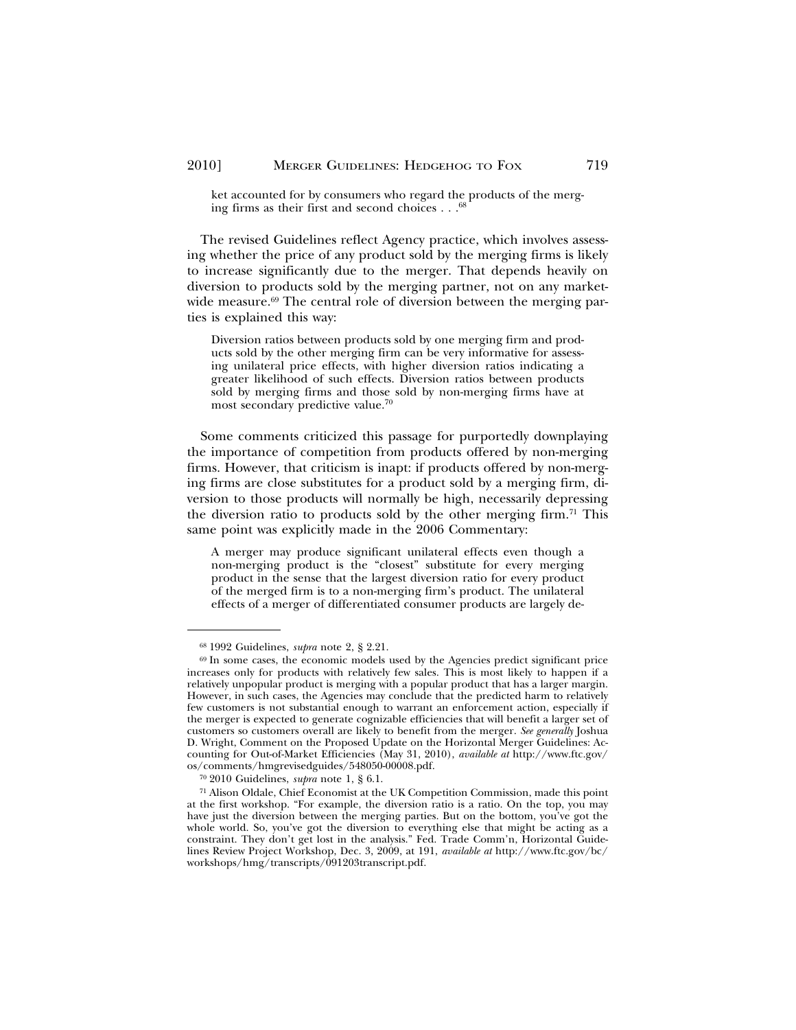ket accounted for by consumers who regard the products of the merging firms as their first and second choices  $\ldots$ <sup>6</sup>

The revised Guidelines reflect Agency practice, which involves assessing whether the price of any product sold by the merging firms is likely to increase significantly due to the merger. That depends heavily on diversion to products sold by the merging partner, not on any marketwide measure.<sup>69</sup> The central role of diversion between the merging parties is explained this way:

Diversion ratios between products sold by one merging firm and products sold by the other merging firm can be very informative for assessing unilateral price effects, with higher diversion ratios indicating a greater likelihood of such effects. Diversion ratios between products sold by merging firms and those sold by non-merging firms have at most secondary predictive value.<sup>70</sup>

Some comments criticized this passage for purportedly downplaying the importance of competition from products offered by non-merging firms. However, that criticism is inapt: if products offered by non-merging firms are close substitutes for a product sold by a merging firm, diversion to those products will normally be high, necessarily depressing the diversion ratio to products sold by the other merging firm.<sup>71</sup> This same point was explicitly made in the 2006 Commentary:

A merger may produce significant unilateral effects even though a non-merging product is the "closest" substitute for every merging product in the sense that the largest diversion ratio for every product of the merged firm is to a non-merging firm's product. The unilateral effects of a merger of differentiated consumer products are largely de-

<sup>68</sup> 1992 Guidelines, *supra* note 2, § 2.21.

<sup>69</sup> In some cases, the economic models used by the Agencies predict significant price increases only for products with relatively few sales. This is most likely to happen if a relatively unpopular product is merging with a popular product that has a larger margin. However, in such cases, the Agencies may conclude that the predicted harm to relatively few customers is not substantial enough to warrant an enforcement action, especially if the merger is expected to generate cognizable efficiencies that will benefit a larger set of customers so customers overall are likely to benefit from the merger. *See generally* Joshua D. Wright, Comment on the Proposed Update on the Horizontal Merger Guidelines: Accounting for Out-of-Market Efficiencies (May 31, 2010), *available at* http://www.ftc.gov/ os/comments/hmgrevisedguides/548050-00008.pdf.

<sup>70</sup> 2010 Guidelines, *supra* note 1, § 6.1.

<sup>71</sup> Alison Oldale, Chief Economist at the UK Competition Commission, made this point at the first workshop. "For example, the diversion ratio is a ratio. On the top, you may have just the diversion between the merging parties. But on the bottom, you've got the whole world. So, you've got the diversion to everything else that might be acting as a constraint. They don't get lost in the analysis." Fed. Trade Comm'n, Horizontal Guidelines Review Project Workshop, Dec. 3, 2009, at 191, *available at* http://www.ftc.gov/bc/ workshops/hmg/transcripts/091203transcript.pdf.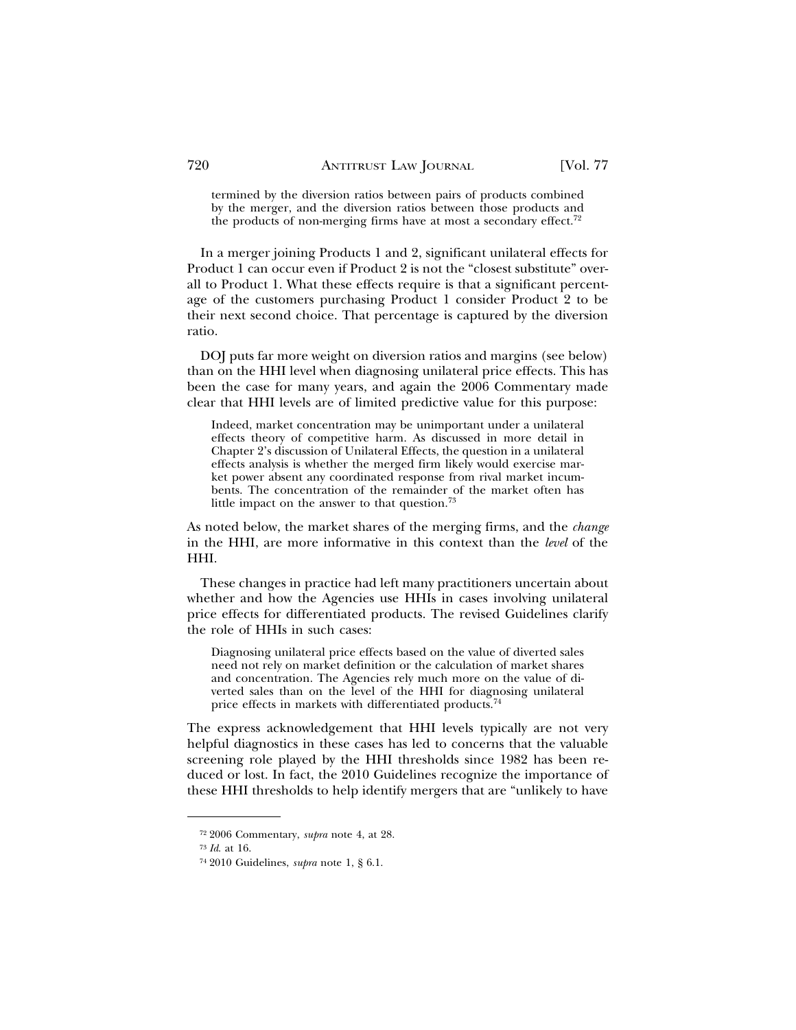termined by the diversion ratios between pairs of products combined by the merger, and the diversion ratios between those products and the products of non-merging firms have at most a secondary effect.<sup>72</sup>

In a merger joining Products 1 and 2, significant unilateral effects for Product 1 can occur even if Product 2 is not the "closest substitute" overall to Product 1. What these effects require is that a significant percentage of the customers purchasing Product 1 consider Product 2 to be their next second choice. That percentage is captured by the diversion ratio.

DOJ puts far more weight on diversion ratios and margins (see below) than on the HHI level when diagnosing unilateral price effects. This has been the case for many years, and again the 2006 Commentary made clear that HHI levels are of limited predictive value for this purpose:

Indeed, market concentration may be unimportant under a unilateral effects theory of competitive harm. As discussed in more detail in Chapter 2's discussion of Unilateral Effects, the question in a unilateral effects analysis is whether the merged firm likely would exercise market power absent any coordinated response from rival market incumbents. The concentration of the remainder of the market often has little impact on the answer to that question.<sup>73</sup>

As noted below, the market shares of the merging firms, and the *change* in the HHI, are more informative in this context than the *level* of the HHI.

These changes in practice had left many practitioners uncertain about whether and how the Agencies use HHIs in cases involving unilateral price effects for differentiated products. The revised Guidelines clarify the role of HHIs in such cases:

Diagnosing unilateral price effects based on the value of diverted sales need not rely on market definition or the calculation of market shares and concentration. The Agencies rely much more on the value of diverted sales than on the level of the HHI for diagnosing unilateral price effects in markets with differentiated products.<sup>74</sup>

The express acknowledgement that HHI levels typically are not very helpful diagnostics in these cases has led to concerns that the valuable screening role played by the HHI thresholds since 1982 has been reduced or lost. In fact, the 2010 Guidelines recognize the importance of these HHI thresholds to help identify mergers that are "unlikely to have

<sup>72</sup> 2006 Commentary, *supra* note 4, at 28.

<sup>73</sup> *Id*. at 16.

<sup>74</sup> 2010 Guidelines, *supra* note 1, § 6.1.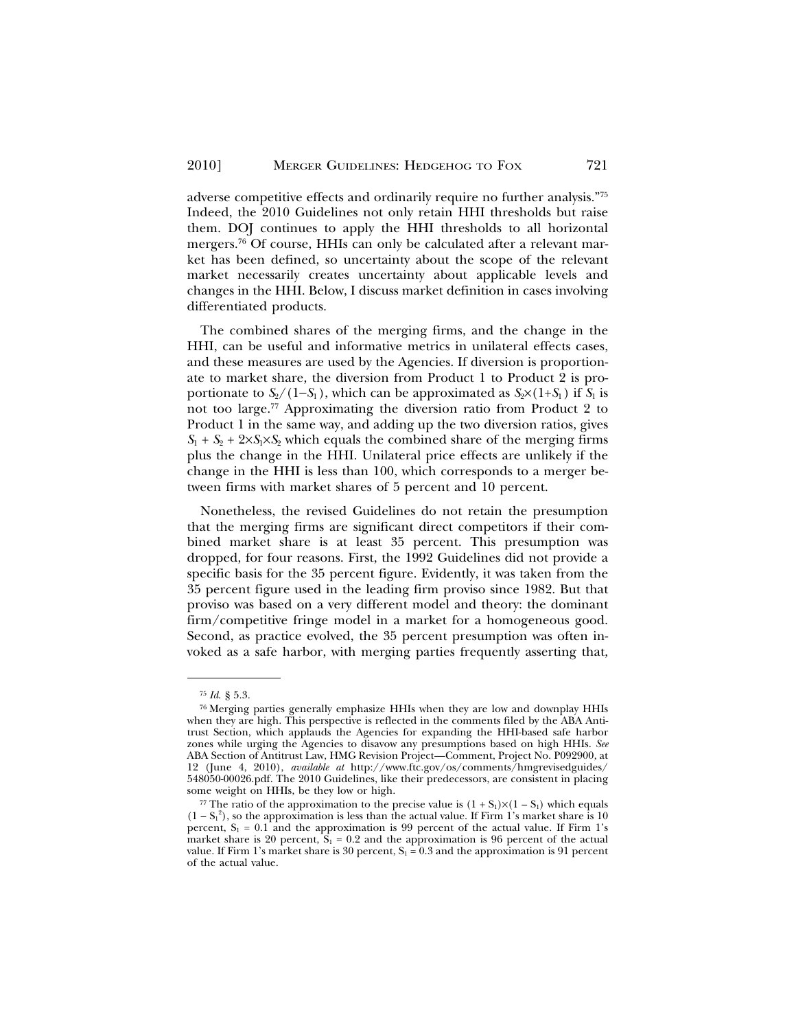adverse competitive effects and ordinarily require no further analysis."75 Indeed, the 2010 Guidelines not only retain HHI thresholds but raise them. DOJ continues to apply the HHI thresholds to all horizontal mergers.76 Of course, HHIs can only be calculated after a relevant market has been defined, so uncertainty about the scope of the relevant market necessarily creates uncertainty about applicable levels and changes in the HHI. Below, I discuss market definition in cases involving differentiated products.

The combined shares of the merging firms, and the change in the HHI, can be useful and informative metrics in unilateral effects cases, and these measures are used by the Agencies. If diversion is proportionate to market share, the diversion from Product 1 to Product 2 is proportionate to  $S_2/(1-S_1)$ , which can be approximated as  $S_2 \times (1+S_1)$  if  $S_1$  is not too large.77 Approximating the diversion ratio from Product 2 to Product 1 in the same way, and adding up the two diversion ratios, gives  $S_1 + S_2 + 2 \times S_1 \times S_2$  which equals the combined share of the merging firms plus the change in the HHI. Unilateral price effects are unlikely if the change in the HHI is less than 100, which corresponds to a merger between firms with market shares of 5 percent and 10 percent.

Nonetheless, the revised Guidelines do not retain the presumption that the merging firms are significant direct competitors if their combined market share is at least 35 percent. This presumption was dropped, for four reasons. First, the 1992 Guidelines did not provide a specific basis for the 35 percent figure. Evidently, it was taken from the 35 percent figure used in the leading firm proviso since 1982. But that proviso was based on a very different model and theory: the dominant firm/competitive fringe model in a market for a homogeneous good. Second, as practice evolved, the 35 percent presumption was often invoked as a safe harbor, with merging parties frequently asserting that,

<sup>75</sup> *Id*. § 5.3.

<sup>76</sup> Merging parties generally emphasize HHIs when they are low and downplay HHIs when they are high. This perspective is reflected in the comments filed by the ABA Antitrust Section, which applauds the Agencies for expanding the HHI-based safe harbor zones while urging the Agencies to disavow any presumptions based on high HHIs. *See* ABA Section of Antitrust Law, HMG Revision Project—Comment, Project No. P092900, at 12 (June 4, 2010), *available at* http://www.ftc.gov/os/comments/hmgrevisedguides/ 548050-00026.pdf. The 2010 Guidelines, like their predecessors, are consistent in placing some weight on HHIs, be they low or high.

<sup>&</sup>lt;sup>77</sup> The ratio of the approximation to the precise value is  $(1 + S_1) \times (1 - S_1)$  which equals  $(1 - S<sub>1</sub><sup>2</sup>)$ , so the approximation is less than the actual value. If Firm 1's market share is 10 percent,  $S_1 = 0.1$  and the approximation is 99 percent of the actual value. If Firm 1's market share is 20 percent,  $S_1 = 0.2$  and the approximation is 96 percent of the actual value. If Firm 1's market share is 30 percent,  $S_1 = 0.3$  and the approximation is 91 percent of the actual value.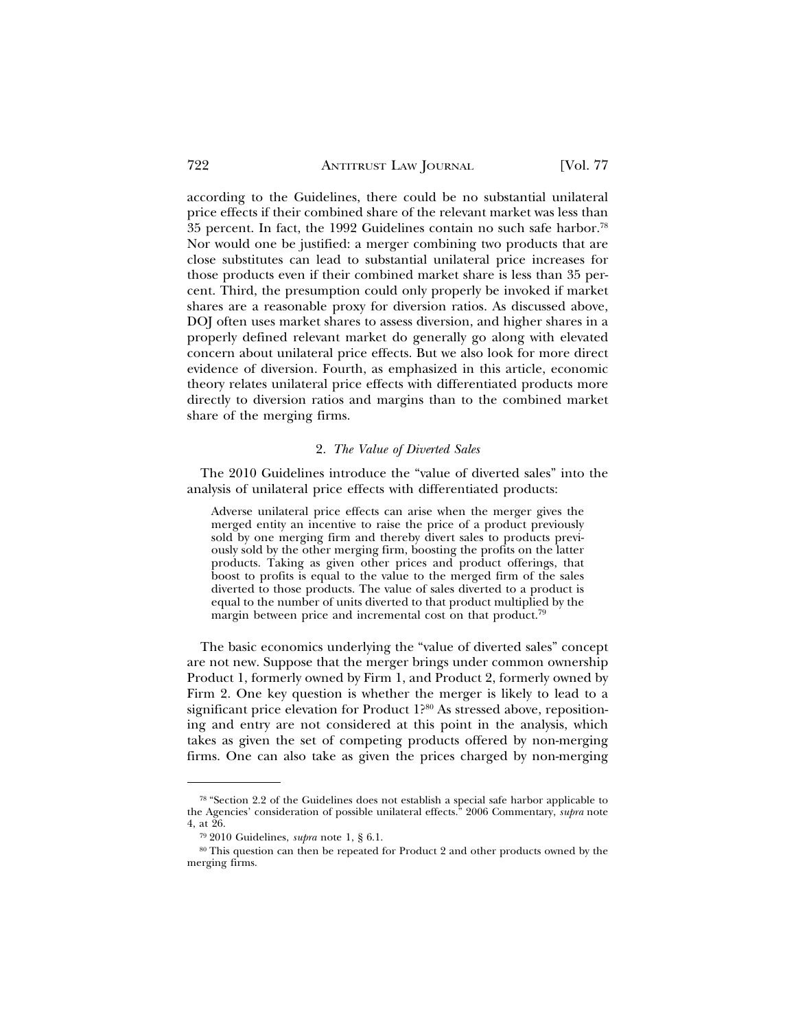according to the Guidelines, there could be no substantial unilateral price effects if their combined share of the relevant market was less than 35 percent. In fact, the 1992 Guidelines contain no such safe harbor.78 Nor would one be justified: a merger combining two products that are close substitutes can lead to substantial unilateral price increases for those products even if their combined market share is less than 35 percent. Third, the presumption could only properly be invoked if market shares are a reasonable proxy for diversion ratios. As discussed above, DOJ often uses market shares to assess diversion, and higher shares in a properly defined relevant market do generally go along with elevated concern about unilateral price effects. But we also look for more direct evidence of diversion. Fourth, as emphasized in this article, economic theory relates unilateral price effects with differentiated products more directly to diversion ratios and margins than to the combined market share of the merging firms.

#### 2. *The Value of Diverted Sales*

The 2010 Guidelines introduce the "value of diverted sales" into the analysis of unilateral price effects with differentiated products:

Adverse unilateral price effects can arise when the merger gives the merged entity an incentive to raise the price of a product previously sold by one merging firm and thereby divert sales to products previously sold by the other merging firm, boosting the profits on the latter products. Taking as given other prices and product offerings, that boost to profits is equal to the value to the merged firm of the sales diverted to those products. The value of sales diverted to a product is equal to the number of units diverted to that product multiplied by the margin between price and incremental cost on that product.<sup>79</sup>

The basic economics underlying the "value of diverted sales" concept are not new. Suppose that the merger brings under common ownership Product 1, formerly owned by Firm 1, and Product 2, formerly owned by Firm 2. One key question is whether the merger is likely to lead to a significant price elevation for Product  $1<sup>80</sup>$  As stressed above, repositioning and entry are not considered at this point in the analysis, which takes as given the set of competing products offered by non-merging firms. One can also take as given the prices charged by non-merging

<sup>78</sup> "Section 2.2 of the Guidelines does not establish a special safe harbor applicable to the Agencies' consideration of possible unilateral effects." 2006 Commentary, *supra* note 4, at 26.

<sup>79</sup> 2010 Guidelines, *supra* note 1, § 6.1.

<sup>80</sup> This question can then be repeated for Product 2 and other products owned by the merging firms.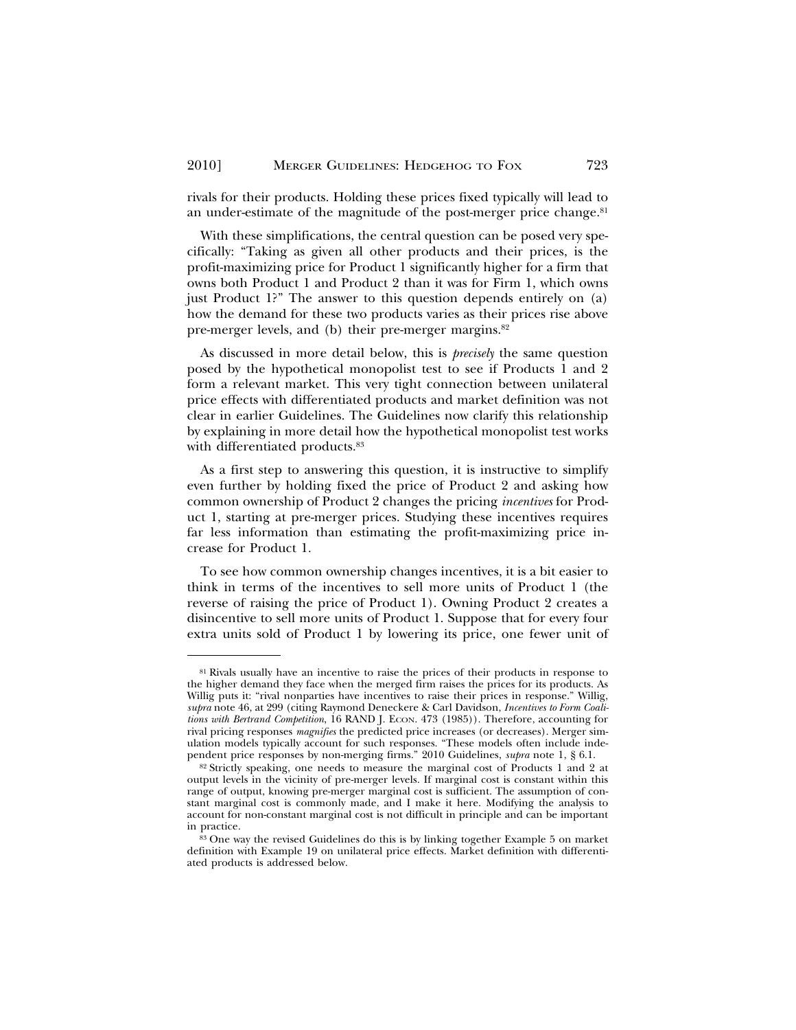rivals for their products. Holding these prices fixed typically will lead to an under-estimate of the magnitude of the post-merger price change.<sup>81</sup>

With these simplifications, the central question can be posed very specifically: "Taking as given all other products and their prices, is the profit-maximizing price for Product 1 significantly higher for a firm that owns both Product 1 and Product 2 than it was for Firm 1, which owns just Product 1?" The answer to this question depends entirely on (a) how the demand for these two products varies as their prices rise above pre-merger levels, and (b) their pre-merger margins.<sup>82</sup>

As discussed in more detail below, this is *precisely* the same question posed by the hypothetical monopolist test to see if Products 1 and 2 form a relevant market. This very tight connection between unilateral price effects with differentiated products and market definition was not clear in earlier Guidelines. The Guidelines now clarify this relationship by explaining in more detail how the hypothetical monopolist test works with differentiated products.<sup>83</sup>

As a first step to answering this question, it is instructive to simplify even further by holding fixed the price of Product 2 and asking how common ownership of Product 2 changes the pricing *incentives* for Product 1, starting at pre-merger prices. Studying these incentives requires far less information than estimating the profit-maximizing price increase for Product 1.

To see how common ownership changes incentives, it is a bit easier to think in terms of the incentives to sell more units of Product 1 (the reverse of raising the price of Product 1). Owning Product 2 creates a disincentive to sell more units of Product 1. Suppose that for every four extra units sold of Product 1 by lowering its price, one fewer unit of

<sup>&</sup>lt;sup>81</sup> Rivals usually have an incentive to raise the prices of their products in response to the higher demand they face when the merged firm raises the prices for its products. As Willig puts it: "rival nonparties have incentives to raise their prices in response." Willig, *supra* note 46, at 299 (citing Raymond Deneckere & Carl Davidson, *Incentives to Form Coalitions with Bertrand Competition*, 16 RAND J. ECON. 473 (1985)). Therefore, accounting for rival pricing responses *magnifies* the predicted price increases (or decreases). Merger simulation models typically account for such responses. "These models often include independent price responses by non-merging firms." 2010 Guidelines, *supra* note 1, § 6.1.

<sup>82</sup> Strictly speaking, one needs to measure the marginal cost of Products 1 and 2 at output levels in the vicinity of pre-merger levels. If marginal cost is constant within this range of output, knowing pre-merger marginal cost is sufficient. The assumption of constant marginal cost is commonly made, and I make it here. Modifying the analysis to account for non-constant marginal cost is not difficult in principle and can be important in practice.

<sup>83</sup> One way the revised Guidelines do this is by linking together Example 5 on market definition with Example 19 on unilateral price effects. Market definition with differentiated products is addressed below.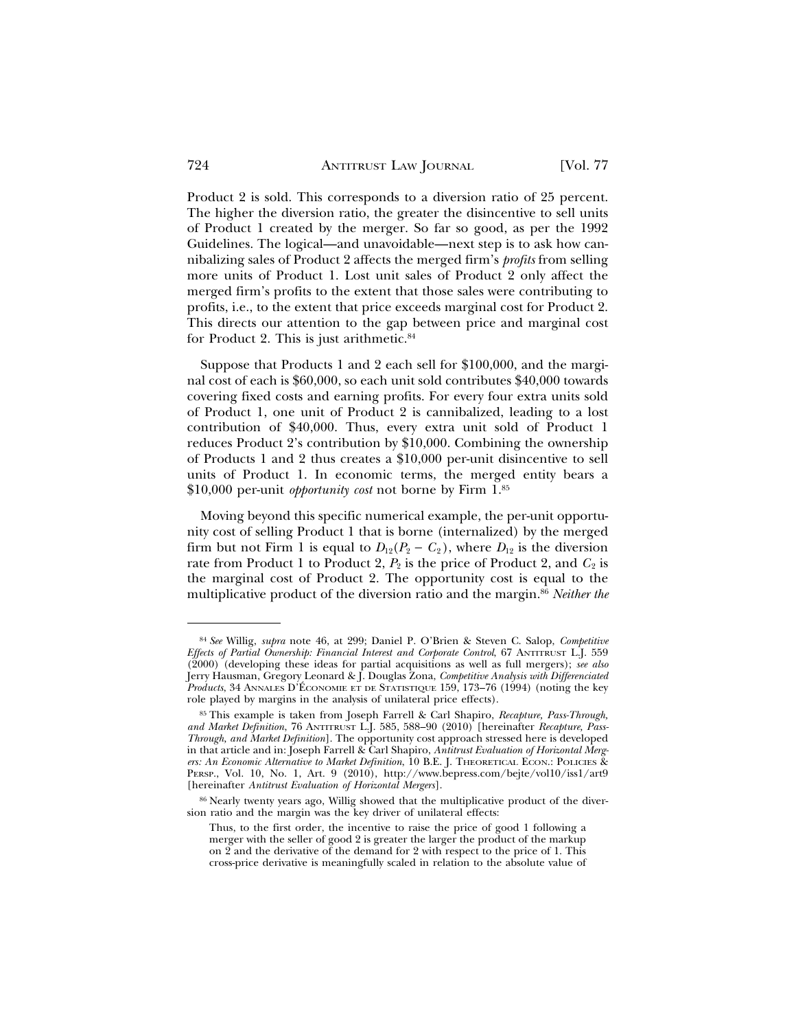Product 2 is sold. This corresponds to a diversion ratio of 25 percent. The higher the diversion ratio, the greater the disincentive to sell units of Product 1 created by the merger. So far so good, as per the 1992 Guidelines. The logical—and unavoidable—next step is to ask how cannibalizing sales of Product 2 affects the merged firm's *profits* from selling more units of Product 1. Lost unit sales of Product 2 only affect the merged firm's profits to the extent that those sales were contributing to profits, i.e., to the extent that price exceeds marginal cost for Product 2. This directs our attention to the gap between price and marginal cost for Product 2. This is just arithmetic.<sup>84</sup>

Suppose that Products 1 and 2 each sell for \$100,000, and the marginal cost of each is \$60,000, so each unit sold contributes \$40,000 towards covering fixed costs and earning profits. For every four extra units sold of Product 1, one unit of Product 2 is cannibalized, leading to a lost contribution of \$40,000. Thus, every extra unit sold of Product 1 reduces Product 2's contribution by \$10,000. Combining the ownership of Products 1 and 2 thus creates a \$10,000 per-unit disincentive to sell units of Product 1. In economic terms, the merged entity bears a \$10,000 per-unit *opportunity cost* not borne by Firm 1.85

Moving beyond this specific numerical example, the per-unit opportunity cost of selling Product 1 that is borne (internalized) by the merged firm but not Firm 1 is equal to  $D_{12}(P_2 - C_2)$ , where  $D_{12}$  is the diversion rate from Product 1 to Product 2,  $P_2$  is the price of Product 2, and  $C_2$  is the marginal cost of Product 2. The opportunity cost is equal to the multiplicative product of the diversion ratio and the margin.86 *Neither the*

<sup>84</sup> *See* Willig, *supra* note 46, at 299; Daniel P. O'Brien & Steven C. Salop, *Competitive Effects of Partial Ownership: Financial Interest and Corporate Control*, 67 ANTITRUST L.J. 559 (2000) (developing these ideas for partial acquisitions as well as full mergers); *see also* Jerry Hausman, Gregory Leonard & J. Douglas Zona, *Competitive Analysis with Differenciated Products*, 34 ANNALES D'ÉCONOMIE ET DE STATISTIQUE 159, 173–76 (1994) (noting the key role played by margins in the analysis of unilateral price effects).

<sup>85</sup> This example is taken from Joseph Farrell & Carl Shapiro, *Recapture, Pass-Through, and Market Definition*, 76 ANTITRUST L.J. 585, 588–90 (2010) [hereinafter *Recapture, Pass-Through, and Market Definition*]. The opportunity cost approach stressed here is developed in that article and in: Joseph Farrell & Carl Shapiro, *Antitrust Evaluation of Horizontal Mergers: An Economic Alternative to Market Definition*, 10 B.E. J. THEORETICAL ECON.: POLICIES & PERSP., Vol. 10, No. 1, Art. 9 (2010), http://www.bepress.com/bejte/vol10/iss1/art9 [hereinafter *Antitrust Evaluation of Horizontal Mergers*].

<sup>86</sup> Nearly twenty years ago, Willig showed that the multiplicative product of the diversion ratio and the margin was the key driver of unilateral effects:

Thus, to the first order, the incentive to raise the price of good 1 following a merger with the seller of good 2 is greater the larger the product of the markup on 2 and the derivative of the demand for 2 with respect to the price of 1. This cross-price derivative is meaningfully scaled in relation to the absolute value of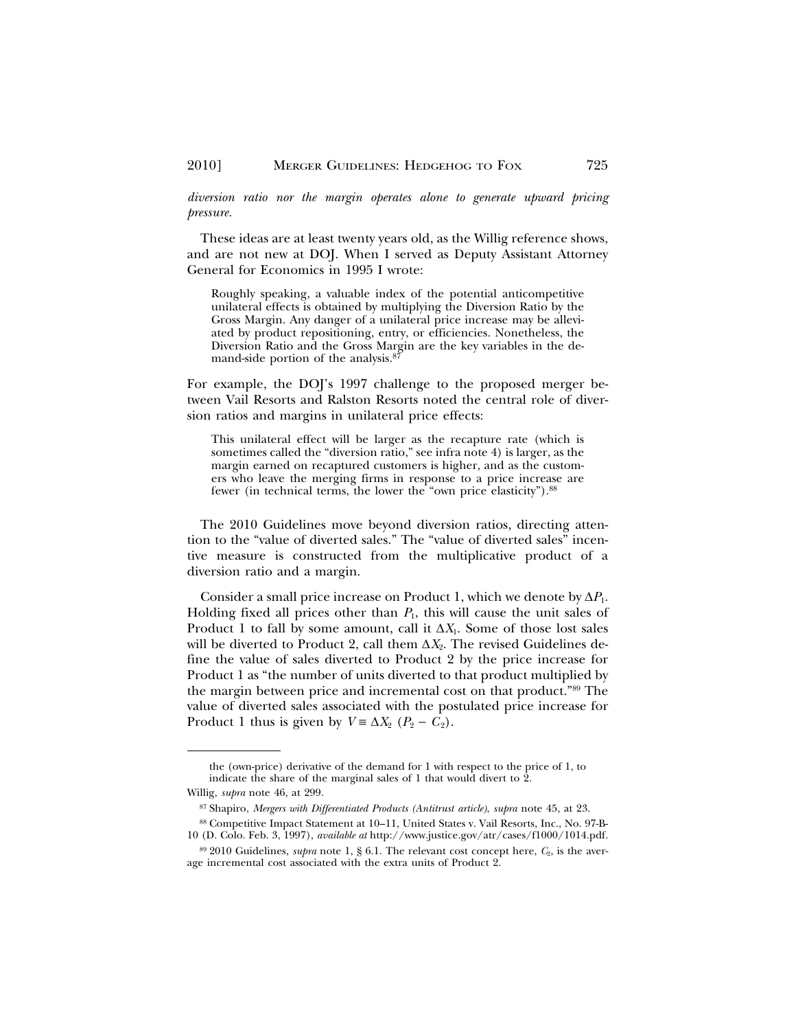*diversion ratio nor the margin operates alone to generate upward pricing pressure.*

These ideas are at least twenty years old, as the Willig reference shows, and are not new at DOJ. When I served as Deputy Assistant Attorney General for Economics in 1995 I wrote:

Roughly speaking, a valuable index of the potential anticompetitive unilateral effects is obtained by multiplying the Diversion Ratio by the Gross Margin. Any danger of a unilateral price increase may be alleviated by product repositioning, entry, or efficiencies. Nonetheless, the Diversion Ratio and the Gross Margin are the key variables in the demand-side portion of the analysis.<sup>87</sup>

For example, the DOJ's 1997 challenge to the proposed merger between Vail Resorts and Ralston Resorts noted the central role of diversion ratios and margins in unilateral price effects:

This unilateral effect will be larger as the recapture rate (which is sometimes called the "diversion ratio," see infra note 4) is larger, as the margin earned on recaptured customers is higher, and as the customers who leave the merging firms in response to a price increase are fewer (in technical terms, the lower the "own price elasticity").<sup>88</sup>

The 2010 Guidelines move beyond diversion ratios, directing attention to the "value of diverted sales." The "value of diverted sales" incentive measure is constructed from the multiplicative product of a diversion ratio and a margin.

Consider a small price increase on Product 1, which we denote by  $\Delta P_1$ . Holding fixed all prices other than  $P_1$ , this will cause the unit sales of Product 1 to fall by some amount, call it  $\Delta X_1$ . Some of those lost sales will be diverted to Product 2, call them  $\Delta X_2$ . The revised Guidelines define the value of sales diverted to Product 2 by the price increase for Product 1 as "the number of units diverted to that product multiplied by the margin between price and incremental cost on that product."89 The value of diverted sales associated with the postulated price increase for Product 1 thus is given by  $V = \Delta X_2 (P_2 - C_2)$ .

the (own-price) derivative of the demand for 1 with respect to the price of 1, to indicate the share of the marginal sales of 1 that would divert to 2.

Willig, *supra* note 46, at 299.

<sup>87</sup> Shapiro, *Mergers with Differentiated Products (Antitrust article)*, *supra* note 45, at 23.

<sup>88</sup> Competitive Impact Statement at 10–11, United States v. Vail Resorts, Inc., No. 97-B-10 (D. Colo. Feb. 3, 1997), *available at* http://www.justice.gov/atr/cases/f1000/1014.pdf.

<sup>&</sup>lt;sup>89</sup> 2010 Guidelines, *supra* note 1, § 6.1. The relevant cost concept here,  $C_2$ , is the average incremental cost associated with the extra units of Product 2.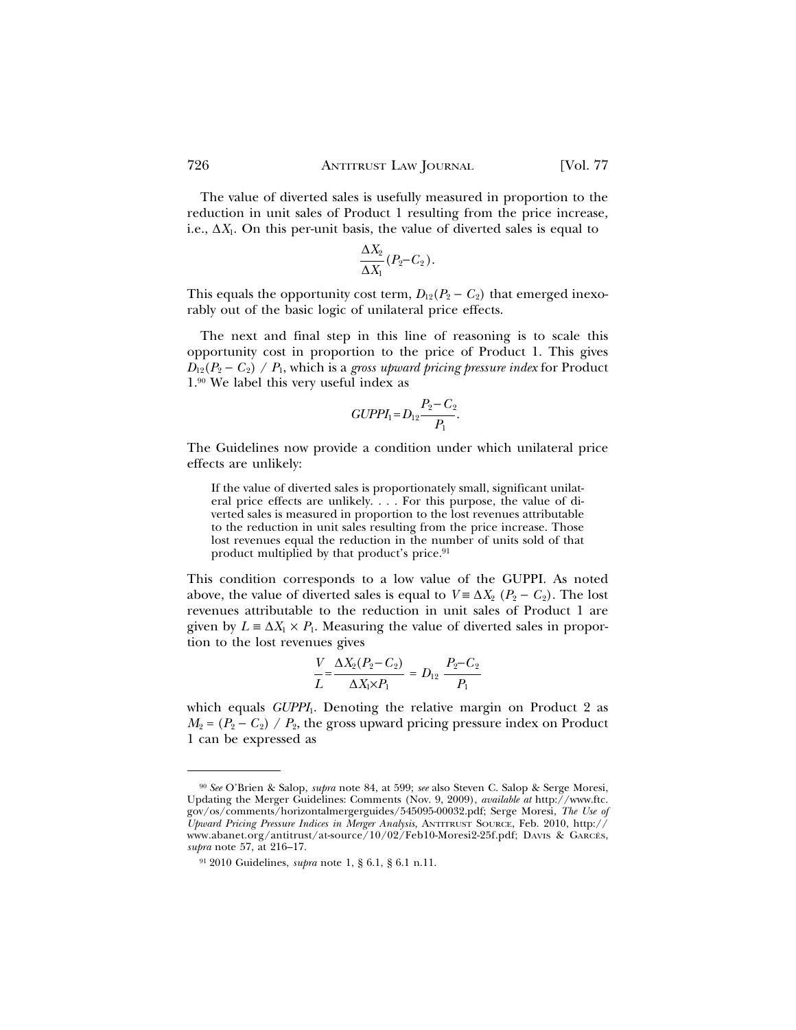The value of diverted sales is usefully measured in proportion to the reduction in unit sales of Product 1 resulting from the price increase, i.e.,  $\Delta X_1$ . On this per-unit basis, the value of diverted sales is equal to

$$
\frac{\Delta X_2}{\Delta X_1} (P_2 – C_2).
$$

This equals the opportunity cost term,  $D_{12}(P_2 - C_2)$  that emerged inexorably out of the basic logic of unilateral price effects.

The next and final step in this line of reasoning is to scale this opportunity cost in proportion to the price of Product 1. This gives  $D_{12}(P_2 - C_2)$  /  $P_1$ , which is a *gross upward pricing pressure index* for Product 1.90 We label this very useful index as

$$
GUPPI_1 = D_{12} \frac{P_2 - C_2}{P_1}.
$$

The Guidelines now provide a condition under which unilateral price effects are unlikely:

If the value of diverted sales is proportionately small, significant unilateral price effects are unlikely. . . . For this purpose, the value of diverted sales is measured in proportion to the lost revenues attributable to the reduction in unit sales resulting from the price increase. Those lost revenues equal the reduction in the number of units sold of that product multiplied by that product's price.<sup>91</sup>

This condition corresponds to a low value of the GUPPI. As noted above, the value of diverted sales is equal to  $V = \Delta X_2 (P_2 - C_2)$ . The lost revenues attributable to the reduction in unit sales of Product 1 are given by  $L = \Delta X_1 \times P_1$ . Measuring the value of diverted sales in proportion to the lost revenues gives

$$
\frac{V}{L} = \frac{\Delta X_2 (P_2 - C_2)}{\Delta X_1 \times P_1} = D_{12} \frac{P_2 - C_2}{P_1}
$$

which equals *GUPPI*1. Denoting the relative margin on Product 2 as  $M_2 = (P_2 - C_2) / P_2$ , the gross upward pricing pressure index on Product 1 can be expressed as

<sup>90</sup> *See* O'Brien & Salop, *supra* note 84, at 599; *see* also Steven C. Salop & Serge Moresi, Updating the Merger Guidelines: Comments (Nov. 9, 2009), *available at* http://www.ftc. gov/os/comments/horizontalmergerguides/545095-00032.pdf; Serge Moresi, *The Use of Upward Pricing Pressure Indices in Merger Analysis,* ANTITRUST SOURCE, Feb. 2010, http:// www.abanet.org/antitrust/at-source/10/02/Feb10-Moresi2-25f.pdf; DAVIS & GARCÉS, *supra* note 57, at 216–17.

<sup>91</sup> 2010 Guidelines, *supra* note 1, § 6.1, § 6.1 n.11.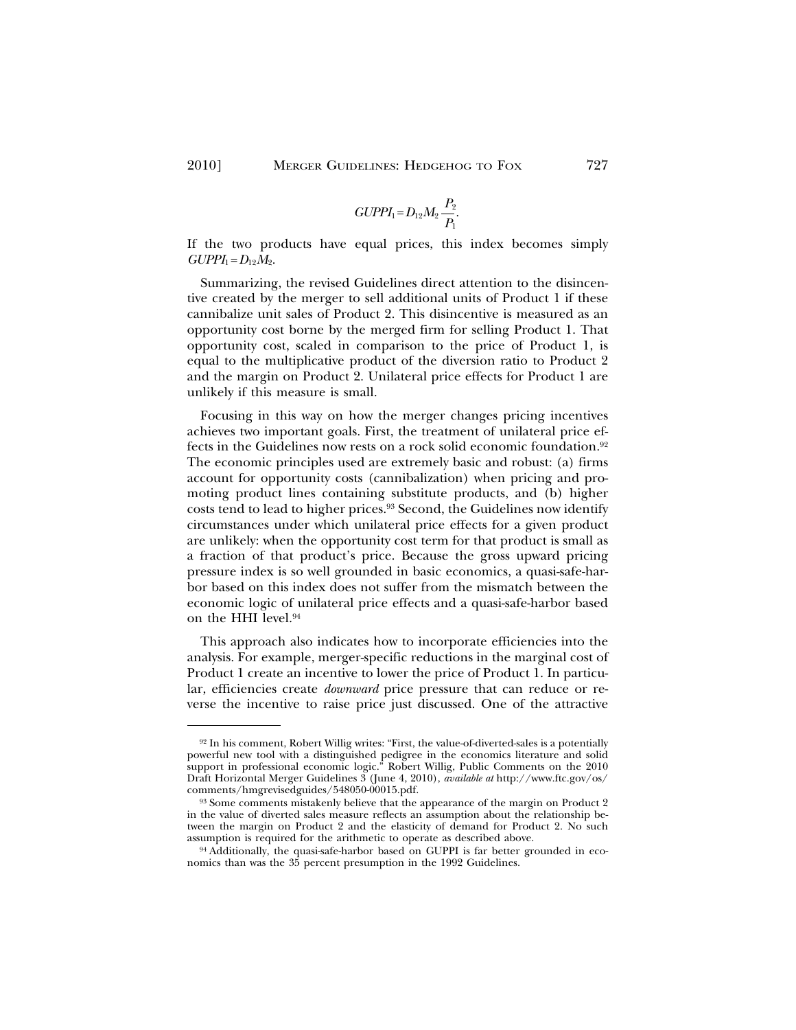$$
GUPPI_1 = D_{12}M_2 \frac{P_2}{P_1}.
$$

If the two products have equal prices, this index becomes simply  $GUPPI_1 = D_{12}M_2$ .

Summarizing, the revised Guidelines direct attention to the disincentive created by the merger to sell additional units of Product 1 if these cannibalize unit sales of Product 2. This disincentive is measured as an opportunity cost borne by the merged firm for selling Product 1. That opportunity cost, scaled in comparison to the price of Product 1, is equal to the multiplicative product of the diversion ratio to Product 2 and the margin on Product 2. Unilateral price effects for Product 1 are unlikely if this measure is small.

Focusing in this way on how the merger changes pricing incentives achieves two important goals. First, the treatment of unilateral price effects in the Guidelines now rests on a rock solid economic foundation.92 The economic principles used are extremely basic and robust: (a) firms account for opportunity costs (cannibalization) when pricing and promoting product lines containing substitute products, and (b) higher costs tend to lead to higher prices.93 Second, the Guidelines now identify circumstances under which unilateral price effects for a given product are unlikely: when the opportunity cost term for that product is small as a fraction of that product's price. Because the gross upward pricing pressure index is so well grounded in basic economics, a quasi-safe-harbor based on this index does not suffer from the mismatch between the economic logic of unilateral price effects and a quasi-safe-harbor based on the HHI level.94

This approach also indicates how to incorporate efficiencies into the analysis. For example, merger-specific reductions in the marginal cost of Product 1 create an incentive to lower the price of Product 1. In particular, efficiencies create *downward* price pressure that can reduce or reverse the incentive to raise price just discussed. One of the attractive

<sup>92</sup> In his comment, Robert Willig writes: "First, the value-of-diverted-sales is a potentially powerful new tool with a distinguished pedigree in the economics literature and solid support in professional economic logic." Robert Willig, Public Comments on the 2010 Draft Horizontal Merger Guidelines 3 (June 4, 2010), *available at* http://www.ftc.gov/os/ comments/hmgrevisedguides/548050-00015.pdf.

<sup>93</sup> Some comments mistakenly believe that the appearance of the margin on Product 2 in the value of diverted sales measure reflects an assumption about the relationship between the margin on Product 2 and the elasticity of demand for Product 2. No such assumption is required for the arithmetic to operate as described above.

<sup>94</sup> Additionally, the quasi-safe-harbor based on GUPPI is far better grounded in economics than was the 35 percent presumption in the 1992 Guidelines.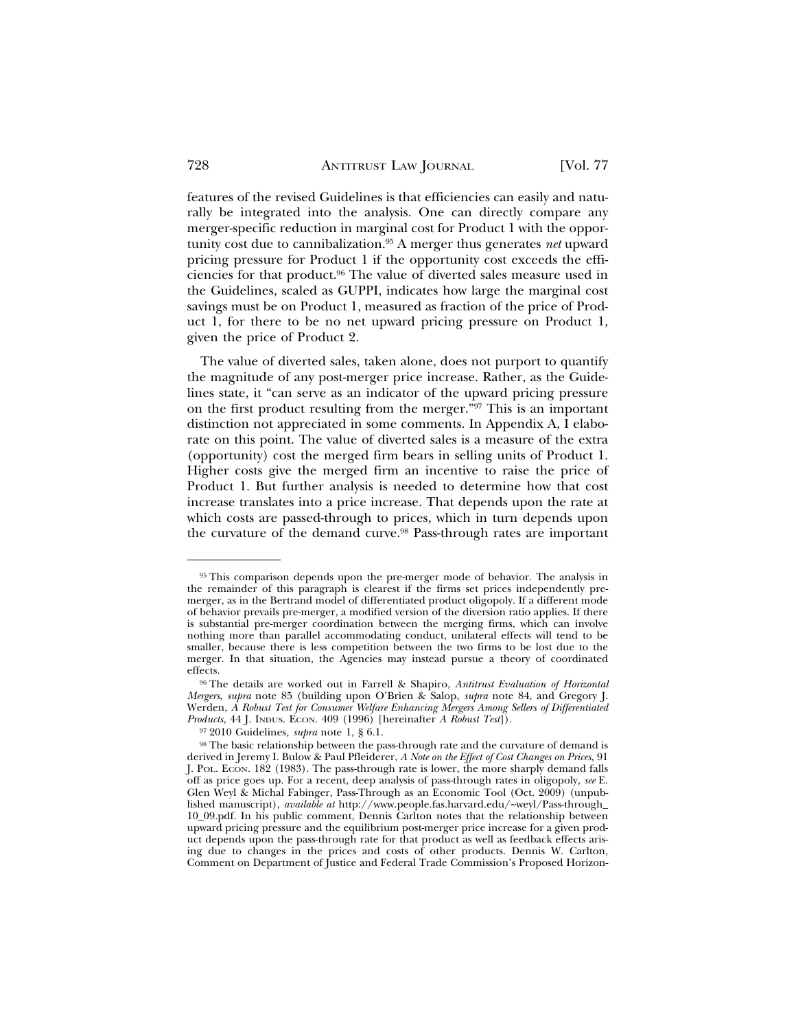features of the revised Guidelines is that efficiencies can easily and naturally be integrated into the analysis. One can directly compare any merger-specific reduction in marginal cost for Product 1 with the opportunity cost due to cannibalization.95 A merger thus generates *net* upward pricing pressure for Product 1 if the opportunity cost exceeds the efficiencies for that product.96 The value of diverted sales measure used in the Guidelines, scaled as GUPPI, indicates how large the marginal cost savings must be on Product 1, measured as fraction of the price of Product 1, for there to be no net upward pricing pressure on Product 1, given the price of Product 2.

The value of diverted sales, taken alone, does not purport to quantify the magnitude of any post-merger price increase. Rather, as the Guidelines state, it "can serve as an indicator of the upward pricing pressure on the first product resulting from the merger."97 This is an important distinction not appreciated in some comments. In Appendix A, I elaborate on this point. The value of diverted sales is a measure of the extra (opportunity) cost the merged firm bears in selling units of Product 1. Higher costs give the merged firm an incentive to raise the price of Product 1. But further analysis is needed to determine how that cost increase translates into a price increase. That depends upon the rate at which costs are passed-through to prices, which in turn depends upon the curvature of the demand curve.<sup>98</sup> Pass-through rates are important

<sup>&</sup>lt;sup>95</sup> This comparison depends upon the pre-merger mode of behavior. The analysis in the remainder of this paragraph is clearest if the firms set prices independently premerger, as in the Bertrand model of differentiated product oligopoly. If a different mode of behavior prevails pre-merger, a modified version of the diversion ratio applies. If there is substantial pre-merger coordination between the merging firms, which can involve nothing more than parallel accommodating conduct, unilateral effects will tend to be smaller, because there is less competition between the two firms to be lost due to the merger. In that situation, the Agencies may instead pursue a theory of coordinated effects.

<sup>96</sup> The details are worked out in Farrell & Shapiro, *Antitrust Evaluation of Horizontal Mergers*, *supra* note 85 (building upon O'Brien & Salop, *supra* note 84, and Gregory J. Werden, *A Robust Test for Consumer Welfare Enhancing Mergers Among Sellers of Differentiated Products*, 44 J. INDUS. ECON. 409 (1996) [hereinafter *A Robust Test*]).

<sup>97</sup> 2010 Guidelines*, supra* note 1, § 6.1.

<sup>98</sup> The basic relationship between the pass-through rate and the curvature of demand is derived in Jeremy I. Bulow & Paul Pfleiderer, *A Note on the Effect of Cost Changes on Prices,* 91 J. POL. ECON*.* 182 (1983). The pass-through rate is lower, the more sharply demand falls off as price goes up. For a recent, deep analysis of pass-through rates in oligopoly, *see* E. Glen Weyl & Michal Fabinger, Pass-Through as an Economic Tool (Oct. 2009) (unpublished manuscript), *available at* http://www.people.fas.harvard.edu/~weyl/Pass-through\_ 10\_09.pdf. In his public comment, Dennis Carlton notes that the relationship between upward pricing pressure and the equilibrium post-merger price increase for a given product depends upon the pass-through rate for that product as well as feedback effects arising due to changes in the prices and costs of other products. Dennis W. Carlton, Comment on Department of Justice and Federal Trade Commission's Proposed Horizon-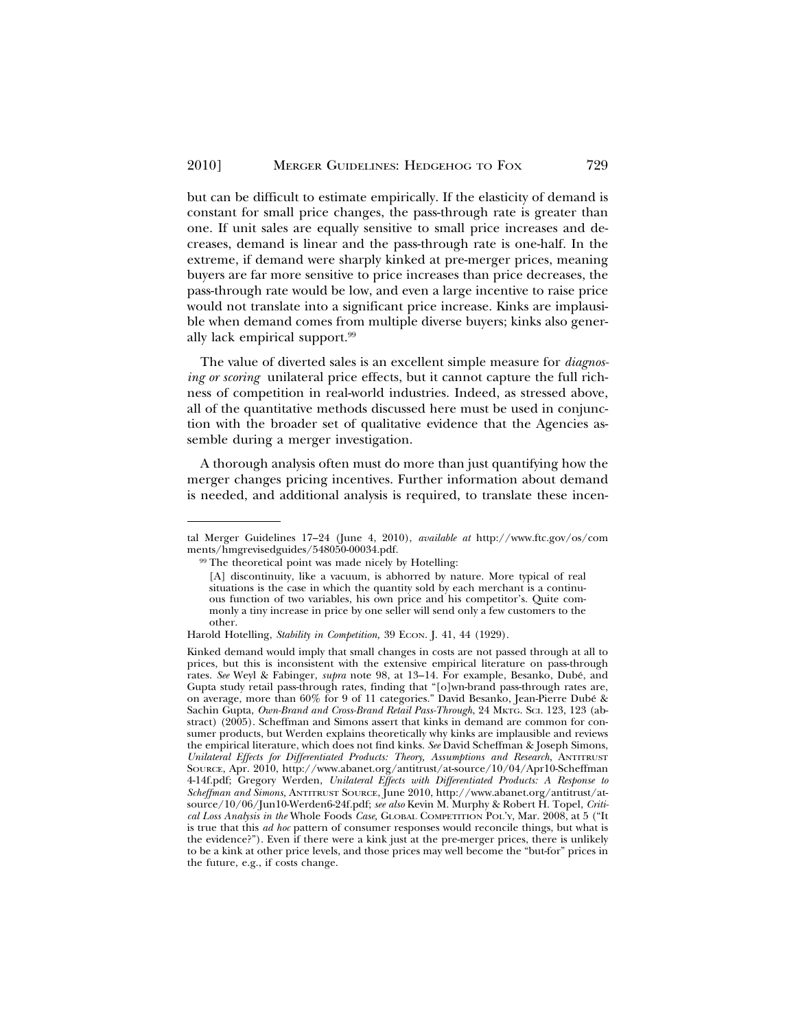but can be difficult to estimate empirically. If the elasticity of demand is constant for small price changes, the pass-through rate is greater than one. If unit sales are equally sensitive to small price increases and decreases, demand is linear and the pass-through rate is one-half. In the extreme, if demand were sharply kinked at pre-merger prices, meaning buyers are far more sensitive to price increases than price decreases, the pass-through rate would be low, and even a large incentive to raise price would not translate into a significant price increase. Kinks are implausible when demand comes from multiple diverse buyers; kinks also generally lack empirical support.99

The value of diverted sales is an excellent simple measure for *diagnosing or scoring* unilateral price effects, but it cannot capture the full richness of competition in real-world industries. Indeed, as stressed above, all of the quantitative methods discussed here must be used in conjunction with the broader set of qualitative evidence that the Agencies assemble during a merger investigation.

A thorough analysis often must do more than just quantifying how the merger changes pricing incentives. Further information about demand is needed, and additional analysis is required, to translate these incen-

tal Merger Guidelines 17–24 (June 4, 2010), *available at* http://www.ftc.gov/os/com ments/hmgrevisedguides/548050-00034.pdf.

<sup>99</sup> The theoretical point was made nicely by Hotelling:

<sup>[</sup>A] discontinuity, like a vacuum, is abhorred by nature. More typical of real situations is the case in which the quantity sold by each merchant is a continuous function of two variables, his own price and his competitor's. Quite commonly a tiny increase in price by one seller will send only a few customers to the other.

Harold Hotelling, *Stability in Competition*, 39 ECON. J. 41, 44 (1929).

Kinked demand would imply that small changes in costs are not passed through at all to prices, but this is inconsistent with the extensive empirical literature on pass-through rates. *See* Weyl & Fabinger, *supra* note 98, at 13–14. For example, Besanko, Dube, and ´ Gupta study retail pass-through rates, finding that "[o]wn-brand pass-through rates are, on average, more than 60% for 9 of 11 categories." David Besanko, Jean-Pierre Dube &´ Sachin Gupta, *Own-Brand and Cross-Brand Retail Pass-Through*, 24 MKTG. SCI. 123, 123 (abstract) (2005). Scheffman and Simons assert that kinks in demand are common for consumer products, but Werden explains theoretically why kinks are implausible and reviews the empirical literature, which does not find kinks. *See* David Scheffman & Joseph Simons, *Unilateral Effects for Differentiated Products: Theory, Assumptions and Research*, ANTITRUST SOURCE, Apr. 2010, http://www.abanet.org/antitrust/at-source/10/04/Apr10-Scheffman 4-14f.pdf; Gregory Werden, *Unilateral Effects with Differentiated Products: A Response to Scheffman and Simons,* ANTITRUST SOURCE, June 2010, http://www.abanet.org/antitrust/atsource/10/06/Jun10-Werden6-24f.pdf; *see also* Kevin M. Murphy & Robert H. Topel, *Critical Loss Analysis in the* Whole Foods *Case,* GLOBAL COMPETITION POL'Y, Mar. 2008, at 5 ("It is true that this *ad hoc* pattern of consumer responses would reconcile things, but what is the evidence?"). Even if there were a kink just at the pre-merger prices, there is unlikely to be a kink at other price levels, and those prices may well become the "but-for" prices in the future, e.g., if costs change.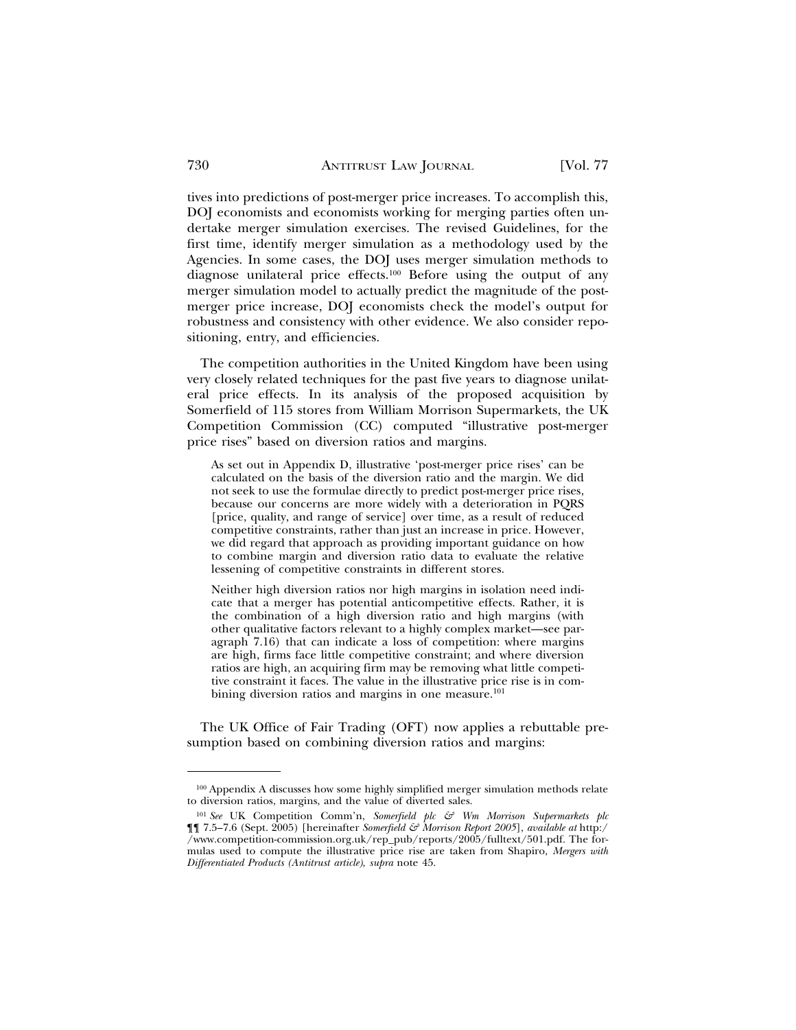tives into predictions of post-merger price increases. To accomplish this, DOJ economists and economists working for merging parties often undertake merger simulation exercises. The revised Guidelines, for the first time, identify merger simulation as a methodology used by the Agencies. In some cases, the DOJ uses merger simulation methods to diagnose unilateral price effects.100 Before using the output of any merger simulation model to actually predict the magnitude of the postmerger price increase, DOJ economists check the model's output for robustness and consistency with other evidence. We also consider repositioning, entry, and efficiencies.

The competition authorities in the United Kingdom have been using very closely related techniques for the past five years to diagnose unilateral price effects. In its analysis of the proposed acquisition by Somerfield of 115 stores from William Morrison Supermarkets, the UK Competition Commission (CC) computed "illustrative post-merger price rises" based on diversion ratios and margins.

As set out in Appendix D, illustrative 'post-merger price rises' can be calculated on the basis of the diversion ratio and the margin. We did not seek to use the formulae directly to predict post-merger price rises, because our concerns are more widely with a deterioration in PQRS [price, quality, and range of service] over time, as a result of reduced competitive constraints, rather than just an increase in price. However, we did regard that approach as providing important guidance on how to combine margin and diversion ratio data to evaluate the relative lessening of competitive constraints in different stores.

Neither high diversion ratios nor high margins in isolation need indicate that a merger has potential anticompetitive effects. Rather, it is the combination of a high diversion ratio and high margins (with other qualitative factors relevant to a highly complex market—see paragraph 7.16) that can indicate a loss of competition: where margins are high, firms face little competitive constraint; and where diversion ratios are high, an acquiring firm may be removing what little competitive constraint it faces. The value in the illustrative price rise is in combining diversion ratios and margins in one measure.<sup>101</sup>

The UK Office of Fair Trading (OFT) now applies a rebuttable presumption based on combining diversion ratios and margins:

<sup>100</sup> Appendix A discusses how some highly simplified merger simulation methods relate to diversion ratios, margins, and the value of diverted sales.

<sup>101</sup> *See* UK Competition Comm'n, *Somerfield plc & Wm Morrison Supermarkets plc* ¶¶ 7.5–7.6 (Sept. 2005) [hereinafter *Somerfield & Morrison Report 2005*], *available at* http:/ /www.competition-commission.org.uk/rep\_pub/reports/2005/fulltext/501.pdf. The formulas used to compute the illustrative price rise are taken from Shapiro, *Mergers with Differentiated Products (Antitrust article)*, *supra* note 45.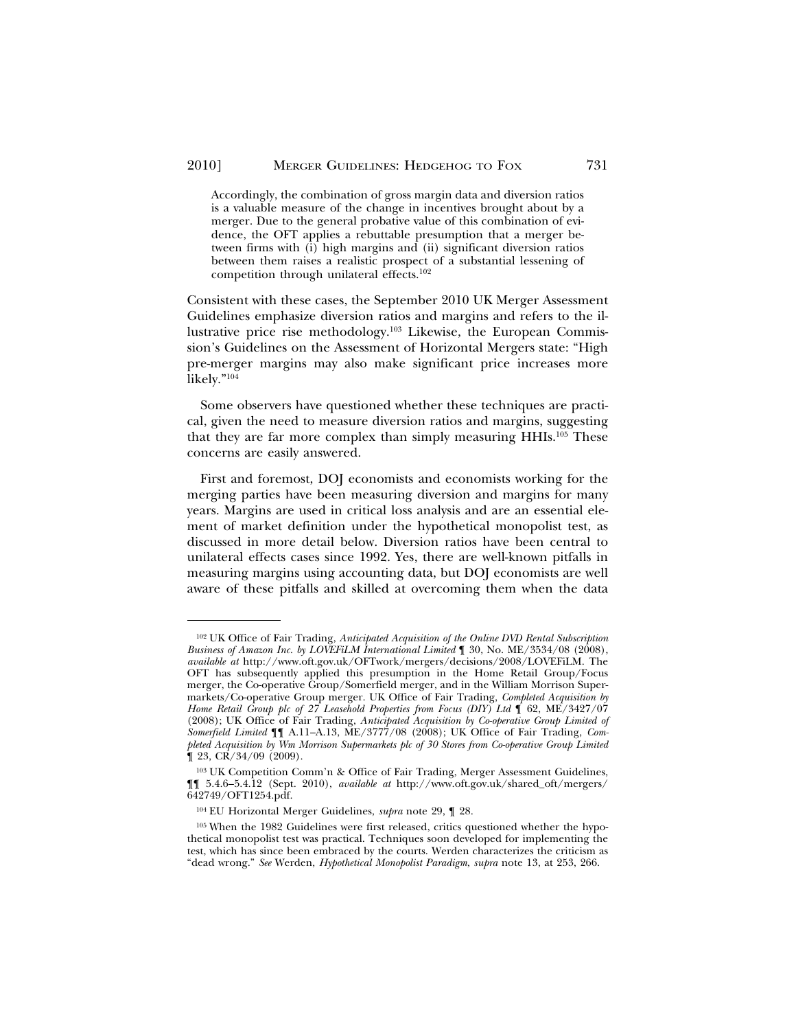# 2010] MERGER GUIDELINES: HEDGEHOG TO FOX 731

Accordingly, the combination of gross margin data and diversion ratios is a valuable measure of the change in incentives brought about by a merger. Due to the general probative value of this combination of evidence, the OFT applies a rebuttable presumption that a merger between firms with (i) high margins and (ii) significant diversion ratios between them raises a realistic prospect of a substantial lessening of competition through unilateral effects.102

Consistent with these cases, the September 2010 UK Merger Assessment Guidelines emphasize diversion ratios and margins and refers to the illustrative price rise methodology.103 Likewise, the European Commission's Guidelines on the Assessment of Horizontal Mergers state: "High pre-merger margins may also make significant price increases more likely."104

Some observers have questioned whether these techniques are practical, given the need to measure diversion ratios and margins, suggesting that they are far more complex than simply measuring HHIs.105 These concerns are easily answered.

First and foremost, DOJ economists and economists working for the merging parties have been measuring diversion and margins for many years. Margins are used in critical loss analysis and are an essential element of market definition under the hypothetical monopolist test, as discussed in more detail below. Diversion ratios have been central to unilateral effects cases since 1992. Yes, there are well-known pitfalls in measuring margins using accounting data, but DOJ economists are well aware of these pitfalls and skilled at overcoming them when the data

<sup>102</sup> UK Office of Fair Trading, *Anticipated Acquisition of the Online DVD Rental Subscription Business of Amazon Inc. by LOVEFiLM International Limited* ¶ 30, No. ME/3534/08 (2008), *available at* http://www.oft.gov.uk/OFTwork/mergers/decisions/2008/LOVEFiLM. The OFT has subsequently applied this presumption in the Home Retail Group/Focus merger, the Co-operative Group/Somerfield merger, and in the William Morrison Supermarkets/Co-operative Group merger. UK Office of Fair Trading, *Completed Acquisition by Home Retail Group plc of 27 Leasehold Properties from Focus (DIY) Ltd* ¶ 62, ME/3427/07 (2008); UK Office of Fair Trading, *Anticipated Acquisition by Co-operative Group Limited of Somerfield Limited* ¶¶ A.11–A.13, ME/3777/08 (2008); UK Office of Fair Trading, *Completed Acquisition by Wm Morrison Supermarkets plc of 30 Stores from Co-operative Group Limited*  $\P$  23, CR/34/09 (2009).

<sup>103</sup> UK Competition Comm'n & Office of Fair Trading, Merger Assessment Guidelines, ¶¶ 5.4.6–5.4.12 (Sept. 2010), *available at* http://www.oft.gov.uk/shared\_oft/mergers/ 642749/OFT1254.pdf.

<sup>104</sup> EU Horizontal Merger Guidelines, *supra* note 29, ¶ 28.

<sup>105</sup> When the 1982 Guidelines were first released, critics questioned whether the hypothetical monopolist test was practical. Techniques soon developed for implementing the test, which has since been embraced by the courts. Werden characterizes the criticism as "dead wrong." *See* Werden, *Hypothetical Monopolist Paradigm*, *supra* note 13, at 253, 266.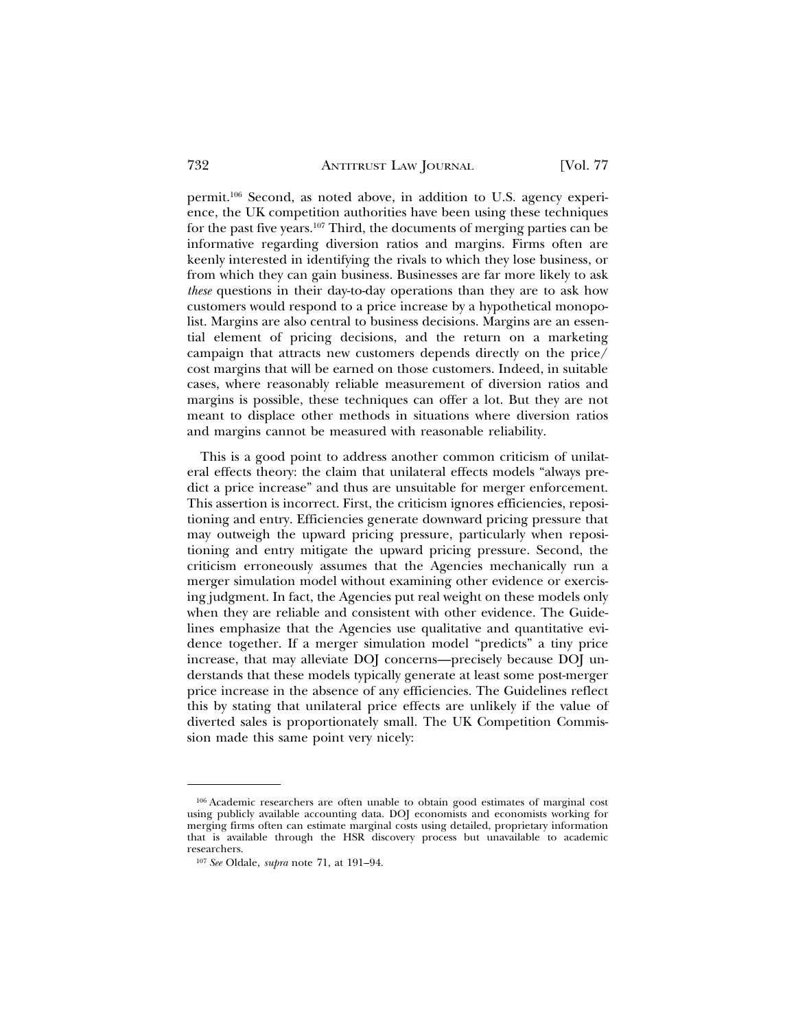permit.106 Second, as noted above, in addition to U.S. agency experience, the UK competition authorities have been using these techniques for the past five years.107 Third, the documents of merging parties can be informative regarding diversion ratios and margins. Firms often are keenly interested in identifying the rivals to which they lose business, or from which they can gain business. Businesses are far more likely to ask *these* questions in their day-to-day operations than they are to ask how customers would respond to a price increase by a hypothetical monopolist. Margins are also central to business decisions. Margins are an essential element of pricing decisions, and the return on a marketing campaign that attracts new customers depends directly on the price/ cost margins that will be earned on those customers. Indeed, in suitable cases, where reasonably reliable measurement of diversion ratios and margins is possible, these techniques can offer a lot. But they are not meant to displace other methods in situations where diversion ratios and margins cannot be measured with reasonable reliability.

This is a good point to address another common criticism of unilateral effects theory: the claim that unilateral effects models "always predict a price increase" and thus are unsuitable for merger enforcement. This assertion is incorrect. First, the criticism ignores efficiencies, repositioning and entry. Efficiencies generate downward pricing pressure that may outweigh the upward pricing pressure, particularly when repositioning and entry mitigate the upward pricing pressure. Second, the criticism erroneously assumes that the Agencies mechanically run a merger simulation model without examining other evidence or exercising judgment. In fact, the Agencies put real weight on these models only when they are reliable and consistent with other evidence. The Guidelines emphasize that the Agencies use qualitative and quantitative evidence together. If a merger simulation model "predicts" a tiny price increase, that may alleviate DOJ concerns—precisely because DOJ understands that these models typically generate at least some post-merger price increase in the absence of any efficiencies. The Guidelines reflect this by stating that unilateral price effects are unlikely if the value of diverted sales is proportionately small. The UK Competition Commission made this same point very nicely:

<sup>106</sup> Academic researchers are often unable to obtain good estimates of marginal cost using publicly available accounting data. DOJ economists and economists working for merging firms often can estimate marginal costs using detailed, proprietary information that is available through the HSR discovery process but unavailable to academic researchers.

<sup>107</sup> *See* Oldale, *supra* note 71, at 191–94.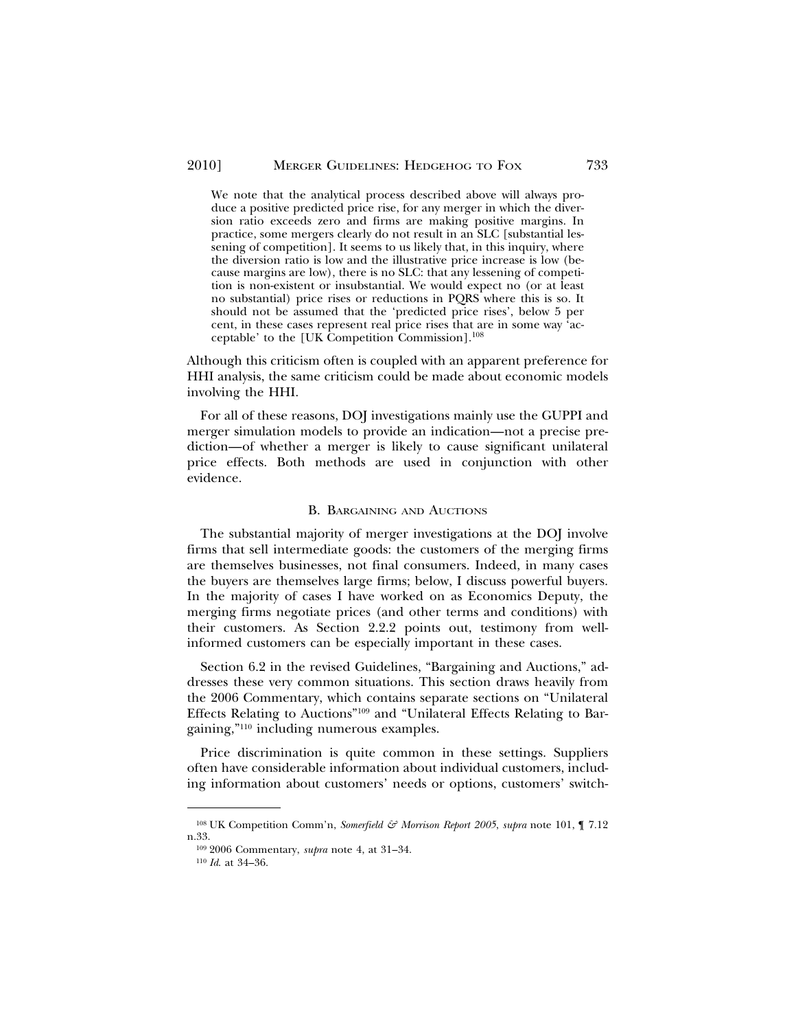We note that the analytical process described above will always produce a positive predicted price rise, for any merger in which the diversion ratio exceeds zero and firms are making positive margins. In practice, some mergers clearly do not result in an SLC [substantial lessening of competition]. It seems to us likely that, in this inquiry, where the diversion ratio is low and the illustrative price increase is low (because margins are low), there is no SLC: that any lessening of competition is non-existent or insubstantial. We would expect no (or at least no substantial) price rises or reductions in PQRS where this is so. It should not be assumed that the 'predicted price rises', below 5 per cent, in these cases represent real price rises that are in some way 'acceptable' to the [UK Competition Commission].108

Although this criticism often is coupled with an apparent preference for HHI analysis, the same criticism could be made about economic models involving the HHI.

For all of these reasons, DOJ investigations mainly use the GUPPI and merger simulation models to provide an indication—not a precise prediction—of whether a merger is likely to cause significant unilateral price effects. Both methods are used in conjunction with other evidence.

#### B. BARGAINING AND AUCTIONS

The substantial majority of merger investigations at the DOJ involve firms that sell intermediate goods: the customers of the merging firms are themselves businesses, not final consumers. Indeed, in many cases the buyers are themselves large firms; below, I discuss powerful buyers. In the majority of cases I have worked on as Economics Deputy, the merging firms negotiate prices (and other terms and conditions) with their customers. As Section 2.2.2 points out, testimony from wellinformed customers can be especially important in these cases.

Section 6.2 in the revised Guidelines, "Bargaining and Auctions," addresses these very common situations. This section draws heavily from the 2006 Commentary, which contains separate sections on "Unilateral Effects Relating to Auctions"109 and "Unilateral Effects Relating to Bargaining,"110 including numerous examples.

Price discrimination is quite common in these settings. Suppliers often have considerable information about individual customers, including information about customers' needs or options, customers' switch-

<sup>108</sup> UK Competition Comm'n, *Somerfield & Morrison Report 2005*, *supra* note 101, ¶ 7.12 n.33.

<sup>109</sup> 2006 Commentary, *supra* note 4, at 31–34.

<sup>110</sup> *Id*. at 34–36.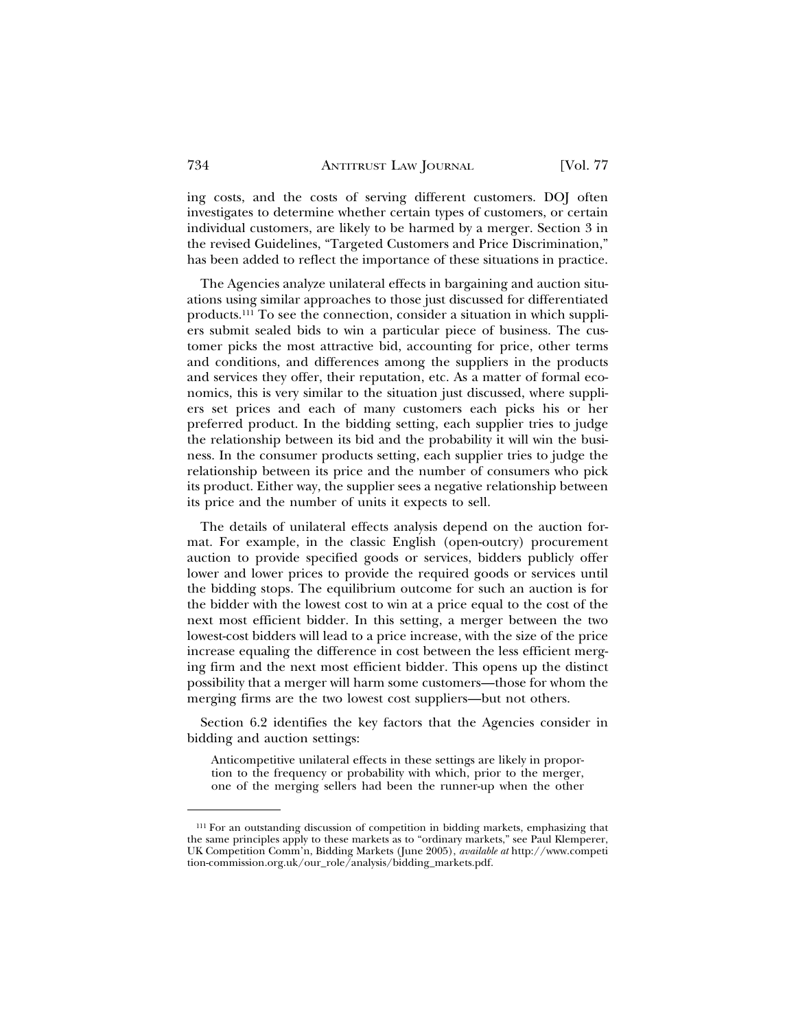ing costs, and the costs of serving different customers. DOJ often investigates to determine whether certain types of customers, or certain individual customers, are likely to be harmed by a merger. Section 3 in the revised Guidelines, "Targeted Customers and Price Discrimination," has been added to reflect the importance of these situations in practice.

The Agencies analyze unilateral effects in bargaining and auction situations using similar approaches to those just discussed for differentiated products.111 To see the connection, consider a situation in which suppliers submit sealed bids to win a particular piece of business. The customer picks the most attractive bid, accounting for price, other terms and conditions, and differences among the suppliers in the products and services they offer, their reputation, etc. As a matter of formal economics, this is very similar to the situation just discussed, where suppliers set prices and each of many customers each picks his or her preferred product. In the bidding setting, each supplier tries to judge the relationship between its bid and the probability it will win the business. In the consumer products setting, each supplier tries to judge the relationship between its price and the number of consumers who pick its product. Either way, the supplier sees a negative relationship between its price and the number of units it expects to sell.

The details of unilateral effects analysis depend on the auction format. For example, in the classic English (open-outcry) procurement auction to provide specified goods or services, bidders publicly offer lower and lower prices to provide the required goods or services until the bidding stops. The equilibrium outcome for such an auction is for the bidder with the lowest cost to win at a price equal to the cost of the next most efficient bidder. In this setting, a merger between the two lowest-cost bidders will lead to a price increase, with the size of the price increase equaling the difference in cost between the less efficient merging firm and the next most efficient bidder. This opens up the distinct possibility that a merger will harm some customers—those for whom the merging firms are the two lowest cost suppliers—but not others.

Section 6.2 identifies the key factors that the Agencies consider in bidding and auction settings:

Anticompetitive unilateral effects in these settings are likely in proportion to the frequency or probability with which, prior to the merger, one of the merging sellers had been the runner-up when the other

<sup>111</sup> For an outstanding discussion of competition in bidding markets, emphasizing that the same principles apply to these markets as to "ordinary markets," see Paul Klemperer, UK Competition Comm'n, Bidding Markets (June 2005), *available at* http://www.competi tion-commission.org.uk/our\_role/analysis/bidding\_markets.pdf.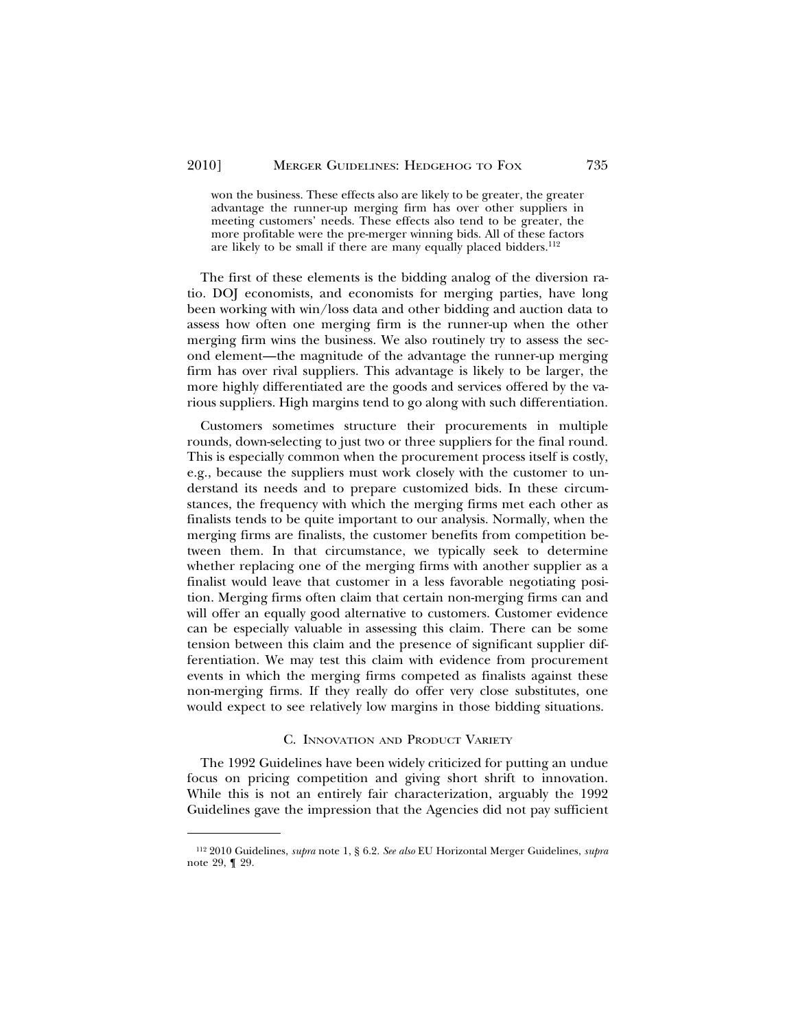won the business. These effects also are likely to be greater, the greater advantage the runner-up merging firm has over other suppliers in meeting customers' needs. These effects also tend to be greater, the more profitable were the pre-merger winning bids. All of these factors are likely to be small if there are many equally placed bidders.<sup>112</sup>

The first of these elements is the bidding analog of the diversion ratio. DOJ economists, and economists for merging parties, have long been working with win/loss data and other bidding and auction data to assess how often one merging firm is the runner-up when the other merging firm wins the business. We also routinely try to assess the second element—the magnitude of the advantage the runner-up merging firm has over rival suppliers. This advantage is likely to be larger, the more highly differentiated are the goods and services offered by the various suppliers. High margins tend to go along with such differentiation.

Customers sometimes structure their procurements in multiple rounds, down-selecting to just two or three suppliers for the final round. This is especially common when the procurement process itself is costly, e.g., because the suppliers must work closely with the customer to understand its needs and to prepare customized bids. In these circumstances, the frequency with which the merging firms met each other as finalists tends to be quite important to our analysis. Normally, when the merging firms are finalists, the customer benefits from competition between them. In that circumstance, we typically seek to determine whether replacing one of the merging firms with another supplier as a finalist would leave that customer in a less favorable negotiating position. Merging firms often claim that certain non-merging firms can and will offer an equally good alternative to customers. Customer evidence can be especially valuable in assessing this claim. There can be some tension between this claim and the presence of significant supplier differentiation. We may test this claim with evidence from procurement events in which the merging firms competed as finalists against these non-merging firms. If they really do offer very close substitutes, one would expect to see relatively low margins in those bidding situations.

#### C. INNOVATION AND PRODUCT VARIETY

The 1992 Guidelines have been widely criticized for putting an undue focus on pricing competition and giving short shrift to innovation. While this is not an entirely fair characterization, arguably the 1992 Guidelines gave the impression that the Agencies did not pay sufficient

<sup>112</sup> 2010 Guidelines, *supra* note 1, § 6.2. *See also* EU Horizontal Merger Guidelines, *supra* note 29, ¶ 29.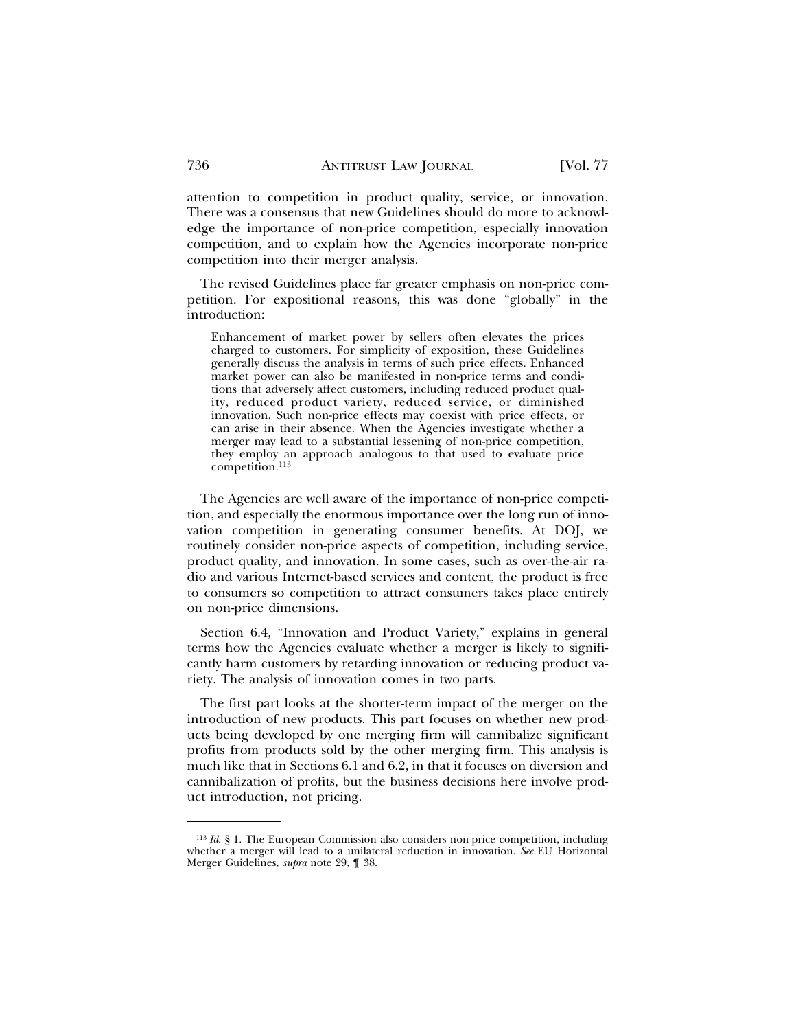attention to competition in product quality, service, or innovation. There was a consensus that new Guidelines should do more to acknowledge the importance of non-price competition, especially innovation competition, and to explain how the Agencies incorporate non-price competition into their merger analysis.

The revised Guidelines place far greater emphasis on non-price competition. For expositional reasons, this was done "globally" in the introduction:

Enhancement of market power by sellers often elevates the prices charged to customers. For simplicity of exposition, these Guidelines generally discuss the analysis in terms of such price effects. Enhanced market power can also be manifested in non-price terms and conditions that adversely affect customers, including reduced product quality, reduced product variety, reduced service, or diminished innovation. Such non-price effects may coexist with price effects, or can arise in their absence. When the Agencies investigate whether a merger may lead to a substantial lessening of non-price competition, they employ an approach analogous to that used to evaluate price competition.113

The Agencies are well aware of the importance of non-price competition, and especially the enormous importance over the long run of innovation competition in generating consumer benefits. At DOJ, we routinely consider non-price aspects of competition, including service, product quality, and innovation. In some cases, such as over-the-air radio and various Internet-based services and content, the product is free to consumers so competition to attract consumers takes place entirely on non-price dimensions.

Section 6.4, "Innovation and Product Variety," explains in general terms how the Agencies evaluate whether a merger is likely to significantly harm customers by retarding innovation or reducing product variety. The analysis of innovation comes in two parts.

The first part looks at the shorter-term impact of the merger on the introduction of new products. This part focuses on whether new products being developed by one merging firm will cannibalize significant profits from products sold by the other merging firm. This analysis is much like that in Sections 6.1 and 6.2, in that it focuses on diversion and cannibalization of profits, but the business decisions here involve product introduction, not pricing.

<sup>113</sup> *Id*. § 1. The European Commission also considers non-price competition, including whether a merger will lead to a unilateral reduction in innovation. *See* EU Horizontal Merger Guidelines, *supra* note 29, ¶ 38.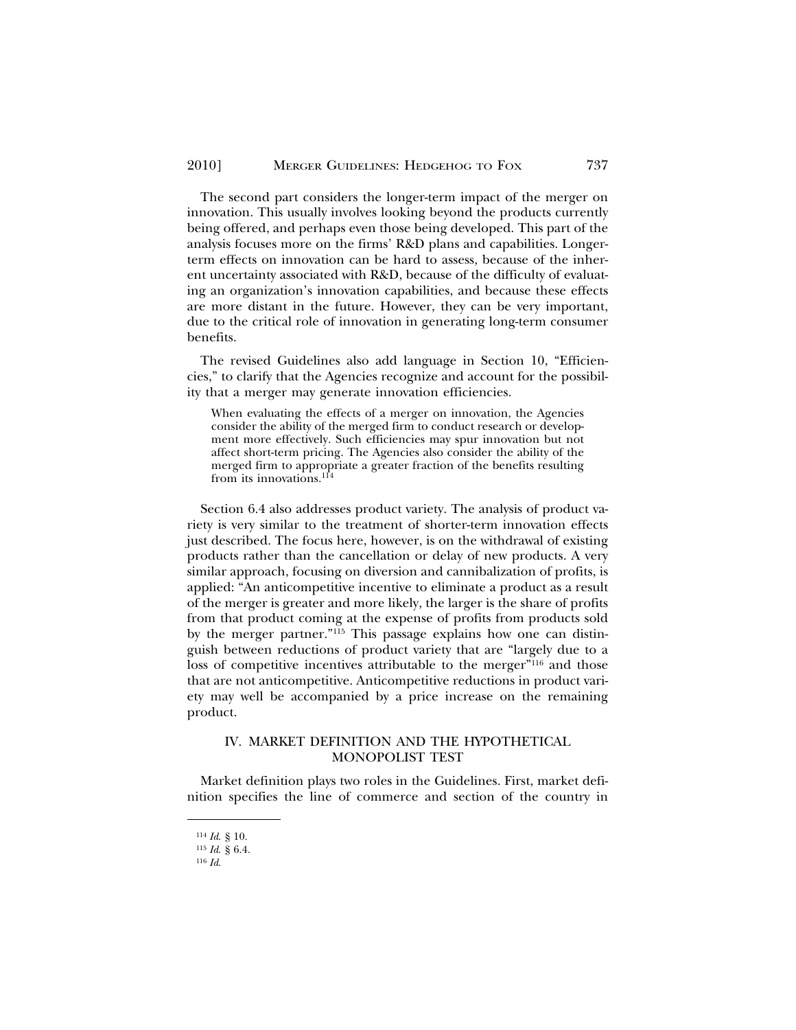The second part considers the longer-term impact of the merger on innovation. This usually involves looking beyond the products currently being offered, and perhaps even those being developed. This part of the analysis focuses more on the firms' R&D plans and capabilities. Longerterm effects on innovation can be hard to assess, because of the inherent uncertainty associated with R&D, because of the difficulty of evaluating an organization's innovation capabilities, and because these effects are more distant in the future. However, they can be very important, due to the critical role of innovation in generating long-term consumer benefits.

The revised Guidelines also add language in Section 10, "Efficiencies," to clarify that the Agencies recognize and account for the possibility that a merger may generate innovation efficiencies.

When evaluating the effects of a merger on innovation, the Agencies consider the ability of the merged firm to conduct research or development more effectively. Such efficiencies may spur innovation but not affect short-term pricing. The Agencies also consider the ability of the merged firm to appropriate a greater fraction of the benefits resulting from its innovations.<sup>114</sup>

Section 6.4 also addresses product variety. The analysis of product variety is very similar to the treatment of shorter-term innovation effects just described. The focus here, however, is on the withdrawal of existing products rather than the cancellation or delay of new products. A very similar approach, focusing on diversion and cannibalization of profits, is applied: "An anticompetitive incentive to eliminate a product as a result of the merger is greater and more likely, the larger is the share of profits from that product coming at the expense of profits from products sold by the merger partner."115 This passage explains how one can distinguish between reductions of product variety that are "largely due to a loss of competitive incentives attributable to the merger"<sup>116</sup> and those that are not anticompetitive. Anticompetitive reductions in product variety may well be accompanied by a price increase on the remaining product.

# IV. MARKET DEFINITION AND THE HYPOTHETICAL MONOPOLIST TEST

Market definition plays two roles in the Guidelines. First, market definition specifies the line of commerce and section of the country in

<sup>114</sup> *Id*. § 10.

<sup>115</sup> *Id*. § 6.4.

<sup>116</sup> *Id*.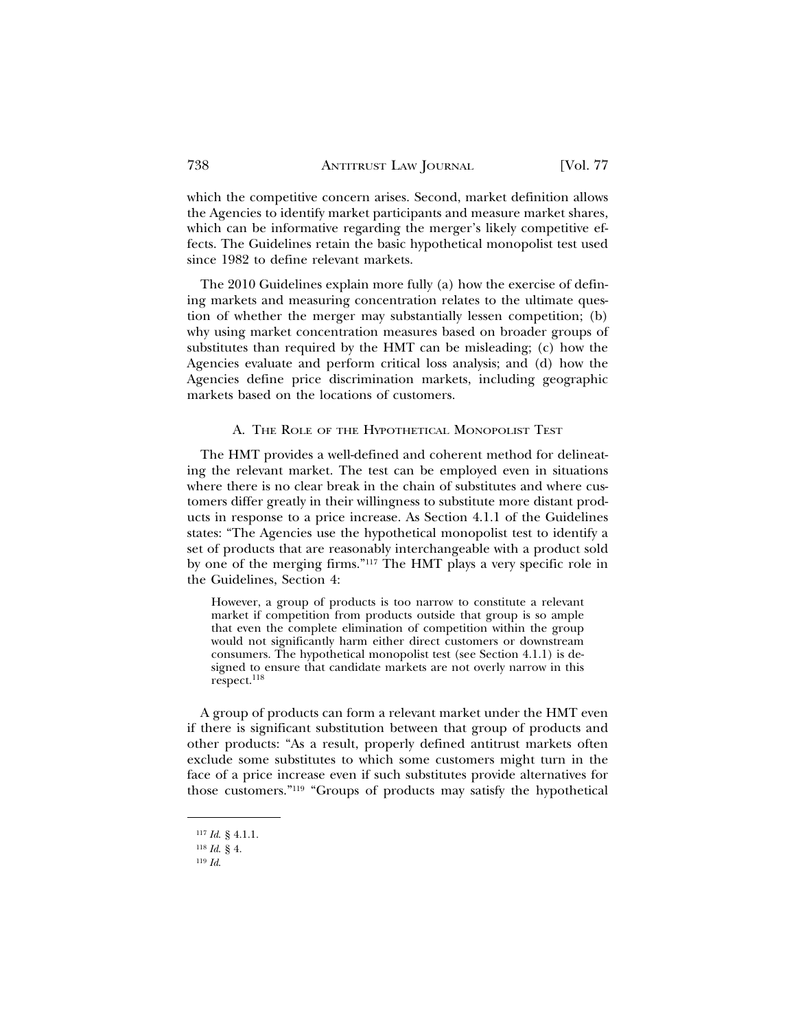which the competitive concern arises. Second, market definition allows the Agencies to identify market participants and measure market shares, which can be informative regarding the merger's likely competitive effects. The Guidelines retain the basic hypothetical monopolist test used since 1982 to define relevant markets.

The 2010 Guidelines explain more fully (a) how the exercise of defining markets and measuring concentration relates to the ultimate question of whether the merger may substantially lessen competition; (b) why using market concentration measures based on broader groups of substitutes than required by the HMT can be misleading; (c) how the Agencies evaluate and perform critical loss analysis; and (d) how the Agencies define price discrimination markets, including geographic markets based on the locations of customers.

## A. THE ROLE OF THE HYPOTHETICAL MONOPOLIST TEST

The HMT provides a well-defined and coherent method for delineating the relevant market. The test can be employed even in situations where there is no clear break in the chain of substitutes and where customers differ greatly in their willingness to substitute more distant products in response to a price increase. As Section 4.1.1 of the Guidelines states: "The Agencies use the hypothetical monopolist test to identify a set of products that are reasonably interchangeable with a product sold by one of the merging firms."117 The HMT plays a very specific role in the Guidelines, Section 4:

However, a group of products is too narrow to constitute a relevant market if competition from products outside that group is so ample that even the complete elimination of competition within the group would not significantly harm either direct customers or downstream consumers. The hypothetical monopolist test (see Section 4.1.1) is designed to ensure that candidate markets are not overly narrow in this respect.118

A group of products can form a relevant market under the HMT even if there is significant substitution between that group of products and other products: "As a result, properly defined antitrust markets often exclude some substitutes to which some customers might turn in the face of a price increase even if such substitutes provide alternatives for those customers."119 "Groups of products may satisfy the hypothetical

<sup>119</sup> *Id*.

<sup>117</sup> *Id*. § 4.1.1.

<sup>118</sup> *Id*. § 4.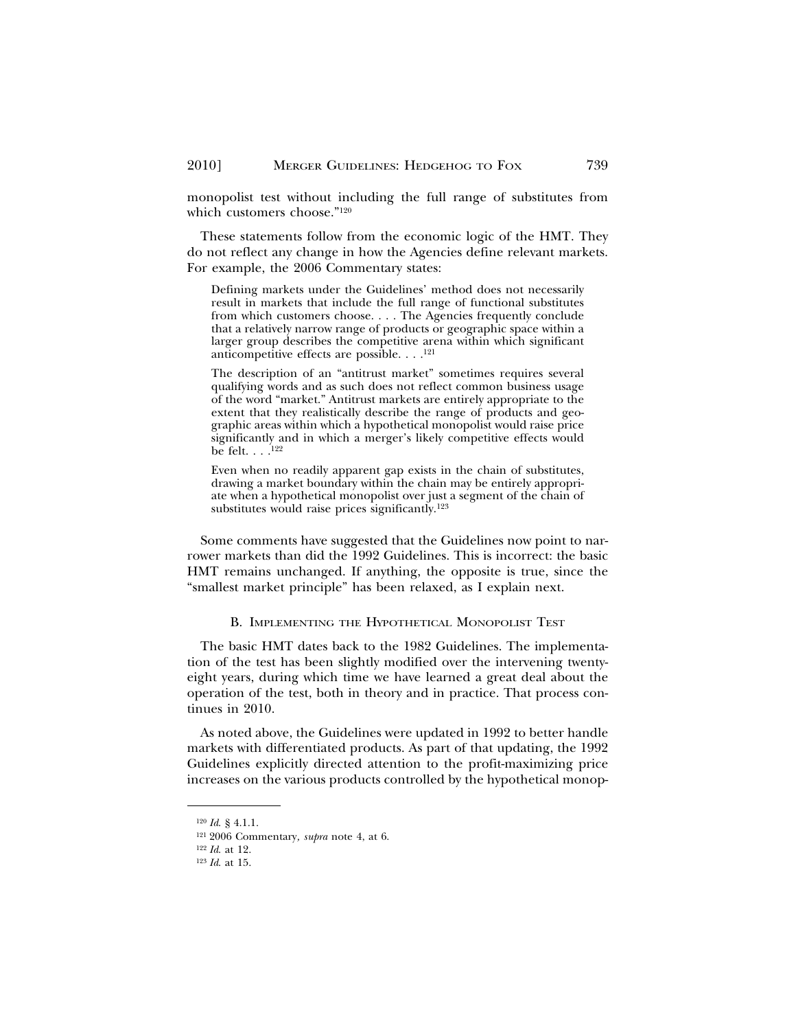monopolist test without including the full range of substitutes from which customers choose."120

These statements follow from the economic logic of the HMT. They do not reflect any change in how the Agencies define relevant markets. For example, the 2006 Commentary states:

Defining markets under the Guidelines' method does not necessarily result in markets that include the full range of functional substitutes from which customers choose. . . . The Agencies frequently conclude that a relatively narrow range of products or geographic space within a larger group describes the competitive arena within which significant anticompetitive effects are possible. . . .<sup>121</sup>

The description of an "antitrust market" sometimes requires several qualifying words and as such does not reflect common business usage of the word "market." Antitrust markets are entirely appropriate to the extent that they realistically describe the range of products and geographic areas within which a hypothetical monopolist would raise price significantly and in which a merger's likely competitive effects would be felt.  $\ldots$ <sup>122</sup>

Even when no readily apparent gap exists in the chain of substitutes, drawing a market boundary within the chain may be entirely appropriate when a hypothetical monopolist over just a segment of the chain of substitutes would raise prices significantly.<sup>123</sup>

Some comments have suggested that the Guidelines now point to narrower markets than did the 1992 Guidelines. This is incorrect: the basic HMT remains unchanged. If anything, the opposite is true, since the "smallest market principle" has been relaxed, as I explain next.

### B. IMPLEMENTING THE HYPOTHETICAL MONOPOLIST TEST

The basic HMT dates back to the 1982 Guidelines. The implementation of the test has been slightly modified over the intervening twentyeight years, during which time we have learned a great deal about the operation of the test, both in theory and in practice. That process continues in 2010.

As noted above, the Guidelines were updated in 1992 to better handle markets with differentiated products. As part of that updating, the 1992 Guidelines explicitly directed attention to the profit-maximizing price increases on the various products controlled by the hypothetical monop-

<sup>120</sup> *Id*. § 4.1.1.

<sup>121</sup> 2006 Commentary*, supra* note 4, at 6.

<sup>122</sup> *Id*. at 12.

<sup>123</sup> *Id*. at 15.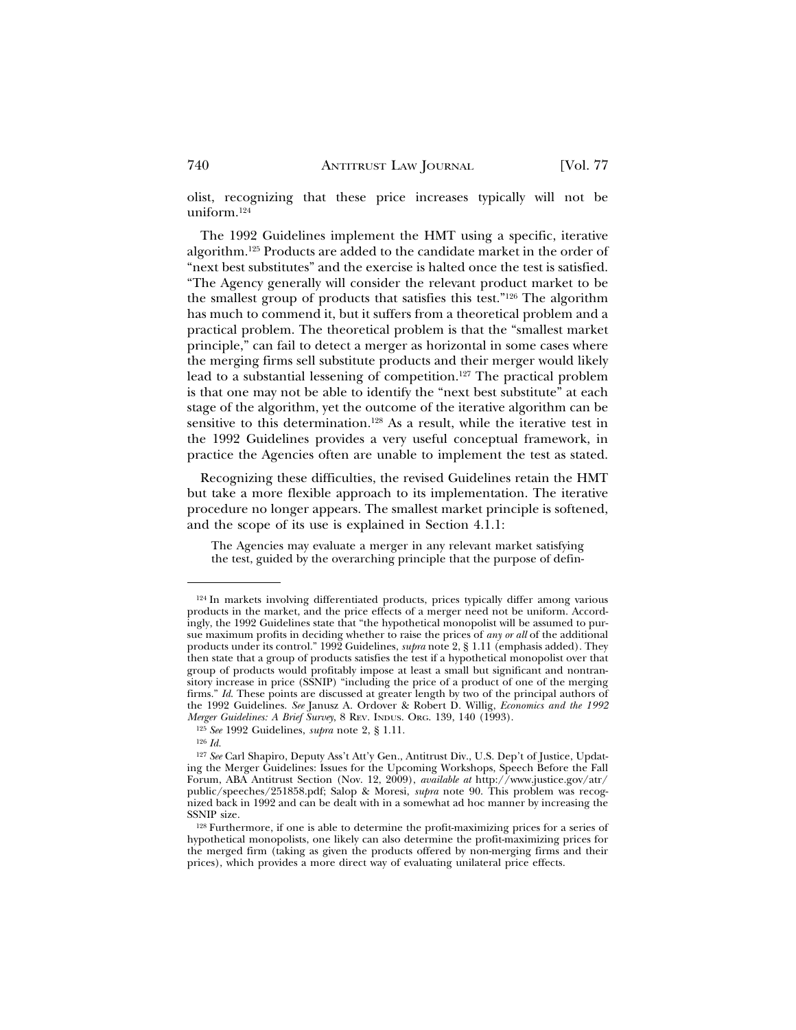olist, recognizing that these price increases typically will not be uniform.124

The 1992 Guidelines implement the HMT using a specific, iterative algorithm.125 Products are added to the candidate market in the order of "next best substitutes" and the exercise is halted once the test is satisfied. "The Agency generally will consider the relevant product market to be the smallest group of products that satisfies this test."126 The algorithm has much to commend it, but it suffers from a theoretical problem and a practical problem. The theoretical problem is that the "smallest market principle," can fail to detect a merger as horizontal in some cases where the merging firms sell substitute products and their merger would likely lead to a substantial lessening of competition.127 The practical problem is that one may not be able to identify the "next best substitute" at each stage of the algorithm, yet the outcome of the iterative algorithm can be sensitive to this determination.<sup>128</sup> As a result, while the iterative test in the 1992 Guidelines provides a very useful conceptual framework, in practice the Agencies often are unable to implement the test as stated.

Recognizing these difficulties, the revised Guidelines retain the HMT but take a more flexible approach to its implementation. The iterative procedure no longer appears. The smallest market principle is softened, and the scope of its use is explained in Section 4.1.1:

The Agencies may evaluate a merger in any relevant market satisfying the test, guided by the overarching principle that the purpose of defin-

<sup>&</sup>lt;sup>124</sup> In markets involving differentiated products, prices typically differ among various products in the market, and the price effects of a merger need not be uniform. Accordingly, the 1992 Guidelines state that "the hypothetical monopolist will be assumed to pursue maximum profits in deciding whether to raise the prices of *any or all* of the additional products under its control." 1992 Guidelines, *supra* note 2, § 1.11 (emphasis added). They then state that a group of products satisfies the test if a hypothetical monopolist over that group of products would profitably impose at least a small but significant and nontransitory increase in price (SSNIP) "including the price of a product of one of the merging firms." *Id*. These points are discussed at greater length by two of the principal authors of the 1992 Guidelines. *See* Janusz A. Ordover & Robert D. Willig, *Economics and the 1992 Merger Guidelines: A Brief Survey*, 8 REV. INDUS. ORG. 139, 140 (1993).

<sup>125</sup> *See* 1992 Guidelines, *supra* note 2, § 1.11.

<sup>126</sup> *Id.*

<sup>127</sup> *See* Carl Shapiro, Deputy Ass't Att'y Gen., Antitrust Div., U.S. Dep't of Justice, Updating the Merger Guidelines: Issues for the Upcoming Workshops, Speech Before the Fall Forum, ABA Antitrust Section (Nov. 12, 2009), *available at* http://www.justice.gov/atr/ public/speeches/251858.pdf; Salop & Moresi, *supra* note 90. This problem was recognized back in 1992 and can be dealt with in a somewhat ad hoc manner by increasing the SSNIP size.

<sup>128</sup> Furthermore, if one is able to determine the profit-maximizing prices for a series of hypothetical monopolists, one likely can also determine the profit-maximizing prices for the merged firm (taking as given the products offered by non-merging firms and their prices), which provides a more direct way of evaluating unilateral price effects.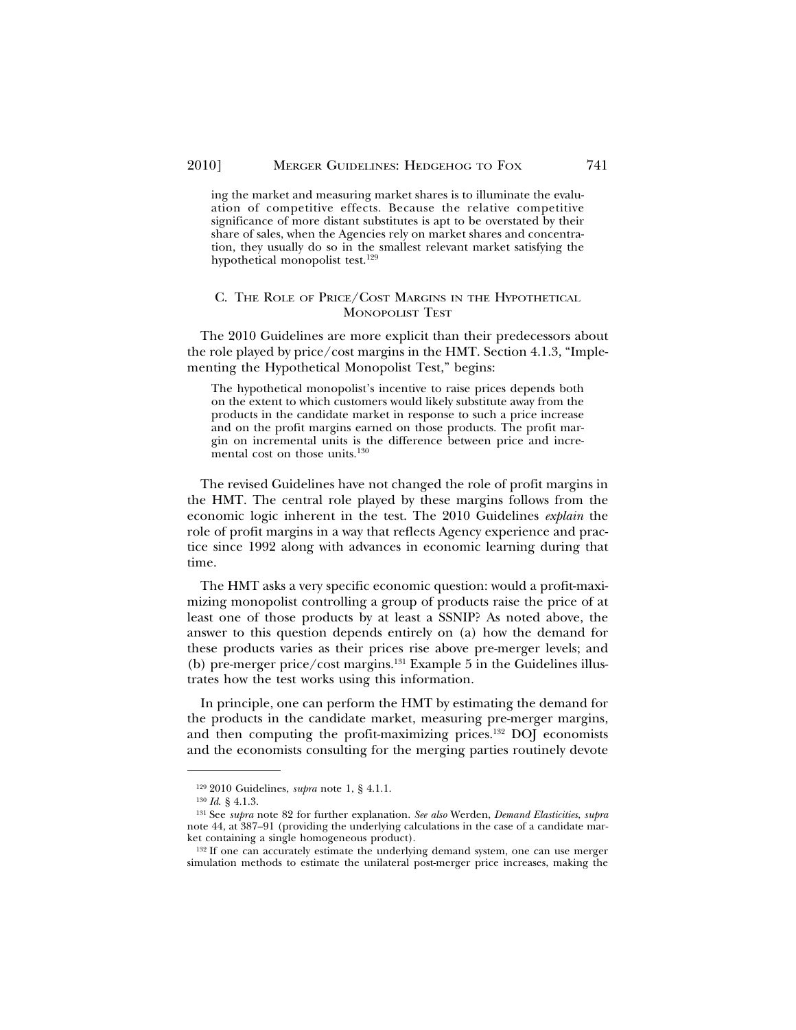ing the market and measuring market shares is to illuminate the evaluation of competitive effects. Because the relative competitive significance of more distant substitutes is apt to be overstated by their share of sales, when the Agencies rely on market shares and concentration, they usually do so in the smallest relevant market satisfying the hypothetical monopolist test.129

### C. THE ROLE OF PRICE/COST MARGINS IN THE HYPOTHETICAL MONOPOLIST TEST

The 2010 Guidelines are more explicit than their predecessors about the role played by price/cost margins in the HMT. Section 4.1.3, "Implementing the Hypothetical Monopolist Test," begins:

The hypothetical monopolist's incentive to raise prices depends both on the extent to which customers would likely substitute away from the products in the candidate market in response to such a price increase and on the profit margins earned on those products. The profit margin on incremental units is the difference between price and incremental cost on those units.<sup>130</sup>

The revised Guidelines have not changed the role of profit margins in the HMT. The central role played by these margins follows from the economic logic inherent in the test. The 2010 Guidelines *explain* the role of profit margins in a way that reflects Agency experience and practice since 1992 along with advances in economic learning during that time.

The HMT asks a very specific economic question: would a profit-maximizing monopolist controlling a group of products raise the price of at least one of those products by at least a SSNIP? As noted above, the answer to this question depends entirely on (a) how the demand for these products varies as their prices rise above pre-merger levels; and (b) pre-merger price/cost margins. $131$  Example 5 in the Guidelines illustrates how the test works using this information.

In principle, one can perform the HMT by estimating the demand for the products in the candidate market, measuring pre-merger margins, and then computing the profit-maximizing prices.<sup>132</sup> DOJ economists and the economists consulting for the merging parties routinely devote

<sup>129</sup> 2010 Guidelines, *supra* note 1, § 4.1.1.

<sup>130</sup> *Id*. § 4.1.3.

<sup>131</sup> See *supra* note 82 for further explanation. *See also* Werden, *Demand Elasticities*, *supra* note 44, at 387–91 (providing the underlying calculations in the case of a candidate market containing a single homogeneous product).

<sup>132</sup> If one can accurately estimate the underlying demand system, one can use merger simulation methods to estimate the unilateral post-merger price increases, making the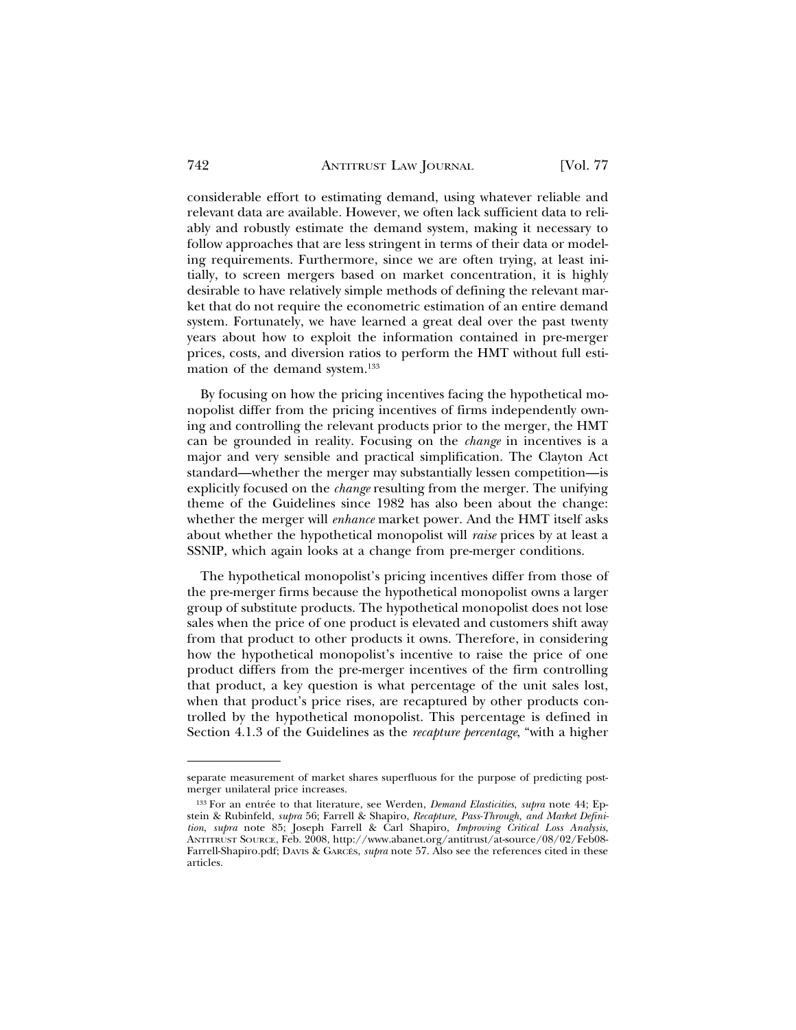considerable effort to estimating demand, using whatever reliable and relevant data are available. However, we often lack sufficient data to reliably and robustly estimate the demand system, making it necessary to follow approaches that are less stringent in terms of their data or modeling requirements. Furthermore, since we are often trying, at least initially, to screen mergers based on market concentration, it is highly desirable to have relatively simple methods of defining the relevant market that do not require the econometric estimation of an entire demand system. Fortunately, we have learned a great deal over the past twenty years about how to exploit the information contained in pre-merger prices, costs, and diversion ratios to perform the HMT without full estimation of the demand system.133

By focusing on how the pricing incentives facing the hypothetical monopolist differ from the pricing incentives of firms independently owning and controlling the relevant products prior to the merger, the HMT can be grounded in reality. Focusing on the *change* in incentives is a major and very sensible and practical simplification. The Clayton Act standard—whether the merger may substantially lessen competition—is explicitly focused on the *change* resulting from the merger. The unifying theme of the Guidelines since 1982 has also been about the change: whether the merger will *enhance* market power. And the HMT itself asks about whether the hypothetical monopolist will *raise* prices by at least a SSNIP, which again looks at a change from pre-merger conditions.

The hypothetical monopolist's pricing incentives differ from those of the pre-merger firms because the hypothetical monopolist owns a larger group of substitute products. The hypothetical monopolist does not lose sales when the price of one product is elevated and customers shift away from that product to other products it owns. Therefore, in considering how the hypothetical monopolist's incentive to raise the price of one product differs from the pre-merger incentives of the firm controlling that product, a key question is what percentage of the unit sales lost, when that product's price rises, are recaptured by other products controlled by the hypothetical monopolist. This percentage is defined in Section 4.1.3 of the Guidelines as the *recapture percentage*, "with a higher

separate measurement of market shares superfluous for the purpose of predicting postmerger unilateral price increases.

<sup>&</sup>lt;sup>133</sup> For an entrée to that literature, see Werden, *Demand Elasticities*, *supra* note 44; Epstein & Rubinfeld, *supra* 56; Farrell & Shapiro, *Recapture, Pass-Through, and Market Definition*, *supra* note 85; Joseph Farrell & Carl Shapiro, *Improving Critical Loss Analysis*, ANTITRUST SOURCE, Feb. 2008, http://www.abanet.org/antitrust/at-source/08/02/Feb08- Farrell-Shapiro.pdf; DAVIS & GARCES, *supra* note 57. Also see the references cited in these articles.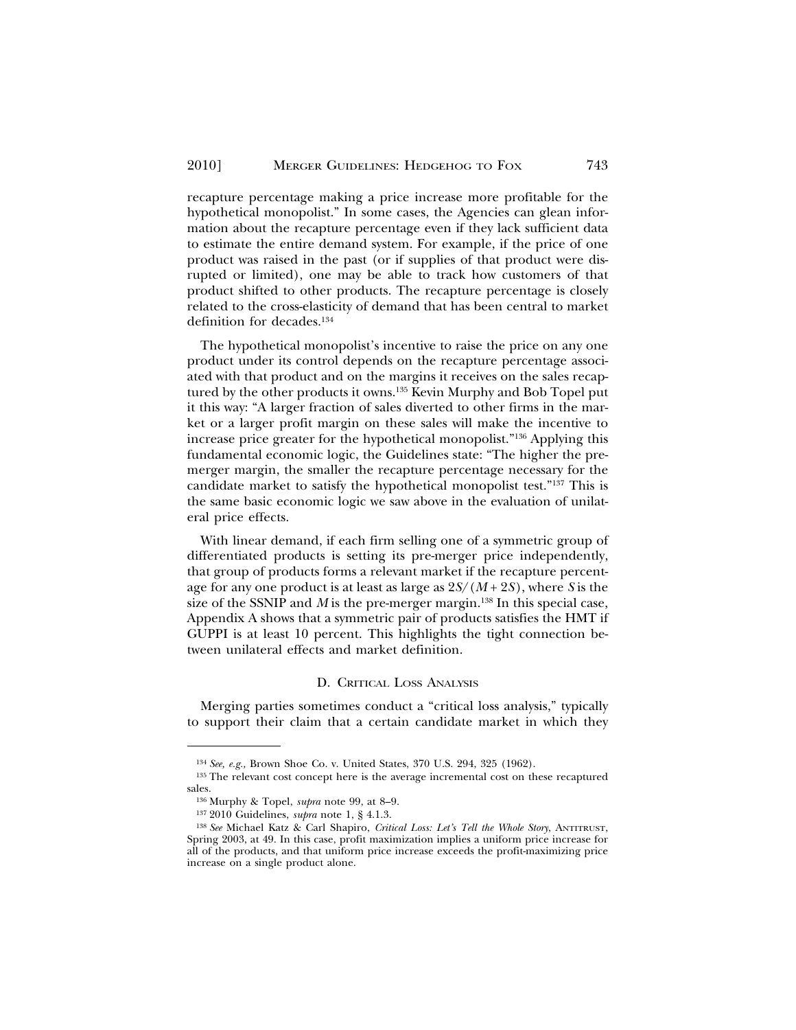recapture percentage making a price increase more profitable for the hypothetical monopolist." In some cases, the Agencies can glean information about the recapture percentage even if they lack sufficient data to estimate the entire demand system. For example, if the price of one product was raised in the past (or if supplies of that product were disrupted or limited), one may be able to track how customers of that product shifted to other products. The recapture percentage is closely related to the cross-elasticity of demand that has been central to market definition for decades.<sup>134</sup>

The hypothetical monopolist's incentive to raise the price on any one product under its control depends on the recapture percentage associated with that product and on the margins it receives on the sales recaptured by the other products it owns.135 Kevin Murphy and Bob Topel put it this way: "A larger fraction of sales diverted to other firms in the market or a larger profit margin on these sales will make the incentive to increase price greater for the hypothetical monopolist."136 Applying this fundamental economic logic, the Guidelines state: "The higher the premerger margin, the smaller the recapture percentage necessary for the candidate market to satisfy the hypothetical monopolist test."137 This is the same basic economic logic we saw above in the evaluation of unilateral price effects.

With linear demand, if each firm selling one of a symmetric group of differentiated products is setting its pre-merger price independently, that group of products forms a relevant market if the recapture percentage for any one product is at least as large as 2*S*/(*M* + 2*S*), where *S* is the size of the SSNIP and *M* is the pre-merger margin.<sup>138</sup> In this special case, Appendix A shows that a symmetric pair of products satisfies the HMT if GUPPI is at least 10 percent. This highlights the tight connection between unilateral effects and market definition.

# D. CRITICAL LOSS ANALYSIS

Merging parties sometimes conduct a "critical loss analysis," typically to support their claim that a certain candidate market in which they

<sup>134</sup> *See, e.g.,* Brown Shoe Co. v. United States, 370 U.S. 294, 325 (1962).

<sup>&</sup>lt;sup>135</sup> The relevant cost concept here is the average incremental cost on these recaptured sales.

<sup>136</sup> Murphy & Topel, *supra* note 99, at 8–9.

<sup>137</sup> 2010 Guidelines, *supra* note 1, § 4.1.3.

<sup>138</sup> *See* Michael Katz & Carl Shapiro, *Critical Loss: Let's Tell the Whole Story*, ANTITRUST, Spring 2003, at 49. In this case, profit maximization implies a uniform price increase for all of the products, and that uniform price increase exceeds the profit-maximizing price increase on a single product alone.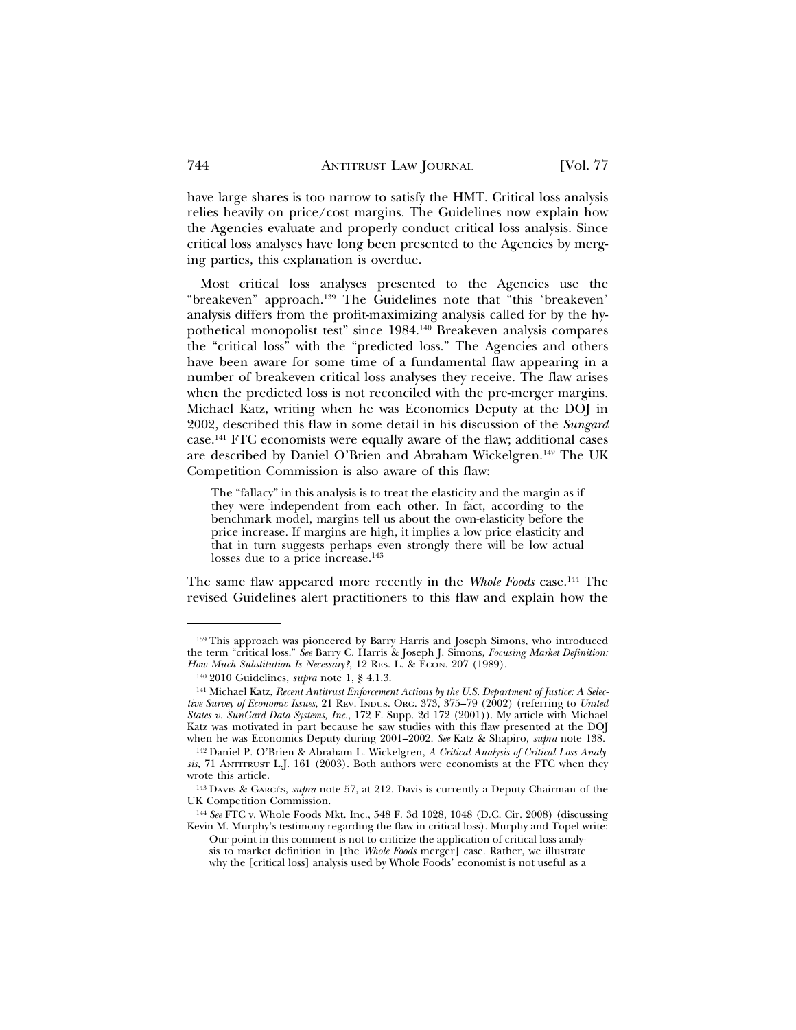have large shares is too narrow to satisfy the HMT. Critical loss analysis relies heavily on price/cost margins. The Guidelines now explain how the Agencies evaluate and properly conduct critical loss analysis. Since critical loss analyses have long been presented to the Agencies by merging parties, this explanation is overdue.

Most critical loss analyses presented to the Agencies use the "breakeven" approach.139 The Guidelines note that "this 'breakeven' analysis differs from the profit-maximizing analysis called for by the hypothetical monopolist test" since 1984.140 Breakeven analysis compares the "critical loss" with the "predicted loss." The Agencies and others have been aware for some time of a fundamental flaw appearing in a number of breakeven critical loss analyses they receive. The flaw arises when the predicted loss is not reconciled with the pre-merger margins. Michael Katz, writing when he was Economics Deputy at the DOJ in 2002, described this flaw in some detail in his discussion of the *Sungard* case.141 FTC economists were equally aware of the flaw; additional cases are described by Daniel O'Brien and Abraham Wickelgren.142 The UK Competition Commission is also aware of this flaw:

The "fallacy" in this analysis is to treat the elasticity and the margin as if they were independent from each other. In fact, according to the benchmark model, margins tell us about the own-elasticity before the price increase. If margins are high, it implies a low price elasticity and that in turn suggests perhaps even strongly there will be low actual losses due to a price increase.<sup>143</sup>

The same flaw appeared more recently in the *Whole Foods* case.144 The revised Guidelines alert practitioners to this flaw and explain how the

<sup>&</sup>lt;sup>139</sup> This approach was pioneered by Barry Harris and Joseph Simons, who introduced the term "critical loss." *See* Barry C. Harris & Joseph J. Simons, *Focusing Market Definition:* How Much Substitution Is Necessary?, 12 RES. L. & ECON. 207 (1989).

<sup>140</sup> 2010 Guidelines, *supra* note 1, § 4.1.3.

<sup>&</sup>lt;sup>141</sup> Michael Katz, *Recent Antitrust Enforcement Actions by the U.S. Department of Justice: A Selective Survey of Economic Issues*, 21 REV. INDUS. ORG. 373, 375–79 (2002) (referring to *United States v. SunGard Data Systems, Inc.*, 172 F. Supp. 2d 172 (2001)). My article with Michael Katz was motivated in part because he saw studies with this flaw presented at the DOJ when he was Economics Deputy during 2001–2002. *See* Katz & Shapiro, *supra* note 138.

<sup>142</sup> Daniel P. O'Brien & Abraham L. Wickelgren, *A Critical Analysis of Critical Loss Analysis,* 71 ANTITRUST L.J. 161 (2003). Both authors were economists at the FTC when they wrote this article.

<sup>&</sup>lt;sup>143</sup> DAVIS & GARCES, *supra* note 57, at 212. Davis is currently a Deputy Chairman of the UK Competition Commission.

<sup>144</sup> *See* FTC v. Whole Foods Mkt. Inc., 548 F. 3d 1028, 1048 (D.C. Cir. 2008) (discussing Kevin M. Murphy's testimony regarding the flaw in critical loss). Murphy and Topel write:

Our point in this comment is not to criticize the application of critical loss analysis to market definition in [the *Whole Foods* merger] case. Rather, we illustrate why the [critical loss] analysis used by Whole Foods' economist is not useful as a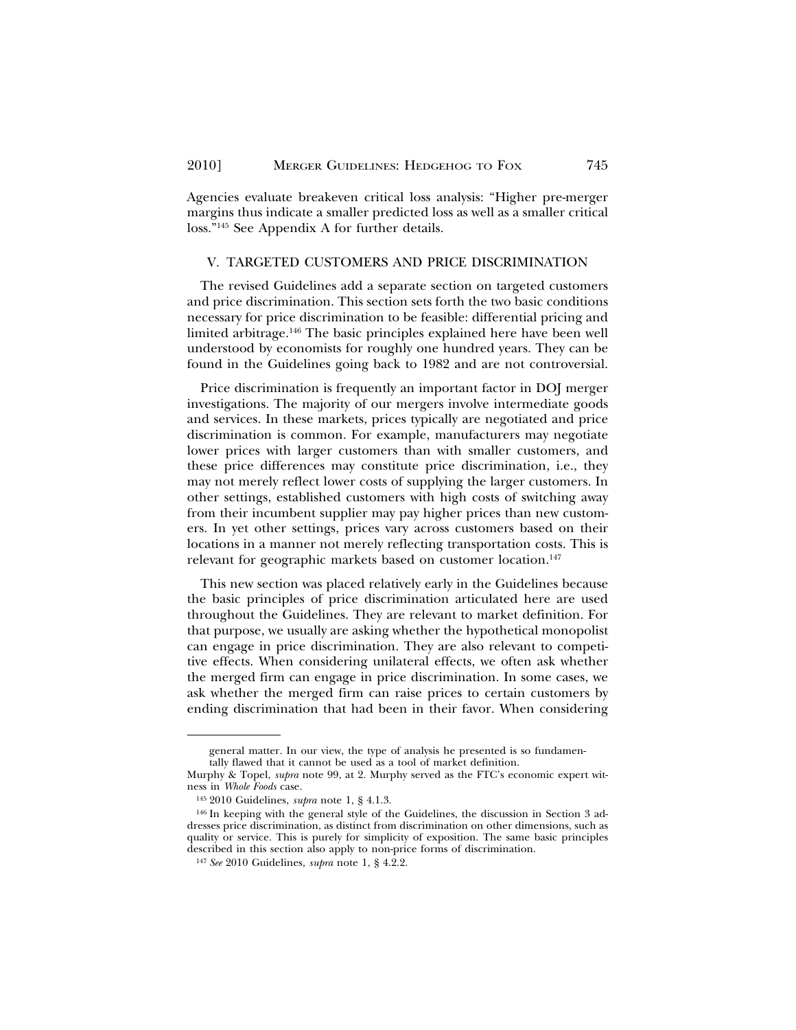Agencies evaluate breakeven critical loss analysis: "Higher pre-merger margins thus indicate a smaller predicted loss as well as a smaller critical loss."145 See Appendix A for further details.

#### V. TARGETED CUSTOMERS AND PRICE DISCRIMINATION

The revised Guidelines add a separate section on targeted customers and price discrimination. This section sets forth the two basic conditions necessary for price discrimination to be feasible: differential pricing and limited arbitrage.146 The basic principles explained here have been well understood by economists for roughly one hundred years. They can be found in the Guidelines going back to 1982 and are not controversial.

Price discrimination is frequently an important factor in DOJ merger investigations. The majority of our mergers involve intermediate goods and services. In these markets, prices typically are negotiated and price discrimination is common. For example, manufacturers may negotiate lower prices with larger customers than with smaller customers, and these price differences may constitute price discrimination, i.e., they may not merely reflect lower costs of supplying the larger customers. In other settings, established customers with high costs of switching away from their incumbent supplier may pay higher prices than new customers. In yet other settings, prices vary across customers based on their locations in a manner not merely reflecting transportation costs. This is relevant for geographic markets based on customer location.<sup>147</sup>

This new section was placed relatively early in the Guidelines because the basic principles of price discrimination articulated here are used throughout the Guidelines. They are relevant to market definition. For that purpose, we usually are asking whether the hypothetical monopolist can engage in price discrimination. They are also relevant to competitive effects. When considering unilateral effects, we often ask whether the merged firm can engage in price discrimination. In some cases, we ask whether the merged firm can raise prices to certain customers by ending discrimination that had been in their favor. When considering

general matter. In our view, the type of analysis he presented is so fundamentally flawed that it cannot be used as a tool of market definition.

Murphy & Topel, *supra* note 99, at 2. Murphy served as the FTC's economic expert witness in *Whole Foods* case.

<sup>145</sup> 2010 Guidelines, *supra* note 1, § 4.1.3.

<sup>146</sup> In keeping with the general style of the Guidelines, the discussion in Section 3 addresses price discrimination, as distinct from discrimination on other dimensions, such as quality or service. This is purely for simplicity of exposition. The same basic principles described in this section also apply to non-price forms of discrimination.

<sup>147</sup> *See* 2010 Guidelines, *supra* note 1, § 4.2.2.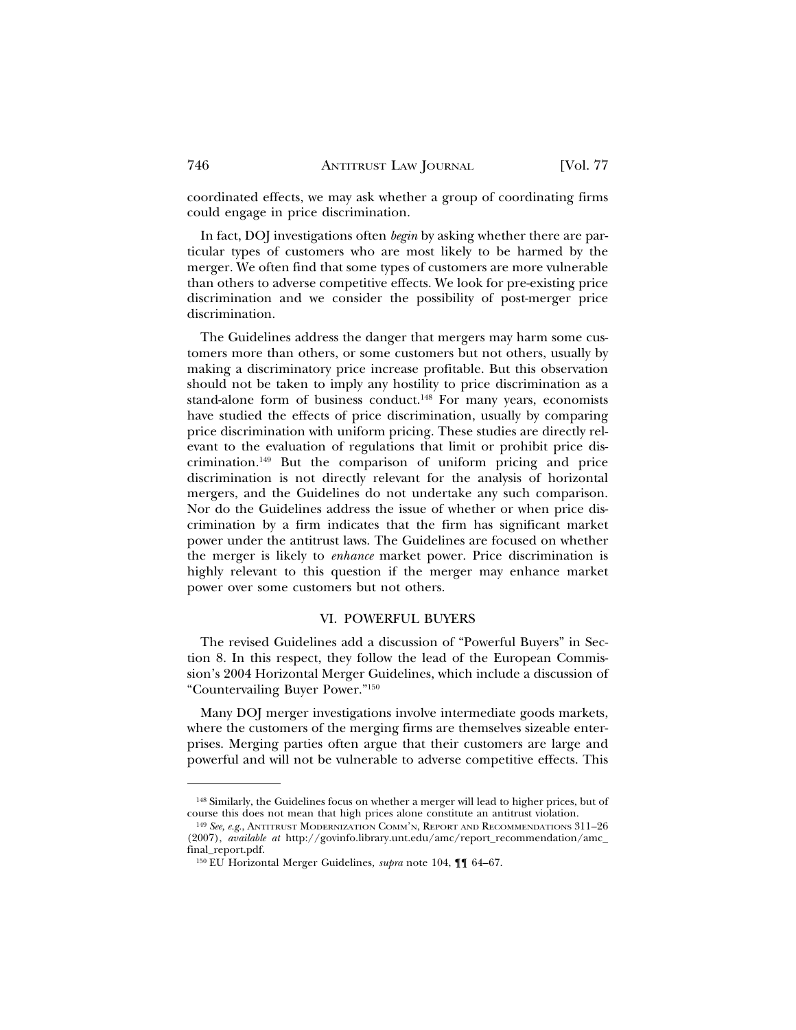coordinated effects, we may ask whether a group of coordinating firms could engage in price discrimination.

In fact, DOJ investigations often *begin* by asking whether there are particular types of customers who are most likely to be harmed by the merger. We often find that some types of customers are more vulnerable than others to adverse competitive effects. We look for pre-existing price discrimination and we consider the possibility of post-merger price discrimination.

The Guidelines address the danger that mergers may harm some customers more than others, or some customers but not others, usually by making a discriminatory price increase profitable. But this observation should not be taken to imply any hostility to price discrimination as a stand-alone form of business conduct.<sup>148</sup> For many years, economists have studied the effects of price discrimination, usually by comparing price discrimination with uniform pricing. These studies are directly relevant to the evaluation of regulations that limit or prohibit price discrimination.149 But the comparison of uniform pricing and price discrimination is not directly relevant for the analysis of horizontal mergers, and the Guidelines do not undertake any such comparison. Nor do the Guidelines address the issue of whether or when price discrimination by a firm indicates that the firm has significant market power under the antitrust laws. The Guidelines are focused on whether the merger is likely to *enhance* market power. Price discrimination is highly relevant to this question if the merger may enhance market power over some customers but not others.

#### VI. POWERFUL BUYERS

The revised Guidelines add a discussion of "Powerful Buyers" in Section 8. In this respect, they follow the lead of the European Commission's 2004 Horizontal Merger Guidelines, which include a discussion of "Countervailing Buyer Power."150

Many DOJ merger investigations involve intermediate goods markets, where the customers of the merging firms are themselves sizeable enterprises. Merging parties often argue that their customers are large and powerful and will not be vulnerable to adverse competitive effects. This

<sup>148</sup> Similarly, the Guidelines focus on whether a merger will lead to higher prices, but of course this does not mean that high prices alone constitute an antitrust violation.

<sup>149</sup> *See, e.g*., ANTITRUST MODERNIZATION COMM'N, REPORT AND RECOMMENDATIONS 311–26 (2007), *available at* http://govinfo.library.unt.edu/amc/report\_recommendation/amc\_ final\_report.pdf.

<sup>150</sup> EU Horizontal Merger Guidelines*, supra* note 104, ¶¶ 64–67.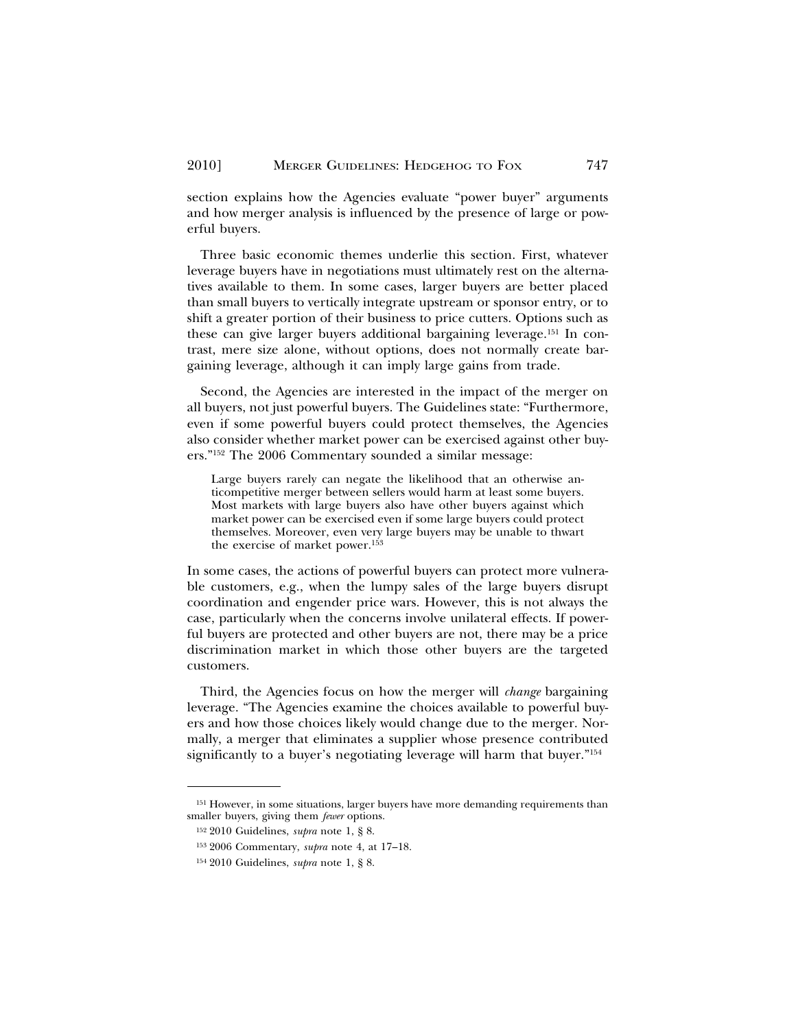section explains how the Agencies evaluate "power buyer" arguments and how merger analysis is influenced by the presence of large or powerful buyers.

Three basic economic themes underlie this section. First, whatever leverage buyers have in negotiations must ultimately rest on the alternatives available to them. In some cases, larger buyers are better placed than small buyers to vertically integrate upstream or sponsor entry, or to shift a greater portion of their business to price cutters. Options such as these can give larger buyers additional bargaining leverage.151 In contrast, mere size alone, without options, does not normally create bargaining leverage, although it can imply large gains from trade.

Second, the Agencies are interested in the impact of the merger on all buyers, not just powerful buyers. The Guidelines state: "Furthermore, even if some powerful buyers could protect themselves, the Agencies also consider whether market power can be exercised against other buyers."152 The 2006 Commentary sounded a similar message:

Large buyers rarely can negate the likelihood that an otherwise anticompetitive merger between sellers would harm at least some buyers. Most markets with large buyers also have other buyers against which market power can be exercised even if some large buyers could protect themselves. Moreover, even very large buyers may be unable to thwart the exercise of market power.<sup>153</sup>

In some cases, the actions of powerful buyers can protect more vulnerable customers, e.g., when the lumpy sales of the large buyers disrupt coordination and engender price wars. However, this is not always the case, particularly when the concerns involve unilateral effects. If powerful buyers are protected and other buyers are not, there may be a price discrimination market in which those other buyers are the targeted customers.

Third, the Agencies focus on how the merger will *change* bargaining leverage. "The Agencies examine the choices available to powerful buyers and how those choices likely would change due to the merger. Normally, a merger that eliminates a supplier whose presence contributed significantly to a buyer's negotiating leverage will harm that buyer."154

<sup>151</sup> However, in some situations, larger buyers have more demanding requirements than smaller buyers, giving them *fewer* options.

<sup>152</sup> 2010 Guidelines, *supra* note 1, § 8.

<sup>153</sup> 2006 Commentary, *supra* note 4, at 17–18.

<sup>154</sup> 2010 Guidelines, *supra* note 1, § 8.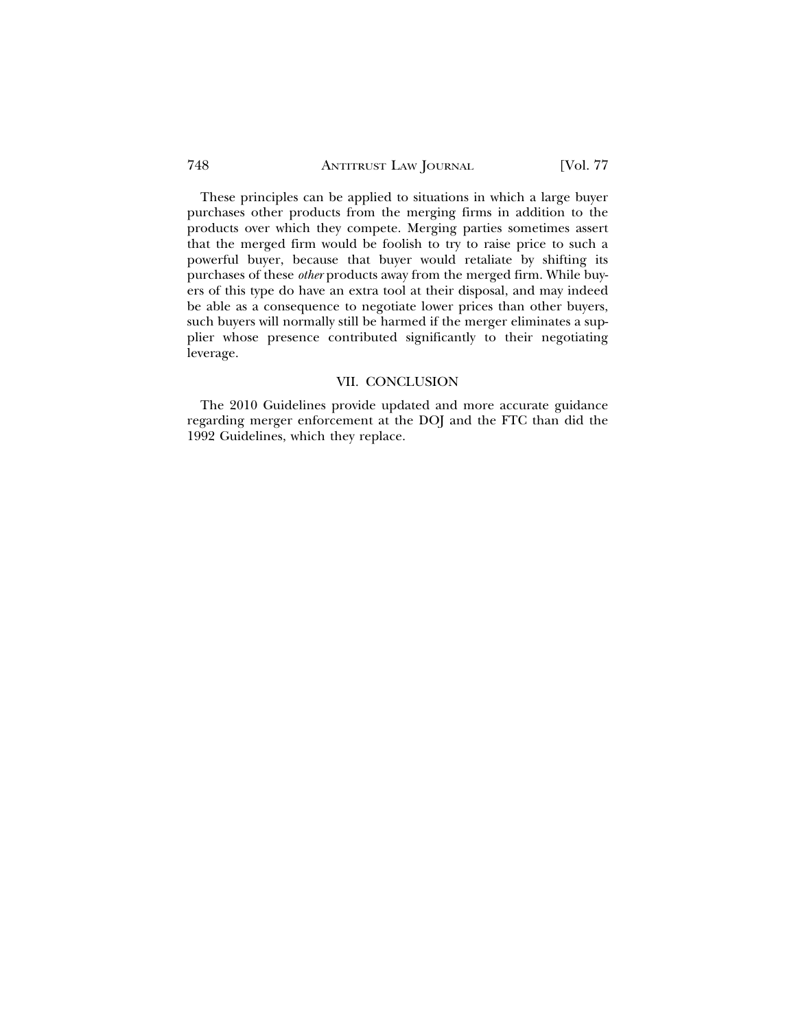These principles can be applied to situations in which a large buyer purchases other products from the merging firms in addition to the products over which they compete. Merging parties sometimes assert that the merged firm would be foolish to try to raise price to such a powerful buyer, because that buyer would retaliate by shifting its purchases of these *other* products away from the merged firm. While buyers of this type do have an extra tool at their disposal, and may indeed be able as a consequence to negotiate lower prices than other buyers, such buyers will normally still be harmed if the merger eliminates a supplier whose presence contributed significantly to their negotiating leverage.

# VII. CONCLUSION

The 2010 Guidelines provide updated and more accurate guidance regarding merger enforcement at the DOJ and the FTC than did the 1992 Guidelines, which they replace.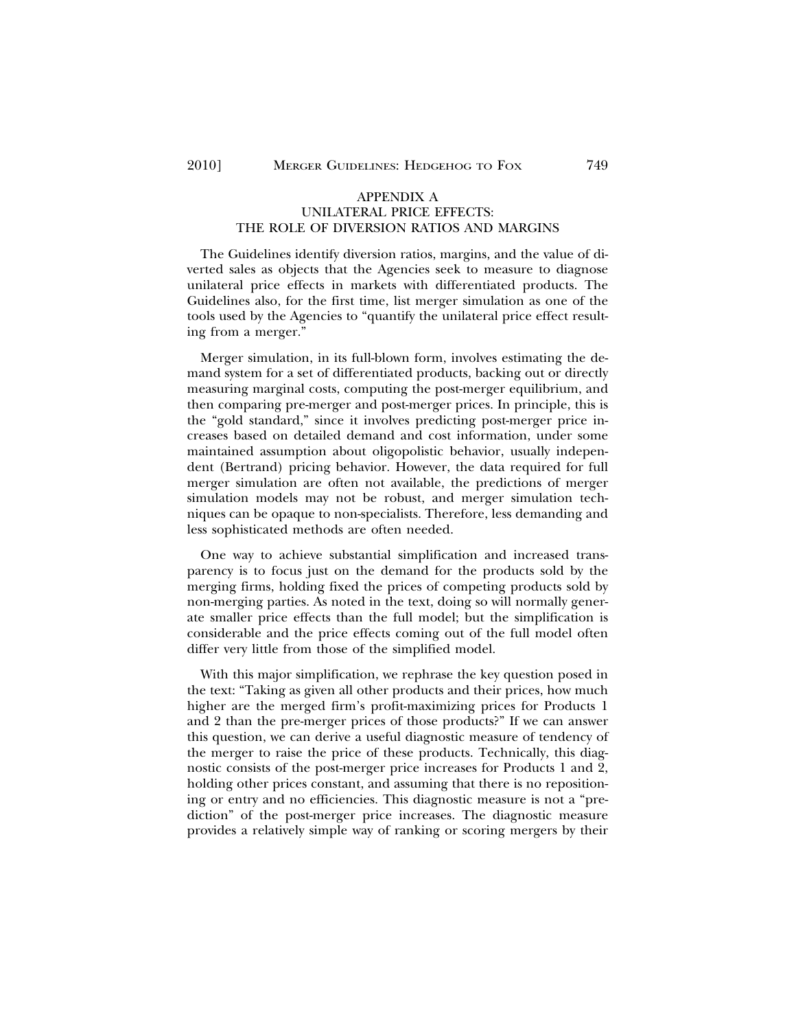# APPENDIX A UNILATERAL PRICE EFFECTS: THE ROLE OF DIVERSION RATIOS AND MARGINS

The Guidelines identify diversion ratios, margins, and the value of diverted sales as objects that the Agencies seek to measure to diagnose unilateral price effects in markets with differentiated products. The Guidelines also, for the first time, list merger simulation as one of the tools used by the Agencies to "quantify the unilateral price effect resulting from a merger."

Merger simulation, in its full-blown form, involves estimating the demand system for a set of differentiated products, backing out or directly measuring marginal costs, computing the post-merger equilibrium, and then comparing pre-merger and post-merger prices. In principle, this is the "gold standard," since it involves predicting post-merger price increases based on detailed demand and cost information, under some maintained assumption about oligopolistic behavior, usually independent (Bertrand) pricing behavior. However, the data required for full merger simulation are often not available, the predictions of merger simulation models may not be robust, and merger simulation techniques can be opaque to non-specialists. Therefore, less demanding and less sophisticated methods are often needed.

One way to achieve substantial simplification and increased transparency is to focus just on the demand for the products sold by the merging firms, holding fixed the prices of competing products sold by non-merging parties. As noted in the text, doing so will normally generate smaller price effects than the full model; but the simplification is considerable and the price effects coming out of the full model often differ very little from those of the simplified model.

With this major simplification, we rephrase the key question posed in the text: "Taking as given all other products and their prices, how much higher are the merged firm's profit-maximizing prices for Products 1 and 2 than the pre-merger prices of those products?" If we can answer this question, we can derive a useful diagnostic measure of tendency of the merger to raise the price of these products. Technically, this diagnostic consists of the post-merger price increases for Products 1 and 2, holding other prices constant, and assuming that there is no repositioning or entry and no efficiencies. This diagnostic measure is not a "prediction" of the post-merger price increases. The diagnostic measure provides a relatively simple way of ranking or scoring mergers by their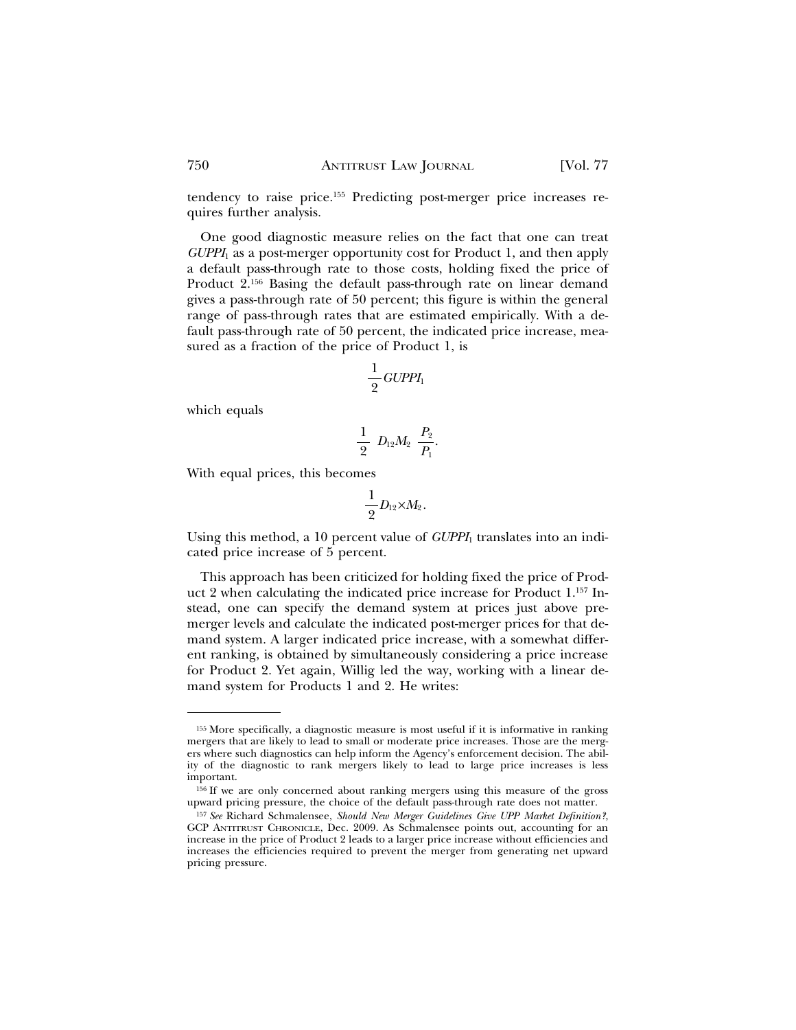tendency to raise price.155 Predicting post-merger price increases requires further analysis.

One good diagnostic measure relies on the fact that one can treat *GUPPI*1 as a post-merger opportunity cost for Product 1, and then apply a default pass-through rate to those costs, holding fixed the price of Product 2.156 Basing the default pass-through rate on linear demand gives a pass-through rate of 50 percent; this figure is within the general range of pass-through rates that are estimated empirically. With a default pass-through rate of 50 percent, the indicated price increase, measured as a fraction of the price of Product 1, is

$$
\frac{1}{2} \text{GUPPI}_1
$$

which equals

$$
\frac{1}{2} D_{12} M_2 \frac{P_2}{P_1}.
$$

With equal prices, this becomes

$$
\frac{1}{2}D_{12}\times M_2.
$$

Using this method, a 10 percent value of *GUPPI*<sub>1</sub> translates into an indicated price increase of 5 percent.

This approach has been criticized for holding fixed the price of Product 2 when calculating the indicated price increase for Product 1.157 Instead, one can specify the demand system at prices just above premerger levels and calculate the indicated post-merger prices for that demand system. A larger indicated price increase, with a somewhat different ranking, is obtained by simultaneously considering a price increase for Product 2. Yet again, Willig led the way, working with a linear demand system for Products 1 and 2. He writes:

<sup>155</sup> More specifically, a diagnostic measure is most useful if it is informative in ranking mergers that are likely to lead to small or moderate price increases. Those are the mergers where such diagnostics can help inform the Agency's enforcement decision. The ability of the diagnostic to rank mergers likely to lead to large price increases is less important.

<sup>156</sup> If we are only concerned about ranking mergers using this measure of the gross upward pricing pressure, the choice of the default pass-through rate does not matter.

<sup>157</sup> *See* Richard Schmalensee, *Should New Merger Guidelines Give UPP Market Definition?*, GCP ANTITRUST CHRONICLE, Dec. 2009. As Schmalensee points out, accounting for an increase in the price of Product 2 leads to a larger price increase without efficiencies and increases the efficiencies required to prevent the merger from generating net upward pricing pressure.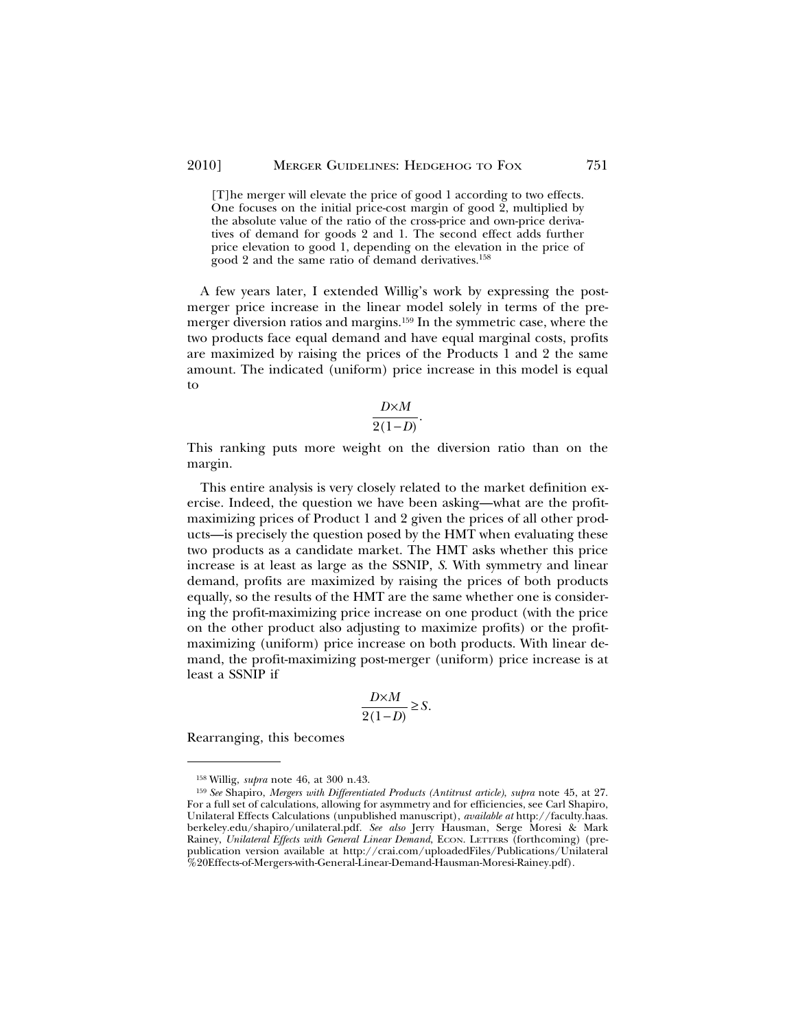[T]he merger will elevate the price of good 1 according to two effects. One focuses on the initial price-cost margin of good 2, multiplied by the absolute value of the ratio of the cross-price and own-price derivatives of demand for goods 2 and 1. The second effect adds further price elevation to good 1, depending on the elevation in the price of good 2 and the same ratio of demand derivatives.<sup>158</sup>

A few years later, I extended Willig's work by expressing the postmerger price increase in the linear model solely in terms of the premerger diversion ratios and margins.159 In the symmetric case, where the two products face equal demand and have equal marginal costs, profits are maximized by raising the prices of the Products 1 and 2 the same amount. The indicated (uniform) price increase in this model is equal to

$$
\frac{D\times M}{2(1-D)}.
$$

This ranking puts more weight on the diversion ratio than on the margin.

This entire analysis is very closely related to the market definition exercise. Indeed, the question we have been asking—what are the profitmaximizing prices of Product 1 and 2 given the prices of all other products—is precisely the question posed by the HMT when evaluating these two products as a candidate market. The HMT asks whether this price increase is at least as large as the SSNIP, *S*. With symmetry and linear demand, profits are maximized by raising the prices of both products equally, so the results of the HMT are the same whether one is considering the profit-maximizing price increase on one product (with the price on the other product also adjusting to maximize profits) or the profitmaximizing (uniform) price increase on both products. With linear demand, the profit-maximizing post-merger (uniform) price increase is at least a SSNIP if

$$
\frac{D \times M}{2(1-D)} \ge S.
$$

Rearranging, this becomes

<sup>158</sup> Willig, *supra* note 46, at 300 n.43.

<sup>159</sup> *See* Shapiro, *Mergers with Differentiated Products (Antitrust article)*, *supra* note 45, at 27. For a full set of calculations, allowing for asymmetry and for efficiencies, see Carl Shapiro, Unilateral Effects Calculations (unpublished manuscript), *available at* http://faculty.haas. berkeley.edu/shapiro/unilateral.pdf. *See also* Jerry Hausman, Serge Moresi & Mark Rainey, *Unilateral Effects with General Linear Demand*, ECON. LETTERS (forthcoming) (prepublication version available at http://crai.com/uploadedFiles/Publications/Unilateral %20Effects-of-Mergers-with-General-Linear-Demand-Hausman-Moresi-Rainey.pdf).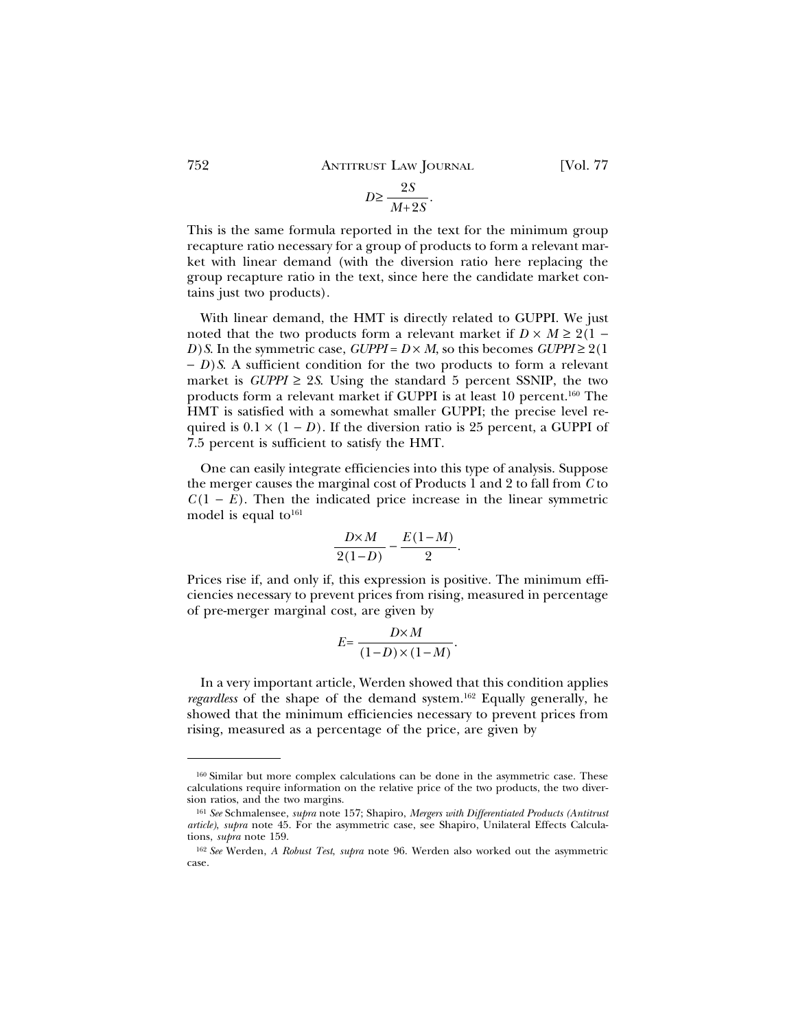752 ANTITRUST LAW JOURNAL [Vol. 77

$$
D \ge \frac{2S}{M+2S}.
$$

This is the same formula reported in the text for the minimum group recapture ratio necessary for a group of products to form a relevant market with linear demand (with the diversion ratio here replacing the group recapture ratio in the text, since here the candidate market contains just two products).

With linear demand, the HMT is directly related to GUPPI. We just noted that the two products form a relevant market if  $D \times M \geq 2(1 -$ *D*)*S*. In the symmetric case, *GUPPI* =  $D \times M$ , so this becomes *GUPPI* ≥ 2(1) − *D*)*S*. A sufficient condition for the two products to form a relevant market is *GUPPI*  $\geq$  2*S*. Using the standard 5 percent SSNIP, the two products form a relevant market if GUPPI is at least 10 percent.160 The HMT is satisfied with a somewhat smaller GUPPI; the precise level required is  $0.1 \times (1 - D)$ . If the diversion ratio is 25 percent, a GUPPI of 7.5 percent is sufficient to satisfy the HMT.

One can easily integrate efficiencies into this type of analysis. Suppose the merger causes the marginal cost of Products 1 and 2 to fall from *C* to  $C(1 - E)$ . Then the indicated price increase in the linear symmetric model is equal to $161$ 

$$
\frac{D\times M}{2(1-D)} - \frac{E(1-M)}{2}.
$$

Prices rise if, and only if, this expression is positive. The minimum efficiencies necessary to prevent prices from rising, measured in percentage of pre-merger marginal cost, are given by

$$
E = \frac{D \times M}{(1 - D) \times (1 - M)}.
$$

In a very important article, Werden showed that this condition applies *regardless* of the shape of the demand system.162 Equally generally, he showed that the minimum efficiencies necessary to prevent prices from rising, measured as a percentage of the price, are given by

<sup>160</sup> Similar but more complex calculations can be done in the asymmetric case. These calculations require information on the relative price of the two products, the two diversion ratios, and the two margins.

<sup>161</sup> *See* Schmalensee, *supra* note 157; Shapiro, *Mergers with Differentiated Products (Antitrust article)*, *supra* note 45. For the asymmetric case, see Shapiro, Unilateral Effects Calculations, *supra* note 159.

<sup>162</sup> *See* Werden, *A Robust Test*, *supra* note 96. Werden also worked out the asymmetric case.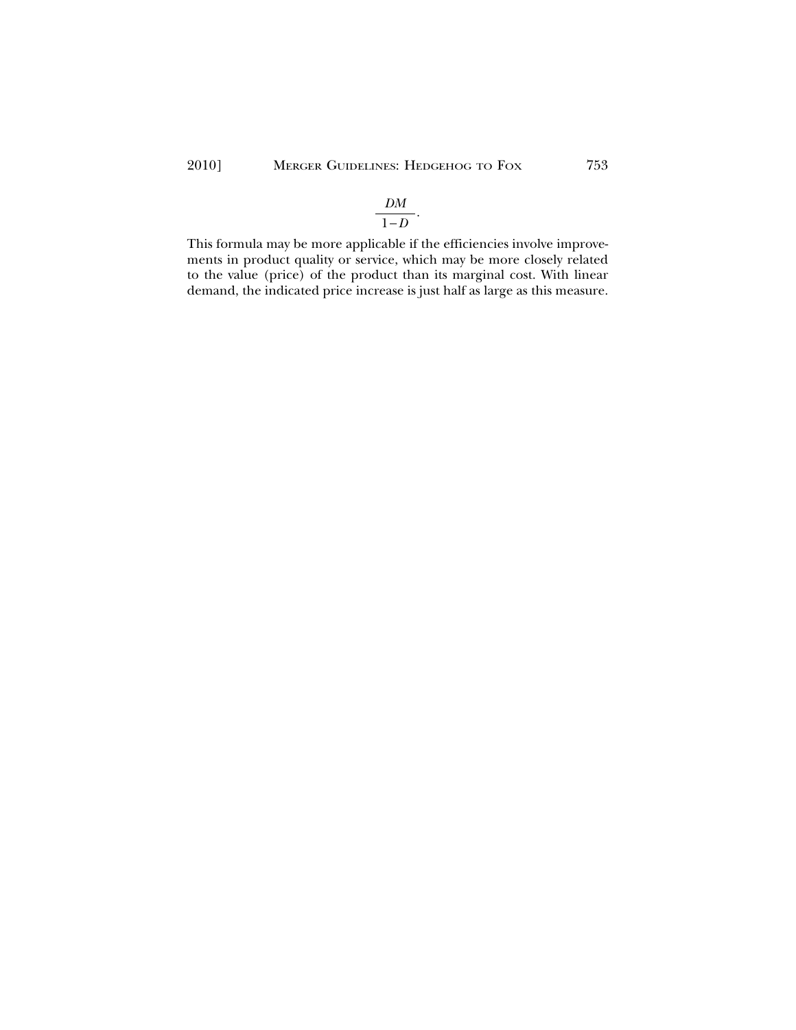# $\frac{DM}{1-D}$ .

This formula may be more applicable if the efficiencies involve improvements in product quality or service, which may be more closely related to the value (price) of the product than its marginal cost. With linear demand, the indicated price increase is just half as large as this measure.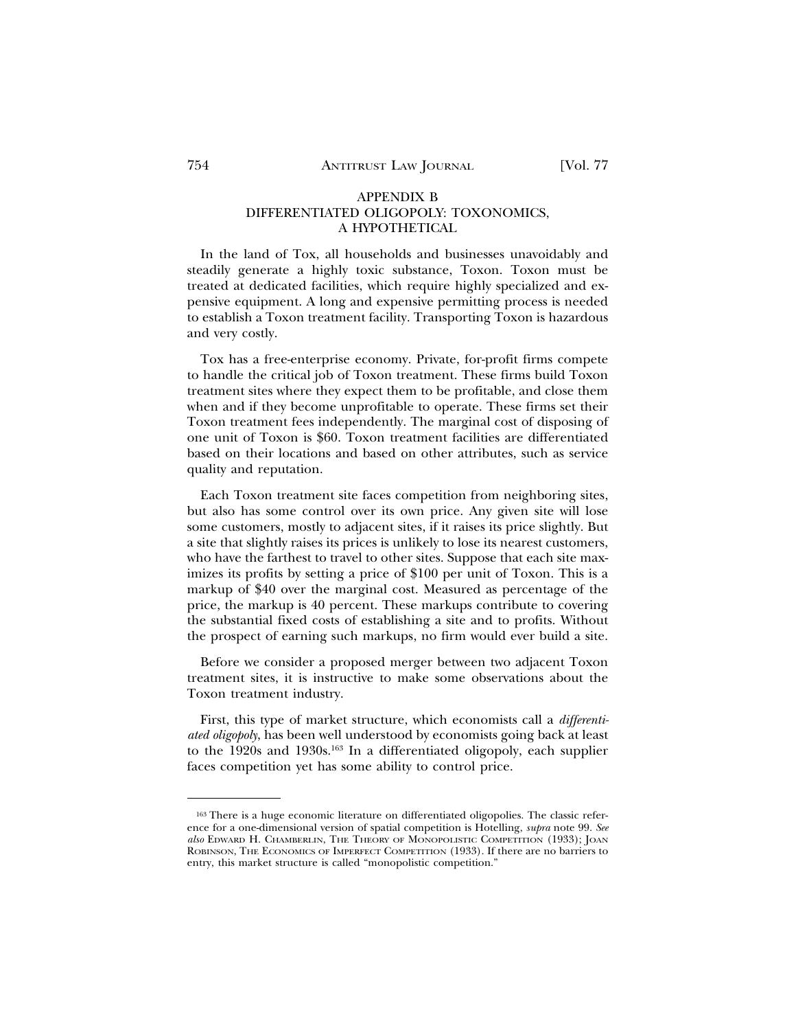# APPENDIX B DIFFERENTIATED OLIGOPOLY: TOXONOMICS, A HYPOTHETICAL

In the land of Tox, all households and businesses unavoidably and steadily generate a highly toxic substance, Toxon. Toxon must be treated at dedicated facilities, which require highly specialized and expensive equipment. A long and expensive permitting process is needed to establish a Toxon treatment facility. Transporting Toxon is hazardous and very costly.

Tox has a free-enterprise economy. Private, for-profit firms compete to handle the critical job of Toxon treatment. These firms build Toxon treatment sites where they expect them to be profitable, and close them when and if they become unprofitable to operate. These firms set their Toxon treatment fees independently. The marginal cost of disposing of one unit of Toxon is \$60. Toxon treatment facilities are differentiated based on their locations and based on other attributes, such as service quality and reputation.

Each Toxon treatment site faces competition from neighboring sites, but also has some control over its own price. Any given site will lose some customers, mostly to adjacent sites, if it raises its price slightly. But a site that slightly raises its prices is unlikely to lose its nearest customers, who have the farthest to travel to other sites. Suppose that each site maximizes its profits by setting a price of \$100 per unit of Toxon. This is a markup of \$40 over the marginal cost. Measured as percentage of the price, the markup is 40 percent. These markups contribute to covering the substantial fixed costs of establishing a site and to profits. Without the prospect of earning such markups, no firm would ever build a site.

Before we consider a proposed merger between two adjacent Toxon treatment sites, it is instructive to make some observations about the Toxon treatment industry.

First, this type of market structure, which economists call a *differentiated oligopoly*, has been well understood by economists going back at least to the 1920s and 1930s.163 In a differentiated oligopoly, each supplier faces competition yet has some ability to control price.

<sup>163</sup> There is a huge economic literature on differentiated oligopolies. The classic reference for a one-dimensional version of spatial competition is Hotelling, *supra* note 99. *See also* EDWARD H. CHAMBERLIN, THE THEORY OF MONOPOLISTIC COMPETITION (1933); JOAN ROBINSON, THE ECONOMICS OF IMPERFECT COMPETITION (1933). If there are no barriers to entry, this market structure is called "monopolistic competition."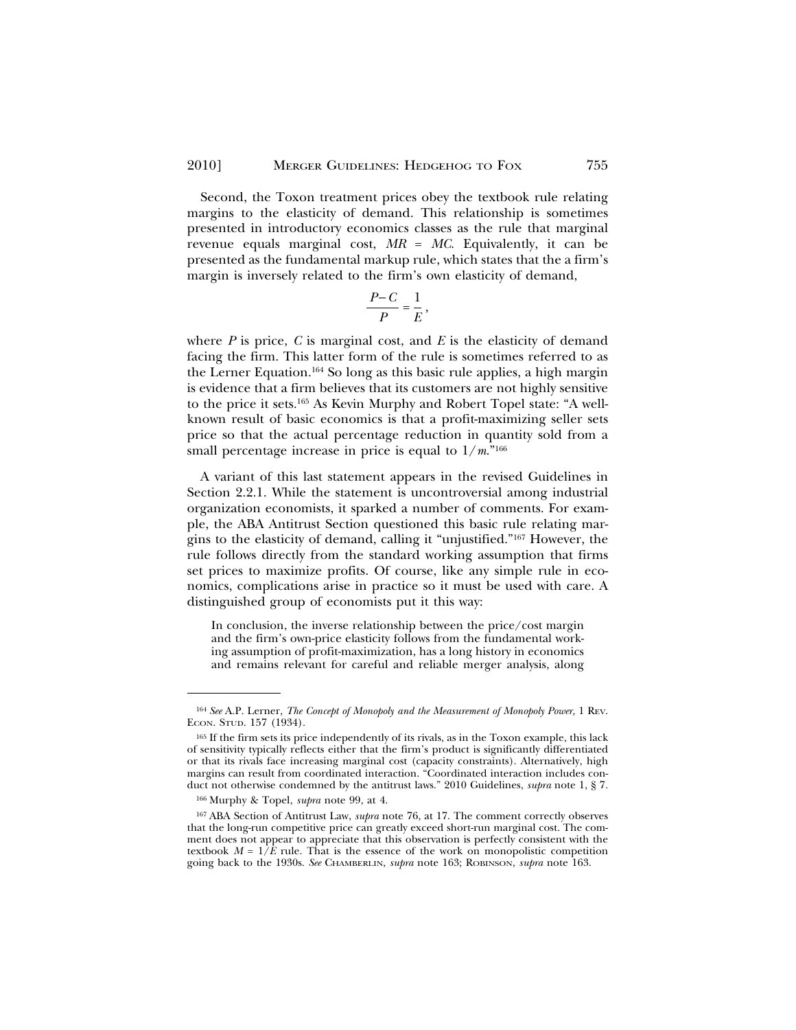Second, the Toxon treatment prices obey the textbook rule relating margins to the elasticity of demand. This relationship is sometimes presented in introductory economics classes as the rule that marginal revenue equals marginal cost, *MR* = *MC*. Equivalently, it can be presented as the fundamental markup rule, which states that the a firm's margin is inversely related to the firm's own elasticity of demand,

$$
\frac{P-C}{P} = \frac{1}{E},
$$

where *P* is price, *C* is marginal cost, and *E* is the elasticity of demand facing the firm. This latter form of the rule is sometimes referred to as the Lerner Equation.164 So long as this basic rule applies, a high margin is evidence that a firm believes that its customers are not highly sensitive to the price it sets.165 As Kevin Murphy and Robert Topel state: "A wellknown result of basic economics is that a profit-maximizing seller sets price so that the actual percentage reduction in quantity sold from a small percentage increase in price is equal to 1/*m*."166

A variant of this last statement appears in the revised Guidelines in Section 2.2.1. While the statement is uncontroversial among industrial organization economists, it sparked a number of comments. For example, the ABA Antitrust Section questioned this basic rule relating margins to the elasticity of demand, calling it "unjustified."167 However, the rule follows directly from the standard working assumption that firms set prices to maximize profits. Of course, like any simple rule in economics, complications arise in practice so it must be used with care. A distinguished group of economists put it this way:

In conclusion, the inverse relationship between the price/cost margin and the firm's own-price elasticity follows from the fundamental working assumption of profit-maximization, has a long history in economics and remains relevant for careful and reliable merger analysis, along

<sup>164</sup> *See* A.P. Lerner, *The Concept of Monopoly and the Measurement of Monopoly Power,* 1 REV. ECON. STUD. 157 (1934).

<sup>165</sup> If the firm sets its price independently of its rivals, as in the Toxon example, this lack of sensitivity typically reflects either that the firm's product is significantly differentiated or that its rivals face increasing marginal cost (capacity constraints). Alternatively, high margins can result from coordinated interaction. "Coordinated interaction includes conduct not otherwise condemned by the antitrust laws." 2010 Guidelines, *supra* note 1, § 7*.*

<sup>166</sup> Murphy & Topel, *supra* note 99, at 4.

<sup>167</sup> ABA Section of Antitrust Law, *supra* note 76, at 17. The comment correctly observes that the long-run competitive price can greatly exceed short-run marginal cost. The comment does not appear to appreciate that this observation is perfectly consistent with the textbook  $M = 1/\hat{E}$  rule. That is the essence of the work on monopolistic competition going back to the 1930s. *See* CHAMBERLIN, *supra* note 163; ROBINSON, *supra* note 163.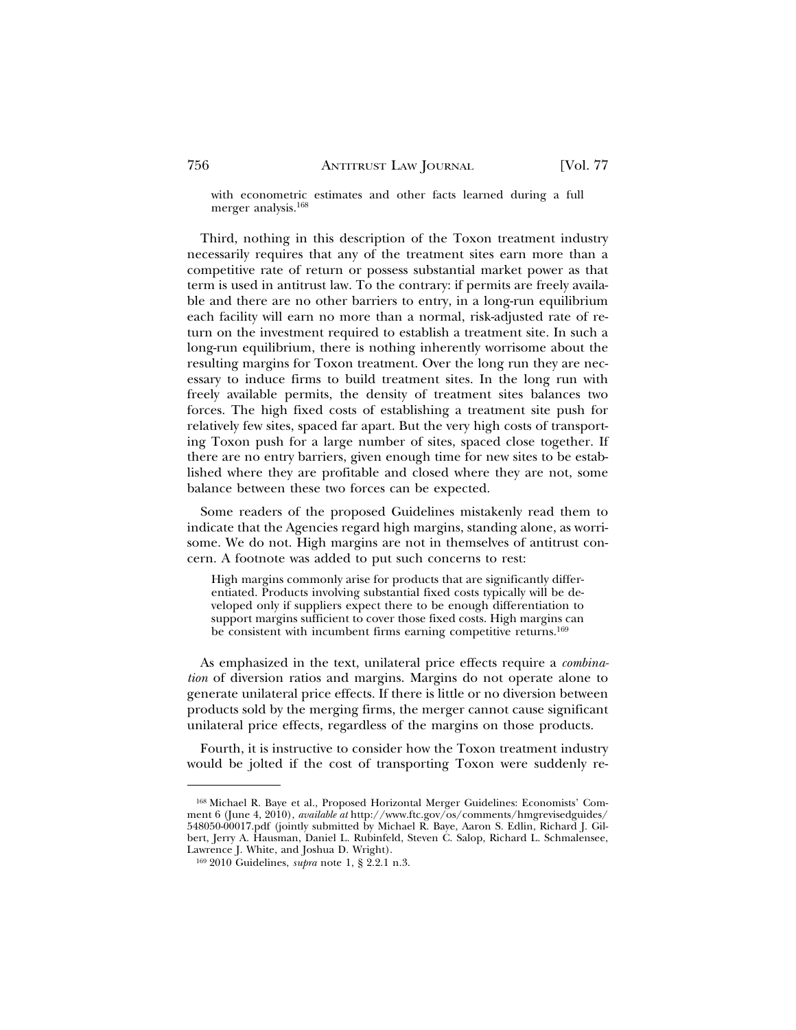with econometric estimates and other facts learned during a full merger analysis.168

Third, nothing in this description of the Toxon treatment industry necessarily requires that any of the treatment sites earn more than a competitive rate of return or possess substantial market power as that term is used in antitrust law. To the contrary: if permits are freely available and there are no other barriers to entry, in a long-run equilibrium each facility will earn no more than a normal, risk-adjusted rate of return on the investment required to establish a treatment site. In such a long-run equilibrium, there is nothing inherently worrisome about the resulting margins for Toxon treatment. Over the long run they are necessary to induce firms to build treatment sites. In the long run with freely available permits, the density of treatment sites balances two forces. The high fixed costs of establishing a treatment site push for relatively few sites, spaced far apart. But the very high costs of transporting Toxon push for a large number of sites, spaced close together. If there are no entry barriers, given enough time for new sites to be established where they are profitable and closed where they are not, some balance between these two forces can be expected.

Some readers of the proposed Guidelines mistakenly read them to indicate that the Agencies regard high margins, standing alone, as worrisome. We do not. High margins are not in themselves of antitrust concern. A footnote was added to put such concerns to rest:

High margins commonly arise for products that are significantly differentiated. Products involving substantial fixed costs typically will be developed only if suppliers expect there to be enough differentiation to support margins sufficient to cover those fixed costs. High margins can be consistent with incumbent firms earning competitive returns.<sup>169</sup>

As emphasized in the text, unilateral price effects require a *combination* of diversion ratios and margins. Margins do not operate alone to generate unilateral price effects. If there is little or no diversion between products sold by the merging firms, the merger cannot cause significant unilateral price effects, regardless of the margins on those products.

Fourth, it is instructive to consider how the Toxon treatment industry would be jolted if the cost of transporting Toxon were suddenly re-

<sup>168</sup> Michael R. Baye et al., Proposed Horizontal Merger Guidelines: Economists' Comment 6 (June 4, 2010), *available at* http://www.ftc.gov/os/comments/hmgrevisedguides/ 548050-00017.pdf (jointly submitted by Michael R. Baye, Aaron S. Edlin, Richard J. Gilbert, Jerry A. Hausman, Daniel L. Rubinfeld, Steven C. Salop, Richard L. Schmalensee, Lawrence J. White, and Joshua D. Wright).

<sup>169</sup> 2010 Guidelines, *supra* note 1, § 2.2.1 n.3.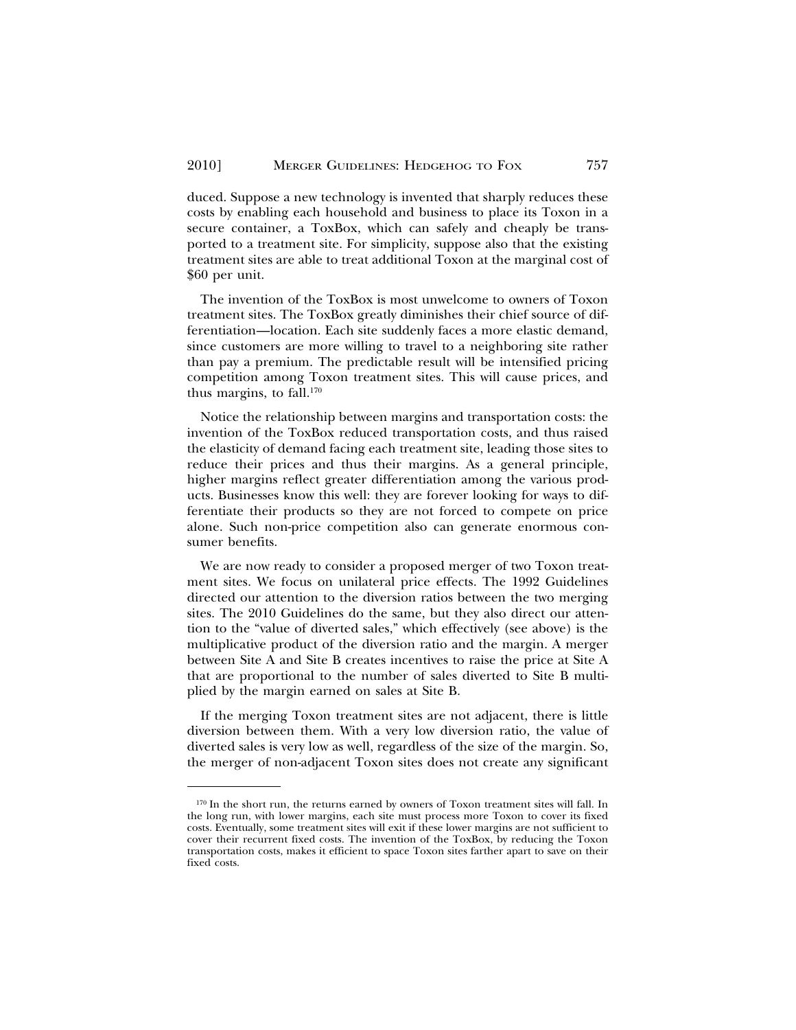duced. Suppose a new technology is invented that sharply reduces these costs by enabling each household and business to place its Toxon in a secure container, a ToxBox, which can safely and cheaply be transported to a treatment site. For simplicity, suppose also that the existing treatment sites are able to treat additional Toxon at the marginal cost of \$60 per unit.

The invention of the ToxBox is most unwelcome to owners of Toxon treatment sites. The ToxBox greatly diminishes their chief source of differentiation—location. Each site suddenly faces a more elastic demand, since customers are more willing to travel to a neighboring site rather than pay a premium. The predictable result will be intensified pricing competition among Toxon treatment sites. This will cause prices, and thus margins, to fall.170

Notice the relationship between margins and transportation costs: the invention of the ToxBox reduced transportation costs, and thus raised the elasticity of demand facing each treatment site, leading those sites to reduce their prices and thus their margins. As a general principle, higher margins reflect greater differentiation among the various products. Businesses know this well: they are forever looking for ways to differentiate their products so they are not forced to compete on price alone. Such non-price competition also can generate enormous consumer benefits.

We are now ready to consider a proposed merger of two Toxon treatment sites. We focus on unilateral price effects. The 1992 Guidelines directed our attention to the diversion ratios between the two merging sites. The 2010 Guidelines do the same, but they also direct our attention to the "value of diverted sales," which effectively (see above) is the multiplicative product of the diversion ratio and the margin. A merger between Site A and Site B creates incentives to raise the price at Site A that are proportional to the number of sales diverted to Site B multiplied by the margin earned on sales at Site B.

If the merging Toxon treatment sites are not adjacent, there is little diversion between them. With a very low diversion ratio, the value of diverted sales is very low as well, regardless of the size of the margin. So, the merger of non-adjacent Toxon sites does not create any significant

<sup>170</sup> In the short run, the returns earned by owners of Toxon treatment sites will fall. In the long run, with lower margins, each site must process more Toxon to cover its fixed costs. Eventually, some treatment sites will exit if these lower margins are not sufficient to cover their recurrent fixed costs. The invention of the ToxBox, by reducing the Toxon transportation costs, makes it efficient to space Toxon sites farther apart to save on their fixed costs.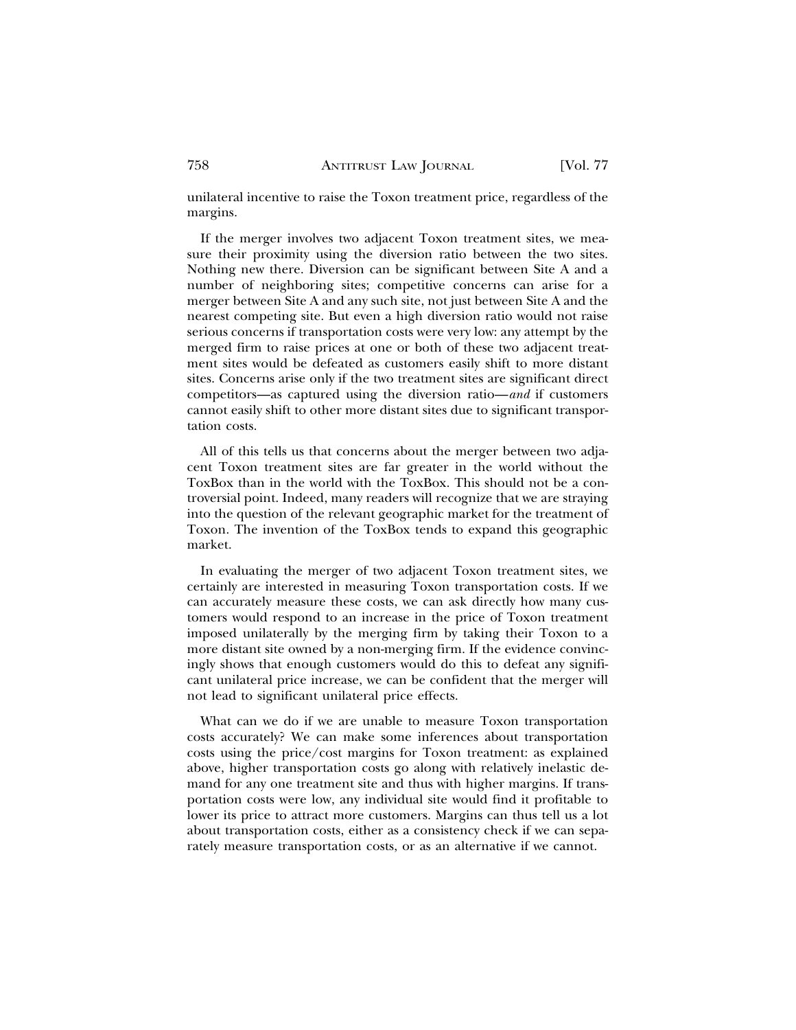unilateral incentive to raise the Toxon treatment price, regardless of the margins.

If the merger involves two adjacent Toxon treatment sites, we measure their proximity using the diversion ratio between the two sites. Nothing new there. Diversion can be significant between Site A and a number of neighboring sites; competitive concerns can arise for a merger between Site A and any such site, not just between Site A and the nearest competing site. But even a high diversion ratio would not raise serious concerns if transportation costs were very low: any attempt by the merged firm to raise prices at one or both of these two adjacent treatment sites would be defeated as customers easily shift to more distant sites. Concerns arise only if the two treatment sites are significant direct competitors—as captured using the diversion ratio—*and* if customers cannot easily shift to other more distant sites due to significant transportation costs.

All of this tells us that concerns about the merger between two adjacent Toxon treatment sites are far greater in the world without the ToxBox than in the world with the ToxBox. This should not be a controversial point. Indeed, many readers will recognize that we are straying into the question of the relevant geographic market for the treatment of Toxon. The invention of the ToxBox tends to expand this geographic market.

In evaluating the merger of two adjacent Toxon treatment sites, we certainly are interested in measuring Toxon transportation costs. If we can accurately measure these costs, we can ask directly how many customers would respond to an increase in the price of Toxon treatment imposed unilaterally by the merging firm by taking their Toxon to a more distant site owned by a non-merging firm. If the evidence convincingly shows that enough customers would do this to defeat any significant unilateral price increase, we can be confident that the merger will not lead to significant unilateral price effects.

What can we do if we are unable to measure Toxon transportation costs accurately? We can make some inferences about transportation costs using the price/cost margins for Toxon treatment: as explained above, higher transportation costs go along with relatively inelastic demand for any one treatment site and thus with higher margins. If transportation costs were low, any individual site would find it profitable to lower its price to attract more customers. Margins can thus tell us a lot about transportation costs, either as a consistency check if we can separately measure transportation costs, or as an alternative if we cannot.